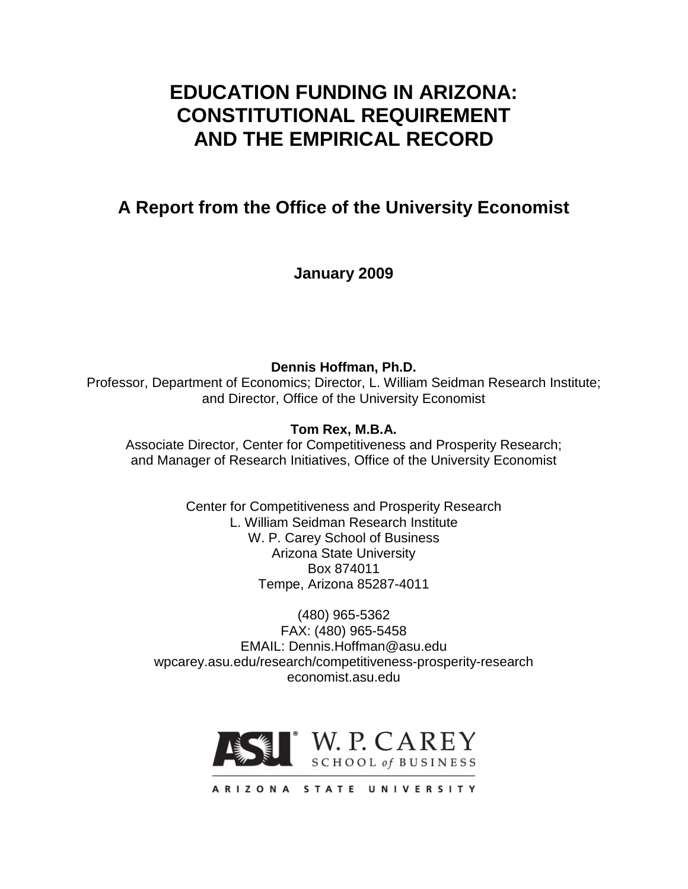# **EDUCATION FUNDING IN ARIZONA: CONSTITUTIONAL REQUIREMENT AND THE EMPIRICAL RECORD**

# **A Report from the Office of the University Economist**

**January 2009**

**Dennis Hoffman, Ph.D.** Professor, Department of Economics; Director, L. William Seidman Research Institute; and Director, Office of the University Economist

**Tom Rex, M.B.A.**

Associate Director, Center for Competitiveness and Prosperity Research; and Manager of Research Initiatives, Office of the University Economist

> Center for Competitiveness and Prosperity Research L. William Seidman Research Institute W. P. Carey School of Business Arizona State University Box 874011 Tempe, Arizona 85287-4011

(480) 965-5362 FAX: (480) 965-5458 EMAIL: Dennis.Hoffman@asu.edu wpcarey.asu.edu/research/competitiveness-prosperity-research economist.asu.edu

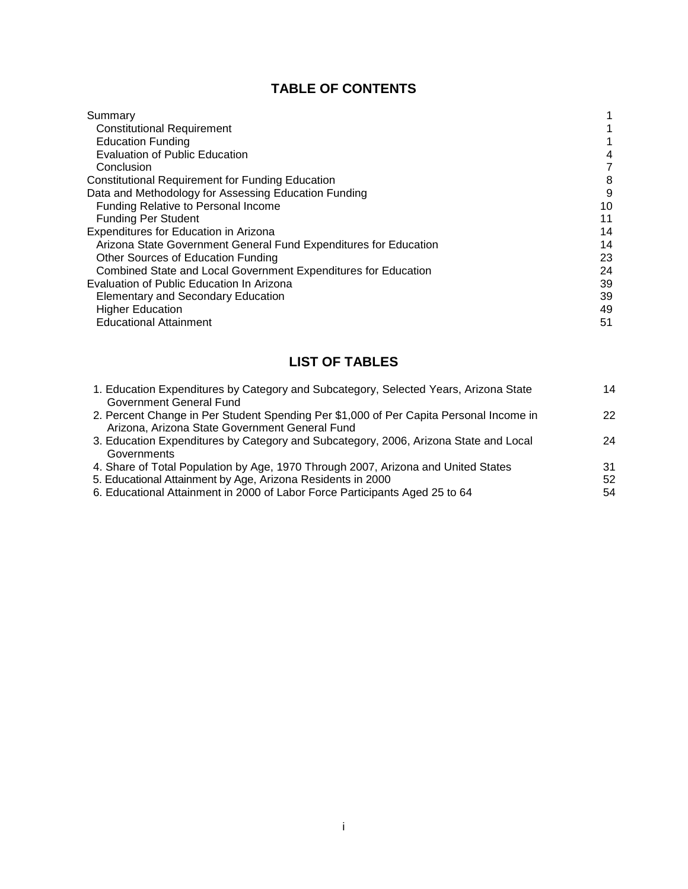## **TABLE OF CONTENTS**

| Summary                                                          |    |
|------------------------------------------------------------------|----|
| <b>Constitutional Requirement</b>                                |    |
| <b>Education Funding</b>                                         |    |
| <b>Evaluation of Public Education</b>                            | 4  |
| Conclusion                                                       | 7  |
| <b>Constitutional Requirement for Funding Education</b>          | 8  |
| Data and Methodology for Assessing Education Funding             | 9  |
| Funding Relative to Personal Income                              | 10 |
| <b>Funding Per Student</b>                                       | 11 |
| Expenditures for Education in Arizona                            | 14 |
| Arizona State Government General Fund Expenditures for Education | 14 |
| Other Sources of Education Funding                               | 23 |
| Combined State and Local Government Expenditures for Education   | 24 |
| Evaluation of Public Education In Arizona                        | 39 |
| <b>Elementary and Secondary Education</b>                        | 39 |
| <b>Higher Education</b>                                          | 49 |
| <b>Educational Attainment</b>                                    | 51 |

## **LIST OF TABLES**

| 1. Education Expenditures by Category and Subcategory, Selected Years, Arizona State   | 14 |
|----------------------------------------------------------------------------------------|----|
| Government General Fund                                                                |    |
| 2. Percent Change in Per Student Spending Per \$1,000 of Per Capita Personal Income in | 22 |
| Arizona, Arizona State Government General Fund                                         |    |
| 3. Education Expenditures by Category and Subcategory, 2006, Arizona State and Local   | 24 |
| Governments                                                                            |    |
| 4. Share of Total Population by Age, 1970 Through 2007, Arizona and United States      | 31 |
| 5. Educational Attainment by Age, Arizona Residents in 2000                            | 52 |
| 6. Educational Attainment in 2000 of Labor Force Participants Aged 25 to 64            | 54 |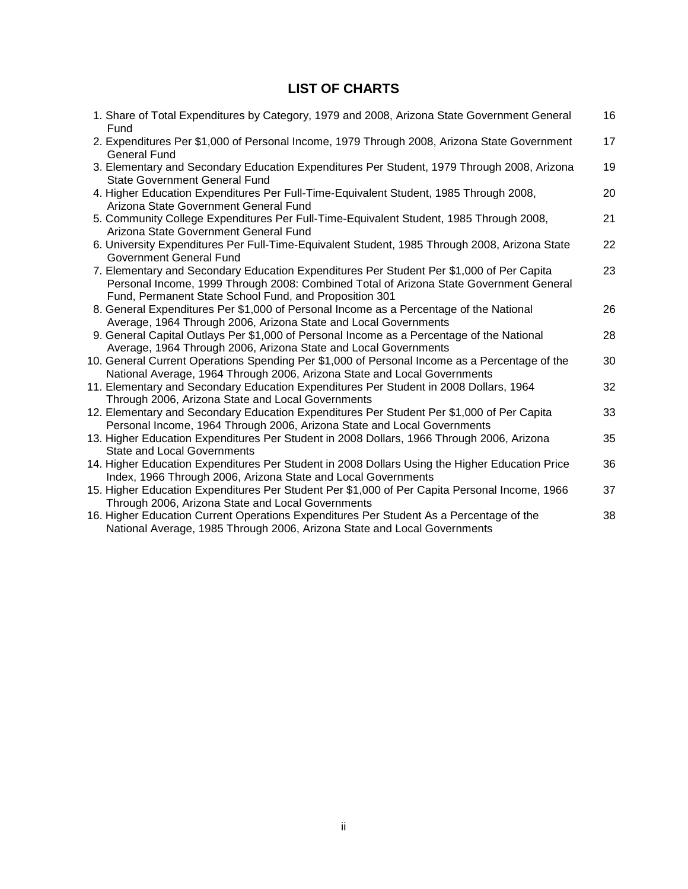## **LIST OF CHARTS**

| 1. Share of Total Expenditures by Category, 1979 and 2008, Arizona State Government General<br>Fund                                                                                                                                          | 16 |
|----------------------------------------------------------------------------------------------------------------------------------------------------------------------------------------------------------------------------------------------|----|
| 2. Expenditures Per \$1,000 of Personal Income, 1979 Through 2008, Arizona State Government<br><b>General Fund</b>                                                                                                                           | 17 |
| 3. Elementary and Secondary Education Expenditures Per Student, 1979 Through 2008, Arizona<br><b>State Government General Fund</b>                                                                                                           | 19 |
| 4. Higher Education Expenditures Per Full-Time-Equivalent Student, 1985 Through 2008,<br>Arizona State Government General Fund                                                                                                               | 20 |
| 5. Community College Expenditures Per Full-Time-Equivalent Student, 1985 Through 2008,<br>Arizona State Government General Fund                                                                                                              | 21 |
| 6. University Expenditures Per Full-Time-Equivalent Student, 1985 Through 2008, Arizona State<br>Government General Fund                                                                                                                     | 22 |
| 7. Elementary and Secondary Education Expenditures Per Student Per \$1,000 of Per Capita<br>Personal Income, 1999 Through 2008: Combined Total of Arizona State Government General<br>Fund, Permanent State School Fund, and Proposition 301 | 23 |
| 8. General Expenditures Per \$1,000 of Personal Income as a Percentage of the National<br>Average, 1964 Through 2006, Arizona State and Local Governments                                                                                    | 26 |
| 9. General Capital Outlays Per \$1,000 of Personal Income as a Percentage of the National<br>Average, 1964 Through 2006, Arizona State and Local Governments                                                                                 | 28 |
| 10. General Current Operations Spending Per \$1,000 of Personal Income as a Percentage of the<br>National Average, 1964 Through 2006, Arizona State and Local Governments                                                                    | 30 |
| 11. Elementary and Secondary Education Expenditures Per Student in 2008 Dollars, 1964<br>Through 2006, Arizona State and Local Governments                                                                                                   | 32 |
| 12. Elementary and Secondary Education Expenditures Per Student Per \$1,000 of Per Capita<br>Personal Income, 1964 Through 2006, Arizona State and Local Governments                                                                         | 33 |
| 13. Higher Education Expenditures Per Student in 2008 Dollars, 1966 Through 2006, Arizona<br><b>State and Local Governments</b>                                                                                                              | 35 |
| 14. Higher Education Expenditures Per Student in 2008 Dollars Using the Higher Education Price<br>Index, 1966 Through 2006, Arizona State and Local Governments                                                                              | 36 |
| 15. Higher Education Expenditures Per Student Per \$1,000 of Per Capita Personal Income, 1966<br>Through 2006, Arizona State and Local Governments                                                                                           | 37 |
| 16. Higher Education Current Operations Expenditures Per Student As a Percentage of the<br>National Average, 1985 Through 2006, Arizona State and Local Governments                                                                          | 38 |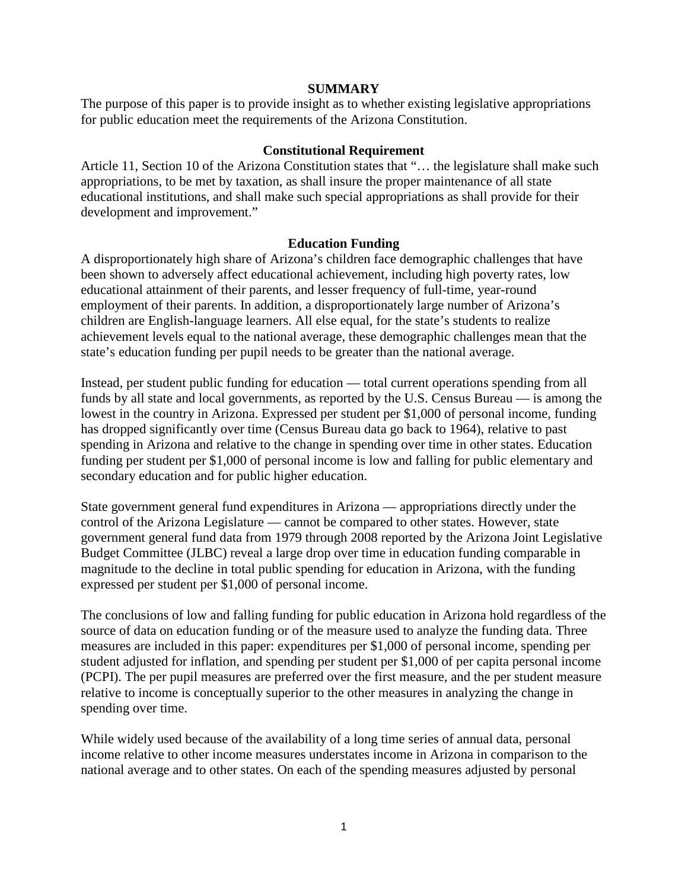#### **SUMMARY**

The purpose of this paper is to provide insight as to whether existing legislative appropriations for public education meet the requirements of the Arizona Constitution.

#### **Constitutional Requirement**

Article 11, Section 10 of the Arizona Constitution states that "… the legislature shall make such appropriations, to be met by taxation, as shall insure the proper maintenance of all state educational institutions, and shall make such special appropriations as shall provide for their development and improvement."

#### **Education Funding**

A disproportionately high share of Arizona's children face demographic challenges that have been shown to adversely affect educational achievement, including high poverty rates, low educational attainment of their parents, and lesser frequency of full-time, year-round employment of their parents. In addition, a disproportionately large number of Arizona's children are English-language learners. All else equal, for the state's students to realize achievement levels equal to the national average, these demographic challenges mean that the state's education funding per pupil needs to be greater than the national average.

Instead, per student public funding for education — total current operations spending from all funds by all state and local governments, as reported by the U.S. Census Bureau — is among the lowest in the country in Arizona. Expressed per student per \$1,000 of personal income, funding has dropped significantly over time (Census Bureau data go back to 1964), relative to past spending in Arizona and relative to the change in spending over time in other states. Education funding per student per \$1,000 of personal income is low and falling for public elementary and secondary education and for public higher education.

State government general fund expenditures in Arizona — appropriations directly under the control of the Arizona Legislature — cannot be compared to other states. However, state government general fund data from 1979 through 2008 reported by the Arizona Joint Legislative Budget Committee (JLBC) reveal a large drop over time in education funding comparable in magnitude to the decline in total public spending for education in Arizona, with the funding expressed per student per \$1,000 of personal income.

The conclusions of low and falling funding for public education in Arizona hold regardless of the source of data on education funding or of the measure used to analyze the funding data. Three measures are included in this paper: expenditures per \$1,000 of personal income, spending per student adjusted for inflation, and spending per student per \$1,000 of per capita personal income (PCPI). The per pupil measures are preferred over the first measure, and the per student measure relative to income is conceptually superior to the other measures in analyzing the change in spending over time.

While widely used because of the availability of a long time series of annual data, personal income relative to other income measures understates income in Arizona in comparison to the national average and to other states. On each of the spending measures adjusted by personal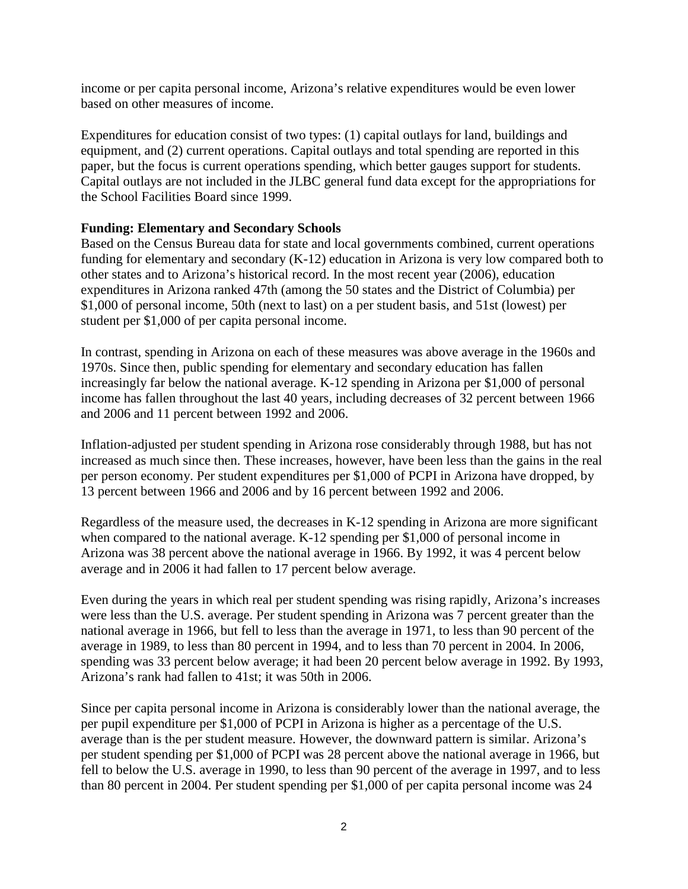income or per capita personal income, Arizona's relative expenditures would be even lower based on other measures of income.

Expenditures for education consist of two types: (1) capital outlays for land, buildings and equipment, and (2) current operations. Capital outlays and total spending are reported in this paper, but the focus is current operations spending, which better gauges support for students. Capital outlays are not included in the JLBC general fund data except for the appropriations for the School Facilities Board since 1999.

## **Funding: Elementary and Secondary Schools**

Based on the Census Bureau data for state and local governments combined, current operations funding for elementary and secondary (K-12) education in Arizona is very low compared both to other states and to Arizona's historical record. In the most recent year (2006), education expenditures in Arizona ranked 47th (among the 50 states and the District of Columbia) per \$1,000 of personal income, 50th (next to last) on a per student basis, and 51st (lowest) per student per \$1,000 of per capita personal income.

In contrast, spending in Arizona on each of these measures was above average in the 1960s and 1970s. Since then, public spending for elementary and secondary education has fallen increasingly far below the national average. K-12 spending in Arizona per \$1,000 of personal income has fallen throughout the last 40 years, including decreases of 32 percent between 1966 and 2006 and 11 percent between 1992 and 2006.

Inflation-adjusted per student spending in Arizona rose considerably through 1988, but has not increased as much since then. These increases, however, have been less than the gains in the real per person economy. Per student expenditures per \$1,000 of PCPI in Arizona have dropped, by 13 percent between 1966 and 2006 and by 16 percent between 1992 and 2006.

Regardless of the measure used, the decreases in K-12 spending in Arizona are more significant when compared to the national average. K-12 spending per \$1,000 of personal income in Arizona was 38 percent above the national average in 1966. By 1992, it was 4 percent below average and in 2006 it had fallen to 17 percent below average.

Even during the years in which real per student spending was rising rapidly, Arizona's increases were less than the U.S. average. Per student spending in Arizona was 7 percent greater than the national average in 1966, but fell to less than the average in 1971, to less than 90 percent of the average in 1989, to less than 80 percent in 1994, and to less than 70 percent in 2004. In 2006, spending was 33 percent below average; it had been 20 percent below average in 1992. By 1993, Arizona's rank had fallen to 41st; it was 50th in 2006.

Since per capita personal income in Arizona is considerably lower than the national average, the per pupil expenditure per \$1,000 of PCPI in Arizona is higher as a percentage of the U.S. average than is the per student measure. However, the downward pattern is similar. Arizona's per student spending per \$1,000 of PCPI was 28 percent above the national average in 1966, but fell to below the U.S. average in 1990, to less than 90 percent of the average in 1997, and to less than 80 percent in 2004. Per student spending per \$1,000 of per capita personal income was 24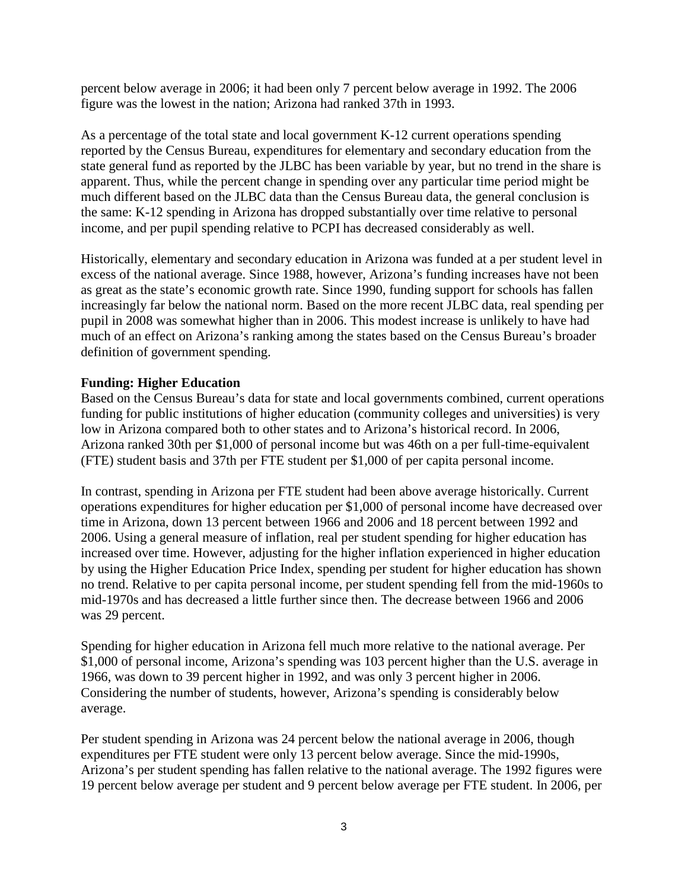percent below average in 2006; it had been only 7 percent below average in 1992. The 2006 figure was the lowest in the nation; Arizona had ranked 37th in 1993.

As a percentage of the total state and local government K-12 current operations spending reported by the Census Bureau, expenditures for elementary and secondary education from the state general fund as reported by the JLBC has been variable by year, but no trend in the share is apparent. Thus, while the percent change in spending over any particular time period might be much different based on the JLBC data than the Census Bureau data, the general conclusion is the same: K-12 spending in Arizona has dropped substantially over time relative to personal income, and per pupil spending relative to PCPI has decreased considerably as well.

Historically, elementary and secondary education in Arizona was funded at a per student level in excess of the national average. Since 1988, however, Arizona's funding increases have not been as great as the state's economic growth rate. Since 1990, funding support for schools has fallen increasingly far below the national norm. Based on the more recent JLBC data, real spending per pupil in 2008 was somewhat higher than in 2006. This modest increase is unlikely to have had much of an effect on Arizona's ranking among the states based on the Census Bureau's broader definition of government spending.

## **Funding: Higher Education**

Based on the Census Bureau's data for state and local governments combined, current operations funding for public institutions of higher education (community colleges and universities) is very low in Arizona compared both to other states and to Arizona's historical record. In 2006, Arizona ranked 30th per \$1,000 of personal income but was 46th on a per full-time-equivalent (FTE) student basis and 37th per FTE student per \$1,000 of per capita personal income.

In contrast, spending in Arizona per FTE student had been above average historically. Current operations expenditures for higher education per \$1,000 of personal income have decreased over time in Arizona, down 13 percent between 1966 and 2006 and 18 percent between 1992 and 2006. Using a general measure of inflation, real per student spending for higher education has increased over time. However, adjusting for the higher inflation experienced in higher education by using the Higher Education Price Index, spending per student for higher education has shown no trend. Relative to per capita personal income, per student spending fell from the mid-1960s to mid-1970s and has decreased a little further since then. The decrease between 1966 and 2006 was 29 percent.

Spending for higher education in Arizona fell much more relative to the national average. Per \$1,000 of personal income, Arizona's spending was 103 percent higher than the U.S. average in 1966, was down to 39 percent higher in 1992, and was only 3 percent higher in 2006. Considering the number of students, however, Arizona's spending is considerably below average.

Per student spending in Arizona was 24 percent below the national average in 2006, though expenditures per FTE student were only 13 percent below average. Since the mid-1990s, Arizona's per student spending has fallen relative to the national average. The 1992 figures were 19 percent below average per student and 9 percent below average per FTE student. In 2006, per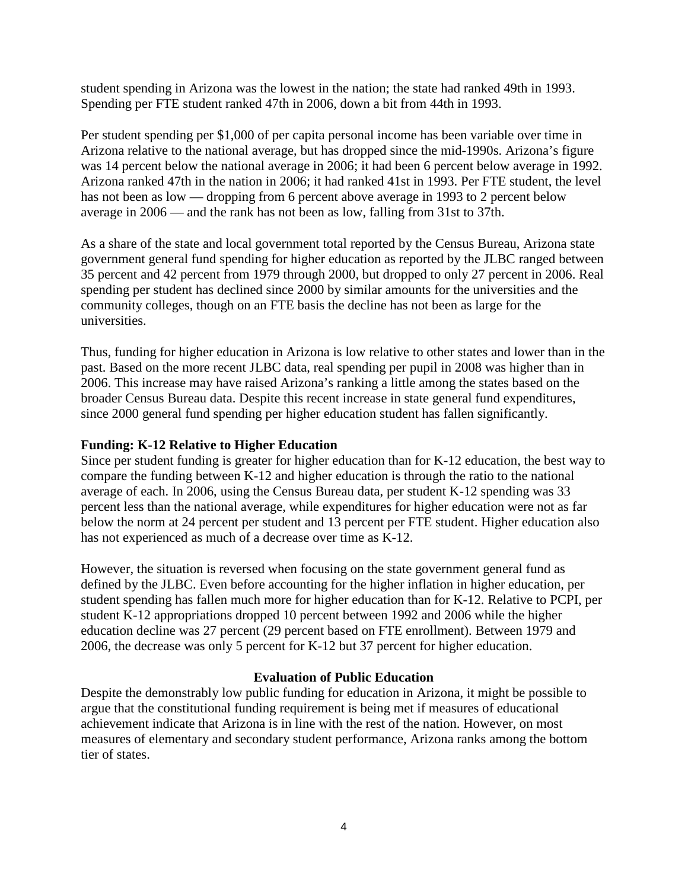student spending in Arizona was the lowest in the nation; the state had ranked 49th in 1993. Spending per FTE student ranked 47th in 2006, down a bit from 44th in 1993.

Per student spending per \$1,000 of per capita personal income has been variable over time in Arizona relative to the national average, but has dropped since the mid-1990s. Arizona's figure was 14 percent below the national average in 2006; it had been 6 percent below average in 1992. Arizona ranked 47th in the nation in 2006; it had ranked 41st in 1993. Per FTE student, the level has not been as low — dropping from 6 percent above average in 1993 to 2 percent below average in 2006 — and the rank has not been as low, falling from 31st to 37th.

As a share of the state and local government total reported by the Census Bureau, Arizona state government general fund spending for higher education as reported by the JLBC ranged between 35 percent and 42 percent from 1979 through 2000, but dropped to only 27 percent in 2006. Real spending per student has declined since 2000 by similar amounts for the universities and the community colleges, though on an FTE basis the decline has not been as large for the universities.

Thus, funding for higher education in Arizona is low relative to other states and lower than in the past. Based on the more recent JLBC data, real spending per pupil in 2008 was higher than in 2006. This increase may have raised Arizona's ranking a little among the states based on the broader Census Bureau data. Despite this recent increase in state general fund expenditures, since 2000 general fund spending per higher education student has fallen significantly.

## **Funding: K-12 Relative to Higher Education**

Since per student funding is greater for higher education than for K-12 education, the best way to compare the funding between K-12 and higher education is through the ratio to the national average of each. In 2006, using the Census Bureau data, per student K-12 spending was 33 percent less than the national average, while expenditures for higher education were not as far below the norm at 24 percent per student and 13 percent per FTE student. Higher education also has not experienced as much of a decrease over time as K-12.

However, the situation is reversed when focusing on the state government general fund as defined by the JLBC. Even before accounting for the higher inflation in higher education, per student spending has fallen much more for higher education than for K-12. Relative to PCPI, per student K-12 appropriations dropped 10 percent between 1992 and 2006 while the higher education decline was 27 percent (29 percent based on FTE enrollment). Between 1979 and 2006, the decrease was only 5 percent for K-12 but 37 percent for higher education.

## **Evaluation of Public Education**

Despite the demonstrably low public funding for education in Arizona, it might be possible to argue that the constitutional funding requirement is being met if measures of educational achievement indicate that Arizona is in line with the rest of the nation. However, on most measures of elementary and secondary student performance, Arizona ranks among the bottom tier of states.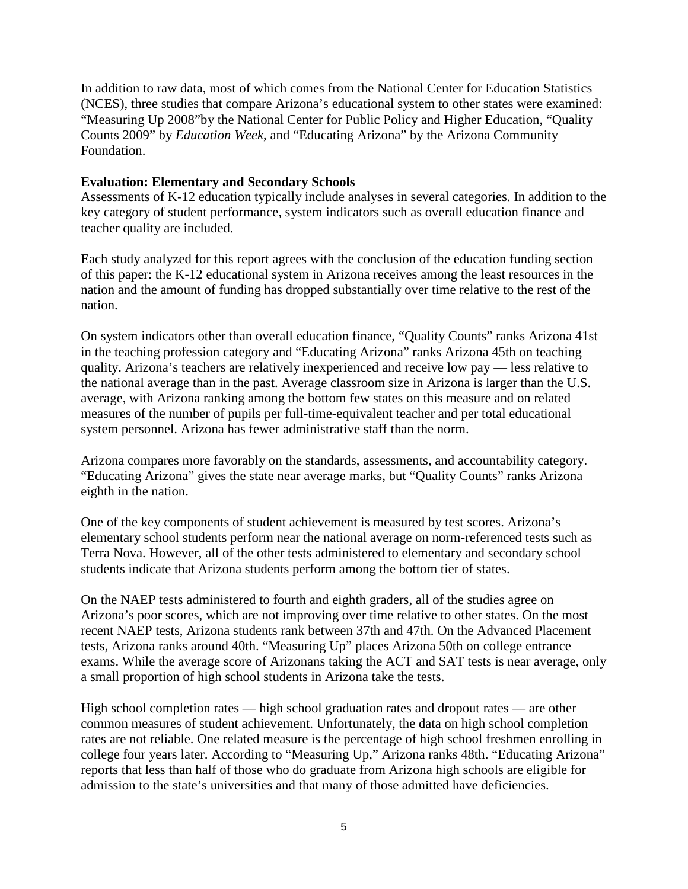In addition to raw data, most of which comes from the National Center for Education Statistics (NCES), three studies that compare Arizona's educational system to other states were examined: "Measuring Up 2008"by the National Center for Public Policy and Higher Education, "Quality Counts 2009" by *Education Week*, and "Educating Arizona" by the Arizona Community Foundation.

#### **Evaluation: Elementary and Secondary Schools**

Assessments of K-12 education typically include analyses in several categories. In addition to the key category of student performance, system indicators such as overall education finance and teacher quality are included.

Each study analyzed for this report agrees with the conclusion of the education funding section of this paper: the K-12 educational system in Arizona receives among the least resources in the nation and the amount of funding has dropped substantially over time relative to the rest of the nation.

On system indicators other than overall education finance, "Quality Counts" ranks Arizona 41st in the teaching profession category and "Educating Arizona" ranks Arizona 45th on teaching quality. Arizona's teachers are relatively inexperienced and receive low pay — less relative to the national average than in the past. Average classroom size in Arizona is larger than the U.S. average, with Arizona ranking among the bottom few states on this measure and on related measures of the number of pupils per full-time-equivalent teacher and per total educational system personnel. Arizona has fewer administrative staff than the norm.

Arizona compares more favorably on the standards, assessments, and accountability category. "Educating Arizona" gives the state near average marks, but "Quality Counts" ranks Arizona eighth in the nation.

One of the key components of student achievement is measured by test scores. Arizona's elementary school students perform near the national average on norm-referenced tests such as Terra Nova. However, all of the other tests administered to elementary and secondary school students indicate that Arizona students perform among the bottom tier of states.

On the NAEP tests administered to fourth and eighth graders, all of the studies agree on Arizona's poor scores, which are not improving over time relative to other states. On the most recent NAEP tests, Arizona students rank between 37th and 47th. On the Advanced Placement tests, Arizona ranks around 40th. "Measuring Up" places Arizona 50th on college entrance exams. While the average score of Arizonans taking the ACT and SAT tests is near average, only a small proportion of high school students in Arizona take the tests.

High school completion rates — high school graduation rates and dropout rates — are other common measures of student achievement. Unfortunately, the data on high school completion rates are not reliable. One related measure is the percentage of high school freshmen enrolling in college four years later. According to "Measuring Up," Arizona ranks 48th. "Educating Arizona" reports that less than half of those who do graduate from Arizona high schools are eligible for admission to the state's universities and that many of those admitted have deficiencies.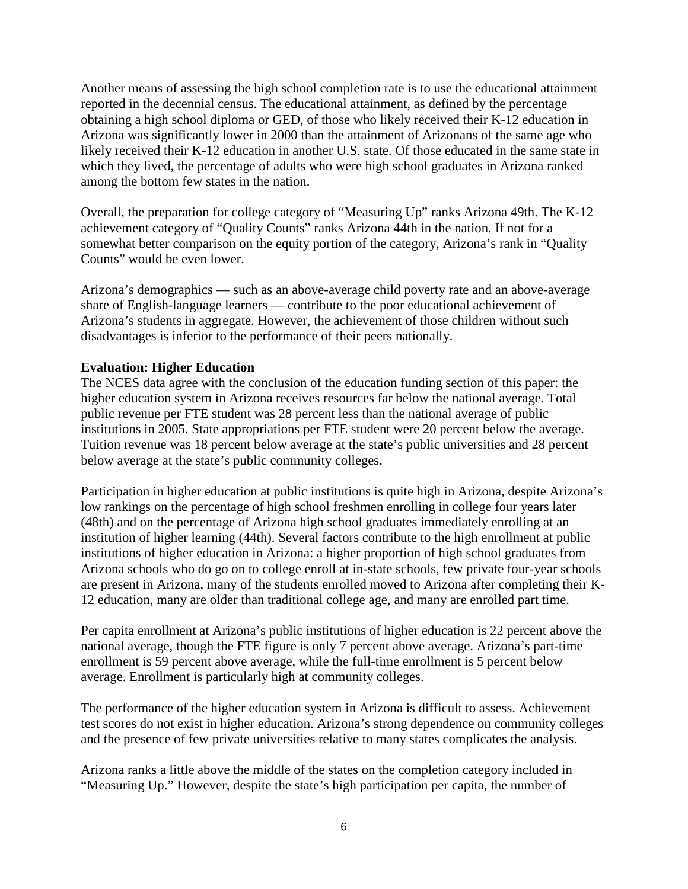Another means of assessing the high school completion rate is to use the educational attainment reported in the decennial census. The educational attainment, as defined by the percentage obtaining a high school diploma or GED, of those who likely received their K-12 education in Arizona was significantly lower in 2000 than the attainment of Arizonans of the same age who likely received their K-12 education in another U.S. state. Of those educated in the same state in which they lived, the percentage of adults who were high school graduates in Arizona ranked among the bottom few states in the nation.

Overall, the preparation for college category of "Measuring Up" ranks Arizona 49th. The K-12 achievement category of "Quality Counts" ranks Arizona 44th in the nation. If not for a somewhat better comparison on the equity portion of the category, Arizona's rank in "Quality Counts" would be even lower.

Arizona's demographics — such as an above-average child poverty rate and an above-average share of English-language learners — contribute to the poor educational achievement of Arizona's students in aggregate. However, the achievement of those children without such disadvantages is inferior to the performance of their peers nationally.

## **Evaluation: Higher Education**

The NCES data agree with the conclusion of the education funding section of this paper: the higher education system in Arizona receives resources far below the national average. Total public revenue per FTE student was 28 percent less than the national average of public institutions in 2005. State appropriations per FTE student were 20 percent below the average. Tuition revenue was 18 percent below average at the state's public universities and 28 percent below average at the state's public community colleges.

Participation in higher education at public institutions is quite high in Arizona, despite Arizona's low rankings on the percentage of high school freshmen enrolling in college four years later (48th) and on the percentage of Arizona high school graduates immediately enrolling at an institution of higher learning (44th). Several factors contribute to the high enrollment at public institutions of higher education in Arizona: a higher proportion of high school graduates from Arizona schools who do go on to college enroll at in-state schools, few private four-year schools are present in Arizona, many of the students enrolled moved to Arizona after completing their K-12 education, many are older than traditional college age, and many are enrolled part time.

Per capita enrollment at Arizona's public institutions of higher education is 22 percent above the national average, though the FTE figure is only 7 percent above average. Arizona's part-time enrollment is 59 percent above average, while the full-time enrollment is 5 percent below average. Enrollment is particularly high at community colleges.

The performance of the higher education system in Arizona is difficult to assess. Achievement test scores do not exist in higher education. Arizona's strong dependence on community colleges and the presence of few private universities relative to many states complicates the analysis.

Arizona ranks a little above the middle of the states on the completion category included in "Measuring Up." However, despite the state's high participation per capita, the number of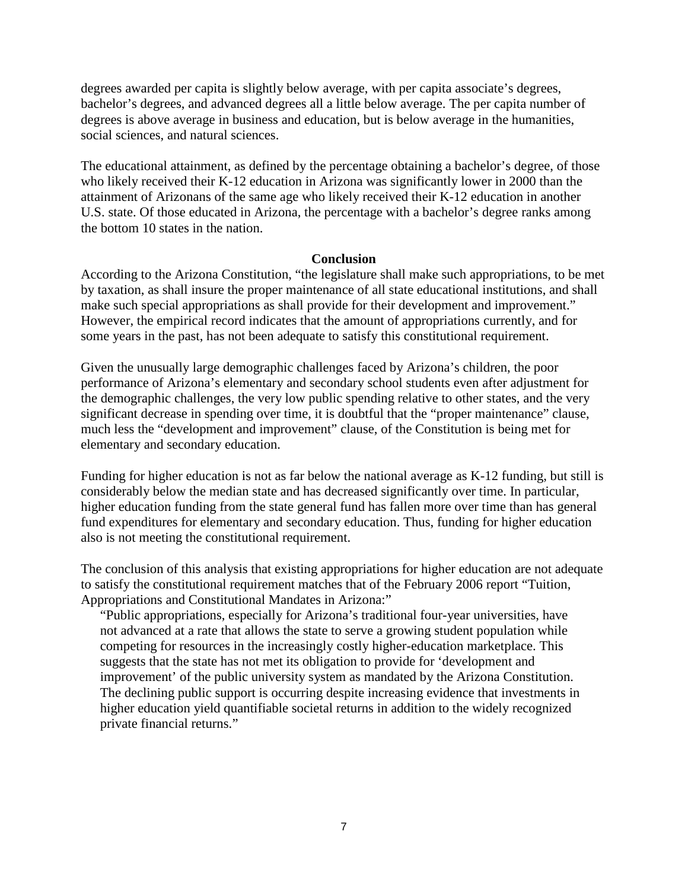degrees awarded per capita is slightly below average, with per capita associate's degrees, bachelor's degrees, and advanced degrees all a little below average. The per capita number of degrees is above average in business and education, but is below average in the humanities, social sciences, and natural sciences.

The educational attainment, as defined by the percentage obtaining a bachelor's degree, of those who likely received their K-12 education in Arizona was significantly lower in 2000 than the attainment of Arizonans of the same age who likely received their K-12 education in another U.S. state. Of those educated in Arizona, the percentage with a bachelor's degree ranks among the bottom 10 states in the nation.

#### **Conclusion**

According to the Arizona Constitution, "the legislature shall make such appropriations, to be met by taxation, as shall insure the proper maintenance of all state educational institutions, and shall make such special appropriations as shall provide for their development and improvement." However, the empirical record indicates that the amount of appropriations currently, and for some years in the past, has not been adequate to satisfy this constitutional requirement.

Given the unusually large demographic challenges faced by Arizona's children, the poor performance of Arizona's elementary and secondary school students even after adjustment for the demographic challenges, the very low public spending relative to other states, and the very significant decrease in spending over time, it is doubtful that the "proper maintenance" clause, much less the "development and improvement" clause, of the Constitution is being met for elementary and secondary education.

Funding for higher education is not as far below the national average as K-12 funding, but still is considerably below the median state and has decreased significantly over time. In particular, higher education funding from the state general fund has fallen more over time than has general fund expenditures for elementary and secondary education. Thus, funding for higher education also is not meeting the constitutional requirement.

The conclusion of this analysis that existing appropriations for higher education are not adequate to satisfy the constitutional requirement matches that of the February 2006 report "Tuition, Appropriations and Constitutional Mandates in Arizona:"

"Public appropriations, especially for Arizona's traditional four-year universities, have not advanced at a rate that allows the state to serve a growing student population while competing for resources in the increasingly costly higher-education marketplace. This suggests that the state has not met its obligation to provide for 'development and improvement' of the public university system as mandated by the Arizona Constitution. The declining public support is occurring despite increasing evidence that investments in higher education yield quantifiable societal returns in addition to the widely recognized private financial returns."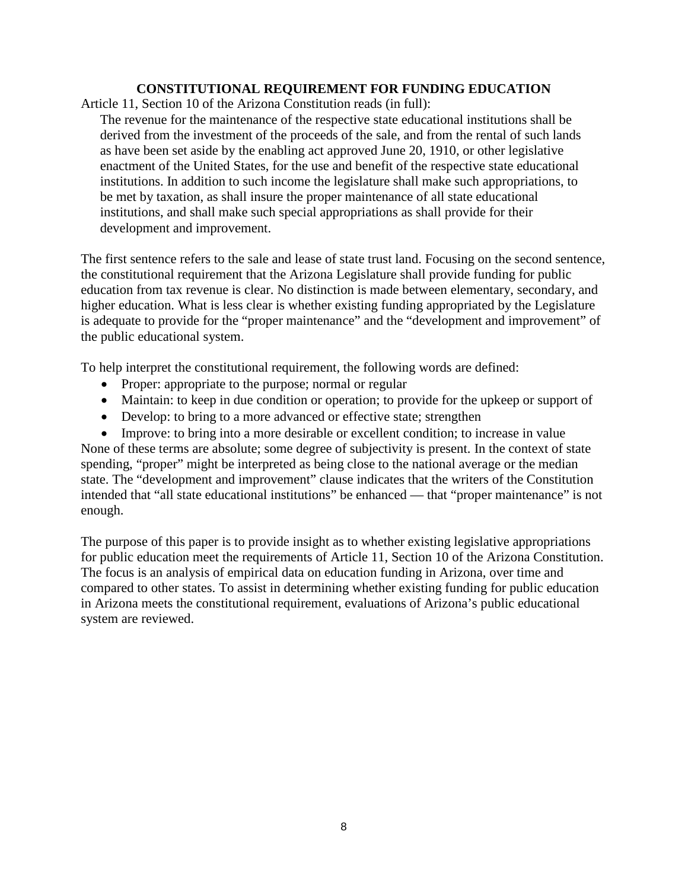## **CONSTITUTIONAL REQUIREMENT FOR FUNDING EDUCATION**

Article 11, Section 10 of the Arizona Constitution reads (in full):

The revenue for the maintenance of the respective state educational institutions shall be derived from the investment of the proceeds of the sale, and from the rental of such lands as have been set aside by the enabling act approved June 20, 1910, or other legislative enactment of the United States, for the use and benefit of the respective state educational institutions. In addition to such income the legislature shall make such appropriations, to be met by taxation, as shall insure the proper maintenance of all state educational institutions, and shall make such special appropriations as shall provide for their development and improvement.

The first sentence refers to the sale and lease of state trust land. Focusing on the second sentence, the constitutional requirement that the Arizona Legislature shall provide funding for public education from tax revenue is clear. No distinction is made between elementary, secondary, and higher education. What is less clear is whether existing funding appropriated by the Legislature is adequate to provide for the "proper maintenance" and the "development and improvement" of the public educational system.

To help interpret the constitutional requirement, the following words are defined:

- Proper: appropriate to the purpose; normal or regular
- Maintain: to keep in due condition or operation; to provide for the upkeep or support of
- Develop: to bring to a more advanced or effective state; strengthen

• Improve: to bring into a more desirable or excellent condition; to increase in value None of these terms are absolute; some degree of subjectivity is present. In the context of state spending, "proper" might be interpreted as being close to the national average or the median state. The "development and improvement" clause indicates that the writers of the Constitution intended that "all state educational institutions" be enhanced — that "proper maintenance" is not enough.

The purpose of this paper is to provide insight as to whether existing legislative appropriations for public education meet the requirements of Article 11, Section 10 of the Arizona Constitution. The focus is an analysis of empirical data on education funding in Arizona, over time and compared to other states. To assist in determining whether existing funding for public education in Arizona meets the constitutional requirement, evaluations of Arizona's public educational system are reviewed.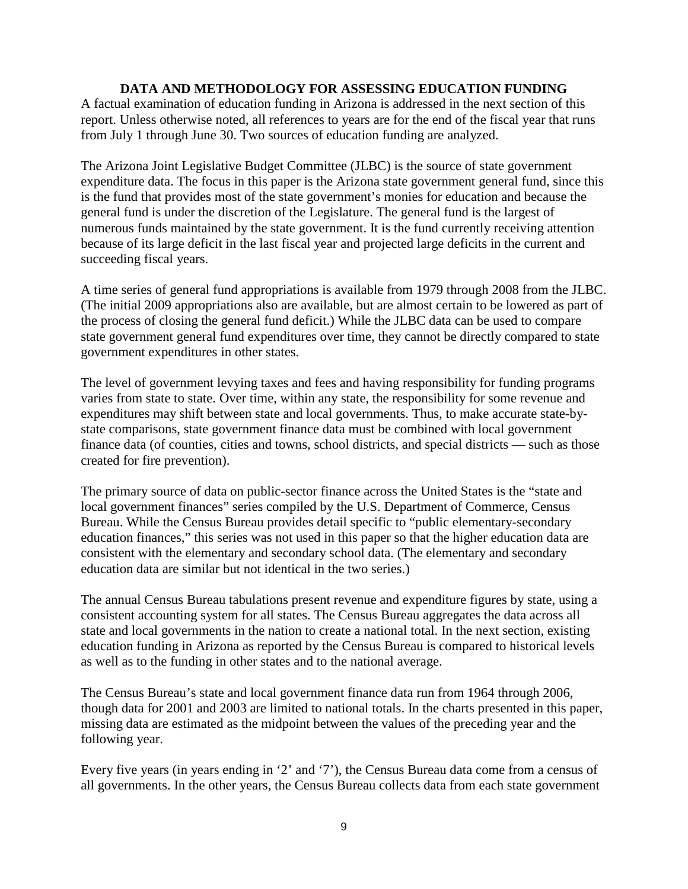## **DATA AND METHODOLOGY FOR ASSESSING EDUCATION FUNDING**

A factual examination of education funding in Arizona is addressed in the next section of this report. Unless otherwise noted, all references to years are for the end of the fiscal year that runs from July 1 through June 30. Two sources of education funding are analyzed.

The Arizona Joint Legislative Budget Committee (JLBC) is the source of state government expenditure data. The focus in this paper is the Arizona state government general fund, since this is the fund that provides most of the state government's monies for education and because the general fund is under the discretion of the Legislature. The general fund is the largest of numerous funds maintained by the state government. It is the fund currently receiving attention because of its large deficit in the last fiscal year and projected large deficits in the current and succeeding fiscal years.

A time series of general fund appropriations is available from 1979 through 2008 from the JLBC. (The initial 2009 appropriations also are available, but are almost certain to be lowered as part of the process of closing the general fund deficit.) While the JLBC data can be used to compare state government general fund expenditures over time, they cannot be directly compared to state government expenditures in other states.

The level of government levying taxes and fees and having responsibility for funding programs varies from state to state. Over time, within any state, the responsibility for some revenue and expenditures may shift between state and local governments. Thus, to make accurate state-bystate comparisons, state government finance data must be combined with local government finance data (of counties, cities and towns, school districts, and special districts — such as those created for fire prevention).

The primary source of data on public-sector finance across the United States is the "state and local government finances" series compiled by the U.S. Department of Commerce, Census Bureau. While the Census Bureau provides detail specific to "public elementary-secondary education finances," this series was not used in this paper so that the higher education data are consistent with the elementary and secondary school data. (The elementary and secondary education data are similar but not identical in the two series.)

The annual Census Bureau tabulations present revenue and expenditure figures by state, using a consistent accounting system for all states. The Census Bureau aggregates the data across all state and local governments in the nation to create a national total. In the next section, existing education funding in Arizona as reported by the Census Bureau is compared to historical levels as well as to the funding in other states and to the national average.

The Census Bureau's state and local government finance data run from 1964 through 2006, though data for 2001 and 2003 are limited to national totals. In the charts presented in this paper, missing data are estimated as the midpoint between the values of the preceding year and the following year.

Every five years (in years ending in '2' and '7'), the Census Bureau data come from a census of all governments. In the other years, the Census Bureau collects data from each state government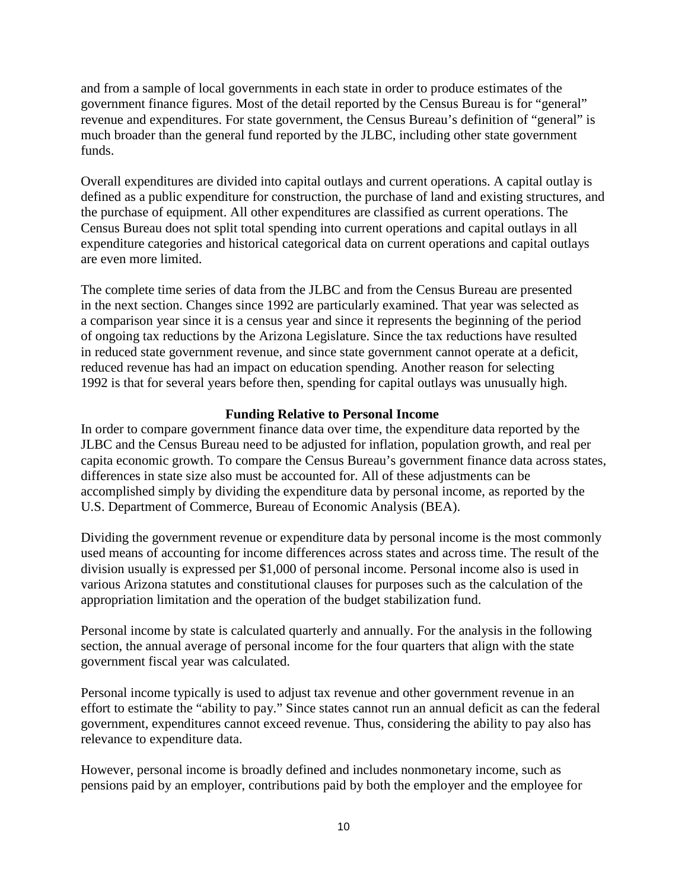and from a sample of local governments in each state in order to produce estimates of the government finance figures. Most of the detail reported by the Census Bureau is for "general" revenue and expenditures. For state government, the Census Bureau's definition of "general" is much broader than the general fund reported by the JLBC, including other state government funds.

Overall expenditures are divided into capital outlays and current operations. A capital outlay is defined as a public expenditure for construction, the purchase of land and existing structures, and the purchase of equipment. All other expenditures are classified as current operations. The Census Bureau does not split total spending into current operations and capital outlays in all expenditure categories and historical categorical data on current operations and capital outlays are even more limited.

The complete time series of data from the JLBC and from the Census Bureau are presented in the next section. Changes since 1992 are particularly examined. That year was selected as a comparison year since it is a census year and since it represents the beginning of the period of ongoing tax reductions by the Arizona Legislature. Since the tax reductions have resulted in reduced state government revenue, and since state government cannot operate at a deficit, reduced revenue has had an impact on education spending. Another reason for selecting 1992 is that for several years before then, spending for capital outlays was unusually high.

## **Funding Relative to Personal Income**

In order to compare government finance data over time, the expenditure data reported by the JLBC and the Census Bureau need to be adjusted for inflation, population growth, and real per capita economic growth. To compare the Census Bureau's government finance data across states, differences in state size also must be accounted for. All of these adjustments can be accomplished simply by dividing the expenditure data by personal income, as reported by the U.S. Department of Commerce, Bureau of Economic Analysis (BEA).

Dividing the government revenue or expenditure data by personal income is the most commonly used means of accounting for income differences across states and across time. The result of the division usually is expressed per \$1,000 of personal income. Personal income also is used in various Arizona statutes and constitutional clauses for purposes such as the calculation of the appropriation limitation and the operation of the budget stabilization fund.

Personal income by state is calculated quarterly and annually. For the analysis in the following section, the annual average of personal income for the four quarters that align with the state government fiscal year was calculated.

Personal income typically is used to adjust tax revenue and other government revenue in an effort to estimate the "ability to pay." Since states cannot run an annual deficit as can the federal government, expenditures cannot exceed revenue. Thus, considering the ability to pay also has relevance to expenditure data.

However, personal income is broadly defined and includes nonmonetary income, such as pensions paid by an employer, contributions paid by both the employer and the employee for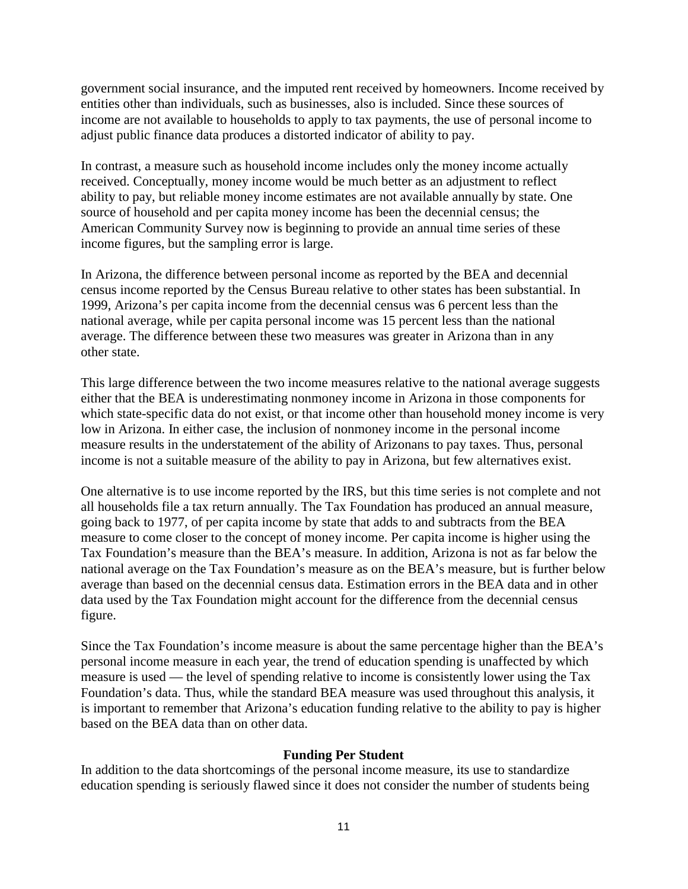government social insurance, and the imputed rent received by homeowners. Income received by entities other than individuals, such as businesses, also is included. Since these sources of income are not available to households to apply to tax payments, the use of personal income to adjust public finance data produces a distorted indicator of ability to pay.

In contrast, a measure such as household income includes only the money income actually received. Conceptually, money income would be much better as an adjustment to reflect ability to pay, but reliable money income estimates are not available annually by state. One source of household and per capita money income has been the decennial census; the American Community Survey now is beginning to provide an annual time series of these income figures, but the sampling error is large.

In Arizona, the difference between personal income as reported by the BEA and decennial census income reported by the Census Bureau relative to other states has been substantial. In 1999, Arizona's per capita income from the decennial census was 6 percent less than the national average, while per capita personal income was 15 percent less than the national average. The difference between these two measures was greater in Arizona than in any other state.

This large difference between the two income measures relative to the national average suggests either that the BEA is underestimating nonmoney income in Arizona in those components for which state-specific data do not exist, or that income other than household money income is very low in Arizona. In either case, the inclusion of nonmoney income in the personal income measure results in the understatement of the ability of Arizonans to pay taxes. Thus, personal income is not a suitable measure of the ability to pay in Arizona, but few alternatives exist.

One alternative is to use income reported by the IRS, but this time series is not complete and not all households file a tax return annually. The Tax Foundation has produced an annual measure, going back to 1977, of per capita income by state that adds to and subtracts from the BEA measure to come closer to the concept of money income. Per capita income is higher using the Tax Foundation's measure than the BEA's measure. In addition, Arizona is not as far below the national average on the Tax Foundation's measure as on the BEA's measure, but is further below average than based on the decennial census data. Estimation errors in the BEA data and in other data used by the Tax Foundation might account for the difference from the decennial census figure.

Since the Tax Foundation's income measure is about the same percentage higher than the BEA's personal income measure in each year, the trend of education spending is unaffected by which measure is used — the level of spending relative to income is consistently lower using the Tax Foundation's data. Thus, while the standard BEA measure was used throughout this analysis, it is important to remember that Arizona's education funding relative to the ability to pay is higher based on the BEA data than on other data.

#### **Funding Per Student**

In addition to the data shortcomings of the personal income measure, its use to standardize education spending is seriously flawed since it does not consider the number of students being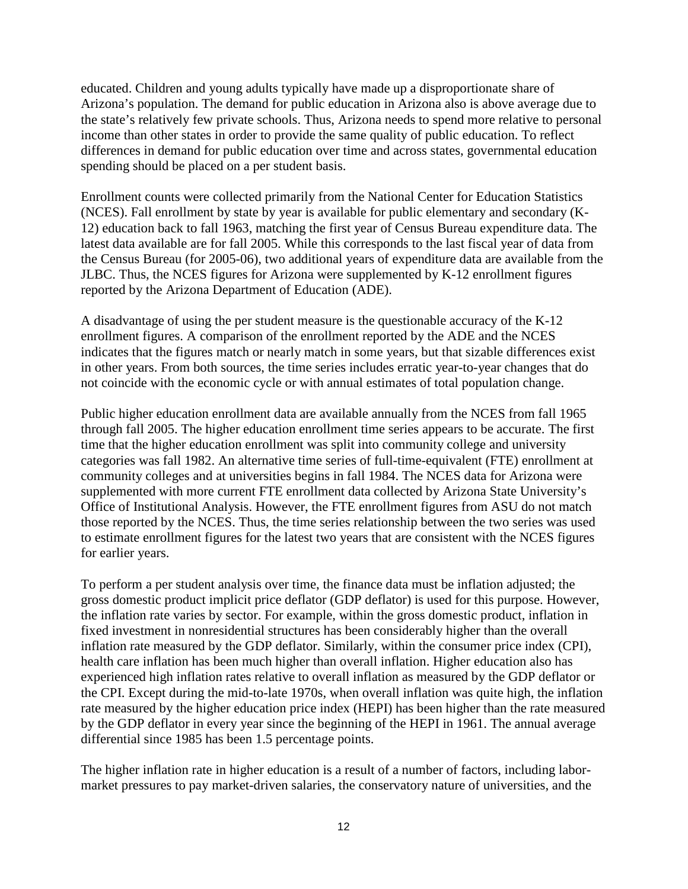educated. Children and young adults typically have made up a disproportionate share of Arizona's population. The demand for public education in Arizona also is above average due to the state's relatively few private schools. Thus, Arizona needs to spend more relative to personal income than other states in order to provide the same quality of public education. To reflect differences in demand for public education over time and across states, governmental education spending should be placed on a per student basis.

Enrollment counts were collected primarily from the National Center for Education Statistics (NCES). Fall enrollment by state by year is available for public elementary and secondary (K-12) education back to fall 1963, matching the first year of Census Bureau expenditure data. The latest data available are for fall 2005. While this corresponds to the last fiscal year of data from the Census Bureau (for 2005-06), two additional years of expenditure data are available from the JLBC. Thus, the NCES figures for Arizona were supplemented by K-12 enrollment figures reported by the Arizona Department of Education (ADE).

A disadvantage of using the per student measure is the questionable accuracy of the K-12 enrollment figures. A comparison of the enrollment reported by the ADE and the NCES indicates that the figures match or nearly match in some years, but that sizable differences exist in other years. From both sources, the time series includes erratic year-to-year changes that do not coincide with the economic cycle or with annual estimates of total population change.

Public higher education enrollment data are available annually from the NCES from fall 1965 through fall 2005. The higher education enrollment time series appears to be accurate. The first time that the higher education enrollment was split into community college and university categories was fall 1982. An alternative time series of full-time-equivalent (FTE) enrollment at community colleges and at universities begins in fall 1984. The NCES data for Arizona were supplemented with more current FTE enrollment data collected by Arizona State University's Office of Institutional Analysis. However, the FTE enrollment figures from ASU do not match those reported by the NCES. Thus, the time series relationship between the two series was used to estimate enrollment figures for the latest two years that are consistent with the NCES figures for earlier years.

To perform a per student analysis over time, the finance data must be inflation adjusted; the gross domestic product implicit price deflator (GDP deflator) is used for this purpose. However, the inflation rate varies by sector. For example, within the gross domestic product, inflation in fixed investment in nonresidential structures has been considerably higher than the overall inflation rate measured by the GDP deflator. Similarly, within the consumer price index (CPI), health care inflation has been much higher than overall inflation. Higher education also has experienced high inflation rates relative to overall inflation as measured by the GDP deflator or the CPI. Except during the mid-to-late 1970s, when overall inflation was quite high, the inflation rate measured by the higher education price index (HEPI) has been higher than the rate measured by the GDP deflator in every year since the beginning of the HEPI in 1961. The annual average differential since 1985 has been 1.5 percentage points.

The higher inflation rate in higher education is a result of a number of factors, including labormarket pressures to pay market-driven salaries, the conservatory nature of universities, and the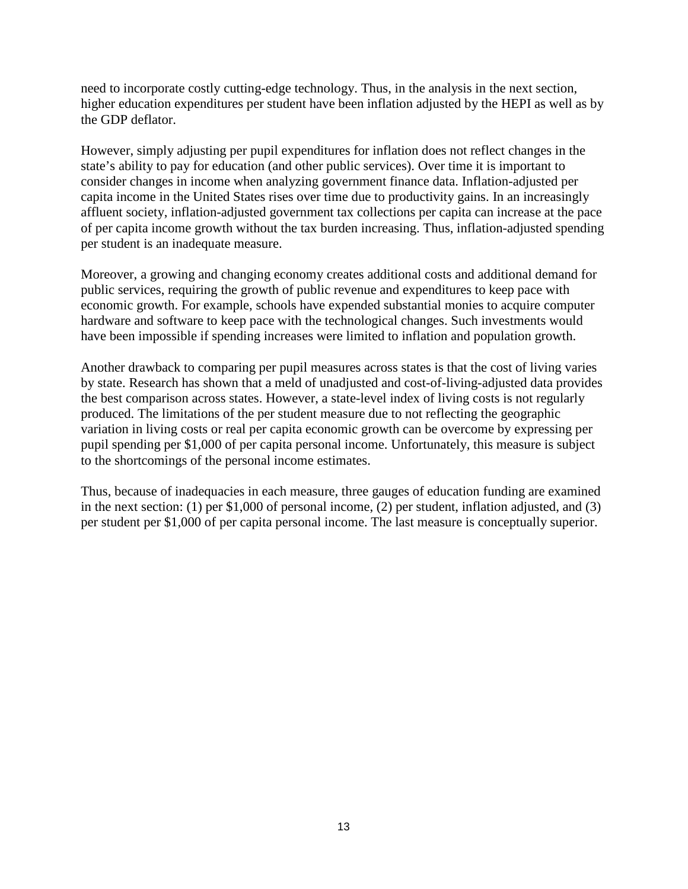need to incorporate costly cutting-edge technology. Thus, in the analysis in the next section, higher education expenditures per student have been inflation adjusted by the HEPI as well as by the GDP deflator.

However, simply adjusting per pupil expenditures for inflation does not reflect changes in the state's ability to pay for education (and other public services). Over time it is important to consider changes in income when analyzing government finance data. Inflation-adjusted per capita income in the United States rises over time due to productivity gains. In an increasingly affluent society, inflation-adjusted government tax collections per capita can increase at the pace of per capita income growth without the tax burden increasing. Thus, inflation-adjusted spending per student is an inadequate measure.

Moreover, a growing and changing economy creates additional costs and additional demand for public services, requiring the growth of public revenue and expenditures to keep pace with economic growth. For example, schools have expended substantial monies to acquire computer hardware and software to keep pace with the technological changes. Such investments would have been impossible if spending increases were limited to inflation and population growth.

Another drawback to comparing per pupil measures across states is that the cost of living varies by state. Research has shown that a meld of unadjusted and cost-of-living-adjusted data provides the best comparison across states. However, a state-level index of living costs is not regularly produced. The limitations of the per student measure due to not reflecting the geographic variation in living costs or real per capita economic growth can be overcome by expressing per pupil spending per \$1,000 of per capita personal income. Unfortunately, this measure is subject to the shortcomings of the personal income estimates.

Thus, because of inadequacies in each measure, three gauges of education funding are examined in the next section: (1) per \$1,000 of personal income, (2) per student, inflation adjusted, and (3) per student per \$1,000 of per capita personal income. The last measure is conceptually superior.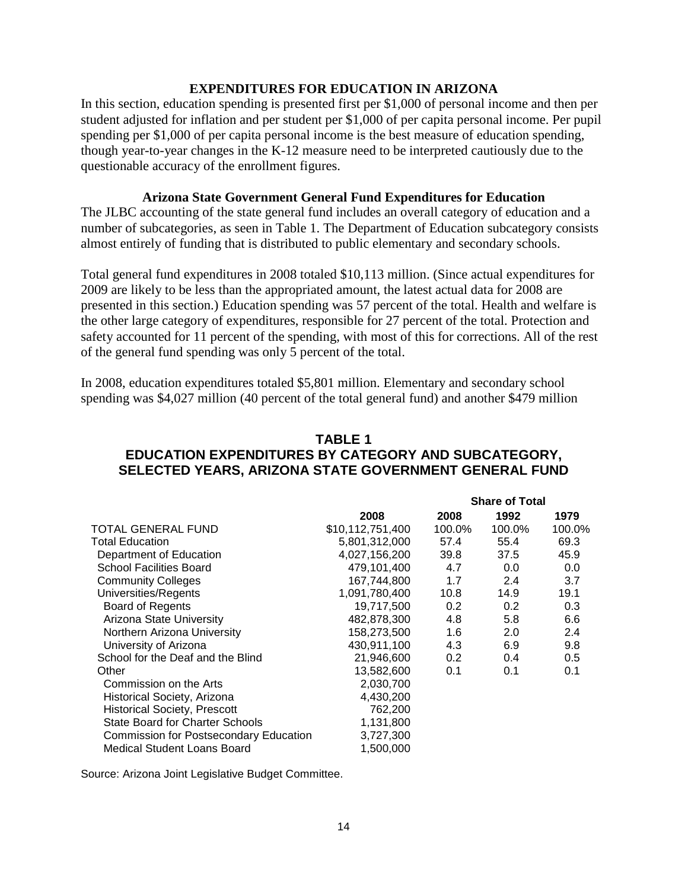#### **EXPENDITURES FOR EDUCATION IN ARIZONA**

In this section, education spending is presented first per \$1,000 of personal income and then per student adjusted for inflation and per student per \$1,000 of per capita personal income. Per pupil spending per \$1,000 of per capita personal income is the best measure of education spending, though year-to-year changes in the K-12 measure need to be interpreted cautiously due to the questionable accuracy of the enrollment figures.

#### **Arizona State Government General Fund Expenditures for Education**

The JLBC accounting of the state general fund includes an overall category of education and a number of subcategories, as seen in Table 1. The Department of Education subcategory consists almost entirely of funding that is distributed to public elementary and secondary schools.

Total general fund expenditures in 2008 totaled \$10,113 million. (Since actual expenditures for 2009 are likely to be less than the appropriated amount, the latest actual data for 2008 are presented in this section.) Education spending was 57 percent of the total. Health and welfare is the other large category of expenditures, responsible for 27 percent of the total. Protection and safety accounted for 11 percent of the spending, with most of this for corrections. All of the rest of the general fund spending was only 5 percent of the total.

In 2008, education expenditures totaled \$5,801 million. Elementary and secondary school spending was \$4,027 million (40 percent of the total general fund) and another \$479 million

## **TABLE 1 EDUCATION EXPENDITURES BY CATEGORY AND SUBCATEGORY, SELECTED YEARS, ARIZONA STATE GOVERNMENT GENERAL FUND**

|                                               |                  |                  | <b>Share of Total</b> |        |
|-----------------------------------------------|------------------|------------------|-----------------------|--------|
|                                               | 2008             | 2008             | 1992                  | 1979   |
| TOTAL GENERAL FUND                            | \$10,112,751,400 | 100.0%           | 100.0%                | 100.0% |
| <b>Total Education</b>                        | 5,801,312,000    | 57.4             | 55.4                  | 69.3   |
| Department of Education                       | 4,027,156,200    | 39.8             | 37.5                  | 45.9   |
| <b>School Facilities Board</b>                | 479,101,400      | 4.7              | 0.0                   | 0.0    |
| <b>Community Colleges</b>                     | 167,744,800      | 1.7              | 2.4                   | 3.7    |
| Universities/Regents                          | 1,091,780,400    | 10.8             | 14.9                  | 19.1   |
| <b>Board of Regents</b>                       | 19,717,500       | 0.2 <sub>0</sub> | 0.2 <sub>0</sub>      | 0.3    |
| Arizona State University                      | 482,878,300      | 4.8              | 5.8                   | 6.6    |
| Northern Arizona University                   | 158,273,500      | 1.6              | 2.0                   | 2.4    |
| University of Arizona                         | 430,911,100      | 4.3              | 6.9                   | 9.8    |
| School for the Deaf and the Blind             | 21,946,600       | 0.2 <sub>0</sub> | 0.4                   | 0.5    |
| Other                                         | 13,582,600       | 0.1              | 0.1                   | 0.1    |
| Commission on the Arts                        | 2,030,700        |                  |                       |        |
| Historical Society, Arizona                   | 4,430,200        |                  |                       |        |
| <b>Historical Society, Prescott</b>           | 762,200          |                  |                       |        |
| <b>State Board for Charter Schools</b>        | 1,131,800        |                  |                       |        |
| <b>Commission for Postsecondary Education</b> | 3,727,300        |                  |                       |        |
| <b>Medical Student Loans Board</b>            | 1,500,000        |                  |                       |        |

Source: Arizona Joint Legislative Budget Committee.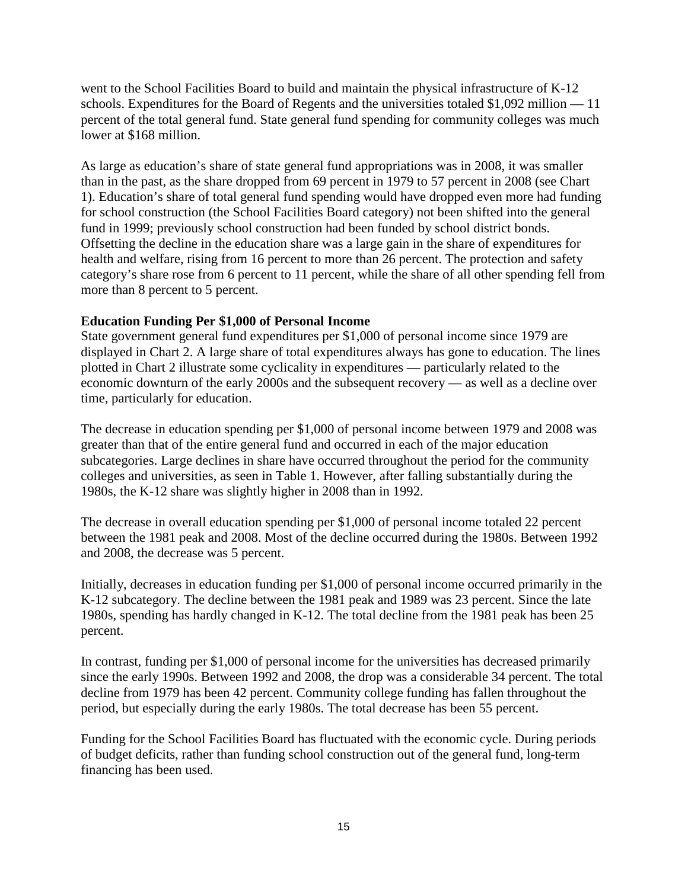went to the School Facilities Board to build and maintain the physical infrastructure of K-12 schools. Expenditures for the Board of Regents and the universities totaled  $$1,092$  million  $-11$ percent of the total general fund. State general fund spending for community colleges was much lower at \$168 million.

As large as education's share of state general fund appropriations was in 2008, it was smaller than in the past, as the share dropped from 69 percent in 1979 to 57 percent in 2008 (see Chart 1). Education's share of total general fund spending would have dropped even more had funding for school construction (the School Facilities Board category) not been shifted into the general fund in 1999; previously school construction had been funded by school district bonds. Offsetting the decline in the education share was a large gain in the share of expenditures for health and welfare, rising from 16 percent to more than 26 percent. The protection and safety category's share rose from 6 percent to 11 percent, while the share of all other spending fell from more than 8 percent to 5 percent.

## **Education Funding Per \$1,000 of Personal Income**

State government general fund expenditures per \$1,000 of personal income since 1979 are displayed in Chart 2. A large share of total expenditures always has gone to education. The lines plotted in Chart 2 illustrate some cyclicality in expenditures — particularly related to the economic downturn of the early 2000s and the subsequent recovery — as well as a decline over time, particularly for education.

The decrease in education spending per \$1,000 of personal income between 1979 and 2008 was greater than that of the entire general fund and occurred in each of the major education subcategories. Large declines in share have occurred throughout the period for the community colleges and universities, as seen in Table 1. However, after falling substantially during the 1980s, the K-12 share was slightly higher in 2008 than in 1992.

The decrease in overall education spending per \$1,000 of personal income totaled 22 percent between the 1981 peak and 2008. Most of the decline occurred during the 1980s. Between 1992 and 2008, the decrease was 5 percent.

Initially, decreases in education funding per \$1,000 of personal income occurred primarily in the K-12 subcategory. The decline between the 1981 peak and 1989 was 23 percent. Since the late 1980s, spending has hardly changed in K-12. The total decline from the 1981 peak has been 25 percent.

In contrast, funding per \$1,000 of personal income for the universities has decreased primarily since the early 1990s. Between 1992 and 2008, the drop was a considerable 34 percent. The total decline from 1979 has been 42 percent. Community college funding has fallen throughout the period, but especially during the early 1980s. The total decrease has been 55 percent.

Funding for the School Facilities Board has fluctuated with the economic cycle. During periods of budget deficits, rather than funding school construction out of the general fund, long-term financing has been used.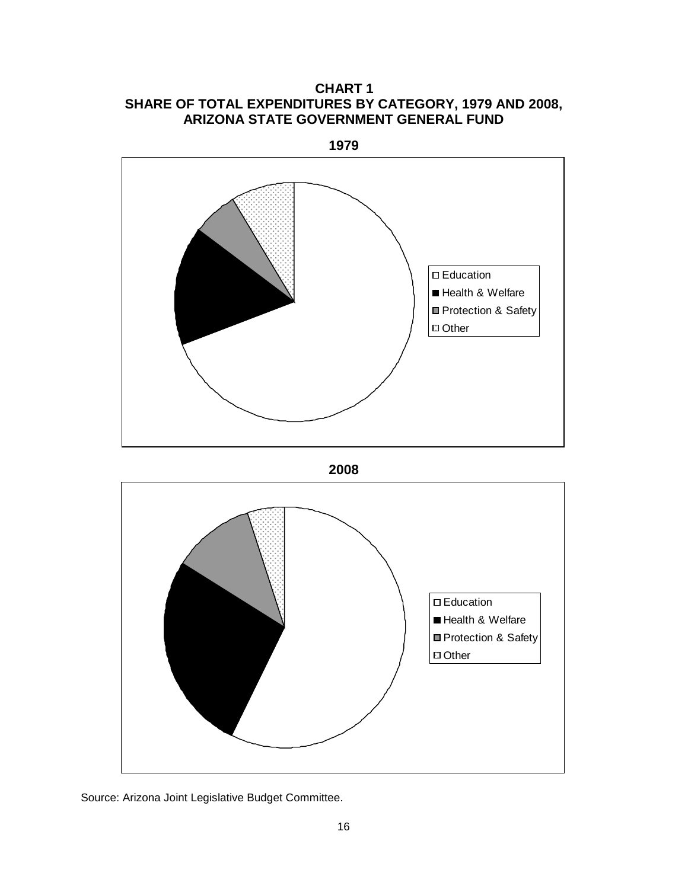**CHART 1 SHARE OF TOTAL EXPENDITURES BY CATEGORY, 1979 AND 2008, ARIZONA STATE GOVERNMENT GENERAL FUND**



**2008**



Source: Arizona Joint Legislative Budget Committee.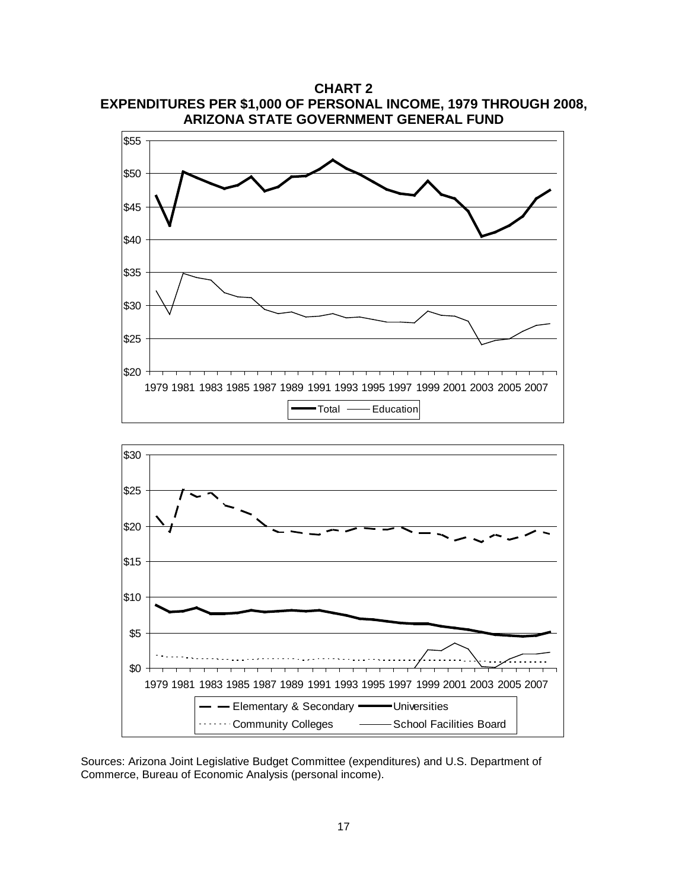**EXPENDITURES PER \$1,000 OF PERSONAL INCOME, 1979 THROUGH 2008, ARIZONA STATE GOVERNMENT GENERAL FUND** \$20 \$25 \$30 \$35 \$40 \$45 \$50 \$55 1979 1981 1983 1985 1987 1989 1991 1993 1995 1997 1999 2001 2003 2005 2007 Total - Education

**CHART 2**



Sources: Arizona Joint Legislative Budget Committee (expenditures) and U.S. Department of Commerce, Bureau of Economic Analysis (personal income).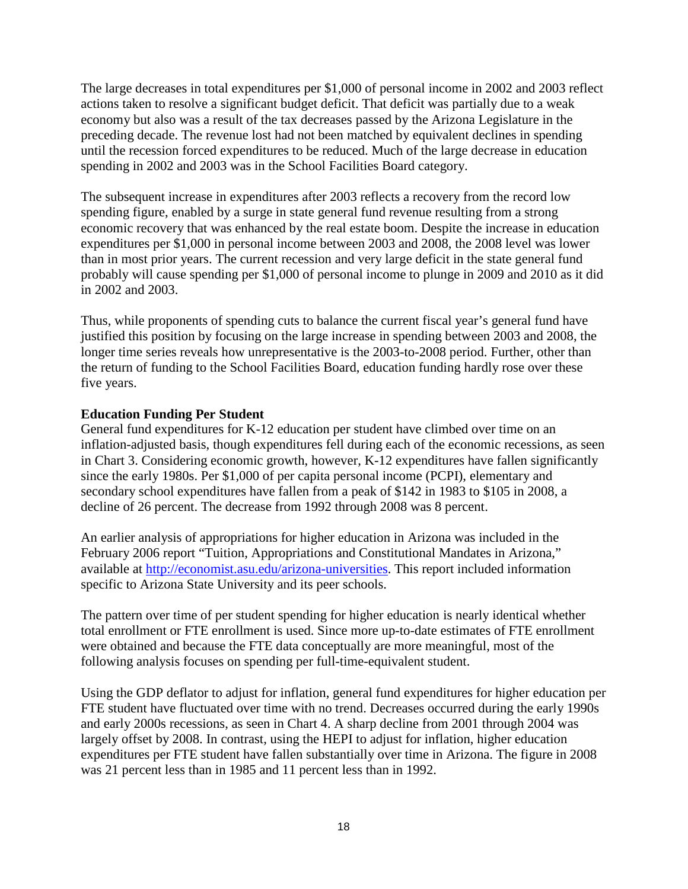The large decreases in total expenditures per \$1,000 of personal income in 2002 and 2003 reflect actions taken to resolve a significant budget deficit. That deficit was partially due to a weak economy but also was a result of the tax decreases passed by the Arizona Legislature in the preceding decade. The revenue lost had not been matched by equivalent declines in spending until the recession forced expenditures to be reduced. Much of the large decrease in education spending in 2002 and 2003 was in the School Facilities Board category.

The subsequent increase in expenditures after 2003 reflects a recovery from the record low spending figure, enabled by a surge in state general fund revenue resulting from a strong economic recovery that was enhanced by the real estate boom. Despite the increase in education expenditures per \$1,000 in personal income between 2003 and 2008, the 2008 level was lower than in most prior years. The current recession and very large deficit in the state general fund probably will cause spending per \$1,000 of personal income to plunge in 2009 and 2010 as it did in 2002 and 2003.

Thus, while proponents of spending cuts to balance the current fiscal year's general fund have justified this position by focusing on the large increase in spending between 2003 and 2008, the longer time series reveals how unrepresentative is the 2003-to-2008 period. Further, other than the return of funding to the School Facilities Board, education funding hardly rose over these five years.

## **Education Funding Per Student**

General fund expenditures for K-12 education per student have climbed over time on an inflation-adjusted basis, though expenditures fell during each of the economic recessions, as seen in Chart 3. Considering economic growth, however, K-12 expenditures have fallen significantly since the early 1980s. Per \$1,000 of per capita personal income (PCPI), elementary and secondary school expenditures have fallen from a peak of \$142 in 1983 to \$105 in 2008, a decline of 26 percent. The decrease from 1992 through 2008 was 8 percent.

An earlier analysis of appropriations for higher education in Arizona was included in the February 2006 report "Tuition, Appropriations and Constitutional Mandates in Arizona," available at [http://economist.asu.edu/arizona-universities.](http://economist.asu.edu/arizona-universities) This report included information specific to Arizona State University and its peer schools.

The pattern over time of per student spending for higher education is nearly identical whether total enrollment or FTE enrollment is used. Since more up-to-date estimates of FTE enrollment were obtained and because the FTE data conceptually are more meaningful, most of the following analysis focuses on spending per full-time-equivalent student.

Using the GDP deflator to adjust for inflation, general fund expenditures for higher education per FTE student have fluctuated over time with no trend. Decreases occurred during the early 1990s and early 2000s recessions, as seen in Chart 4. A sharp decline from 2001 through 2004 was largely offset by 2008. In contrast, using the HEPI to adjust for inflation, higher education expenditures per FTE student have fallen substantially over time in Arizona. The figure in 2008 was 21 percent less than in 1985 and 11 percent less than in 1992.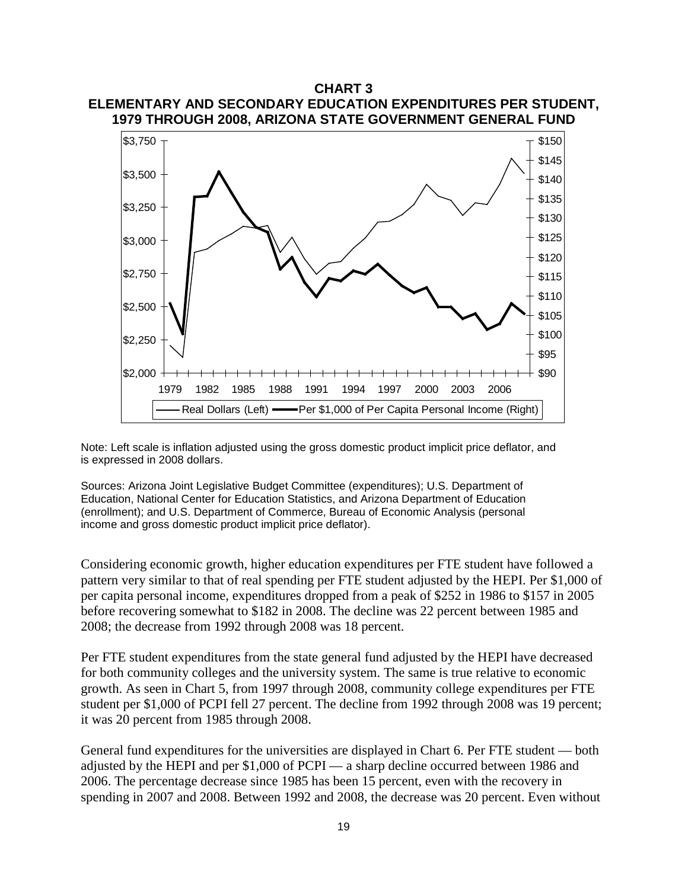## **CHART 3 ELEMENTARY AND SECONDARY EDUCATION EXPENDITURES PER STUDENT, 1979 THROUGH 2008, ARIZONA STATE GOVERNMENT GENERAL FUND**



Note: Left scale is inflation adjusted using the gross domestic product implicit price deflator, and is expressed in 2008 dollars.

Sources: Arizona Joint Legislative Budget Committee (expenditures); U.S. Department of Education, National Center for Education Statistics, and Arizona Department of Education (enrollment); and U.S. Department of Commerce, Bureau of Economic Analysis (personal income and gross domestic product implicit price deflator).

Considering economic growth, higher education expenditures per FTE student have followed a pattern very similar to that of real spending per FTE student adjusted by the HEPI. Per \$1,000 of per capita personal income, expenditures dropped from a peak of \$252 in 1986 to \$157 in 2005 before recovering somewhat to \$182 in 2008. The decline was 22 percent between 1985 and 2008; the decrease from 1992 through 2008 was 18 percent.

Per FTE student expenditures from the state general fund adjusted by the HEPI have decreased for both community colleges and the university system. The same is true relative to economic growth. As seen in Chart 5, from 1997 through 2008, community college expenditures per FTE student per \$1,000 of PCPI fell 27 percent. The decline from 1992 through 2008 was 19 percent; it was 20 percent from 1985 through 2008.

General fund expenditures for the universities are displayed in Chart 6. Per FTE student — both adjusted by the HEPI and per \$1,000 of PCPI — a sharp decline occurred between 1986 and 2006. The percentage decrease since 1985 has been 15 percent, even with the recovery in spending in 2007 and 2008. Between 1992 and 2008, the decrease was 20 percent. Even without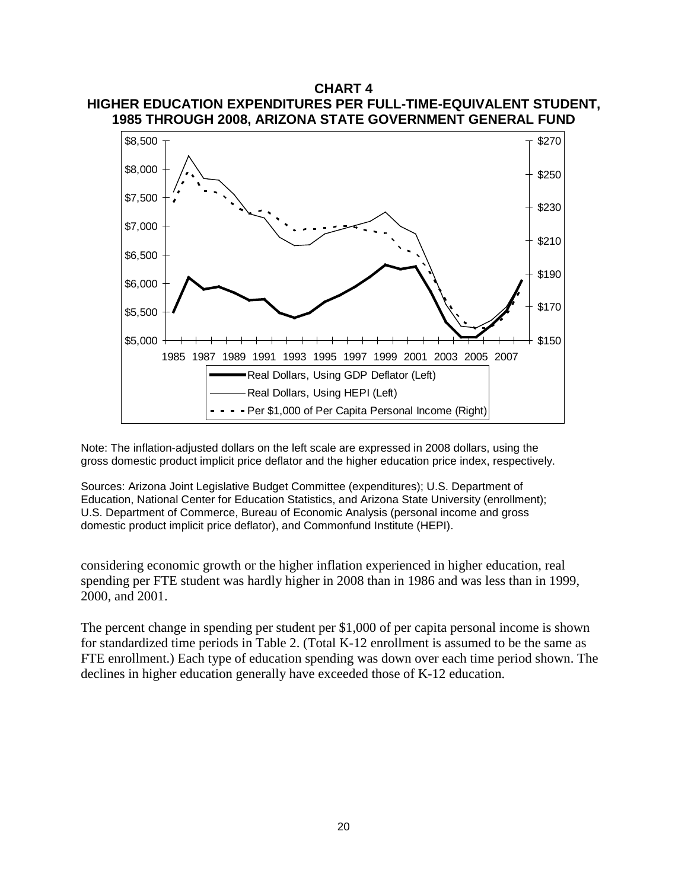

Note: The inflation-adjusted dollars on the left scale are expressed in 2008 dollars, using the gross domestic product implicit price deflator and the higher education price index, respectively.

Sources: Arizona Joint Legislative Budget Committee (expenditures); U.S. Department of Education, National Center for Education Statistics, and Arizona State University (enrollment); U.S. Department of Commerce, Bureau of Economic Analysis (personal income and gross domestic product implicit price deflator), and Commonfund Institute (HEPI).

considering economic growth or the higher inflation experienced in higher education, real spending per FTE student was hardly higher in 2008 than in 1986 and was less than in 1999, 2000, and 2001.

The percent change in spending per student per \$1,000 of per capita personal income is shown for standardized time periods in Table 2. (Total K-12 enrollment is assumed to be the same as FTE enrollment.) Each type of education spending was down over each time period shown. The declines in higher education generally have exceeded those of K-12 education.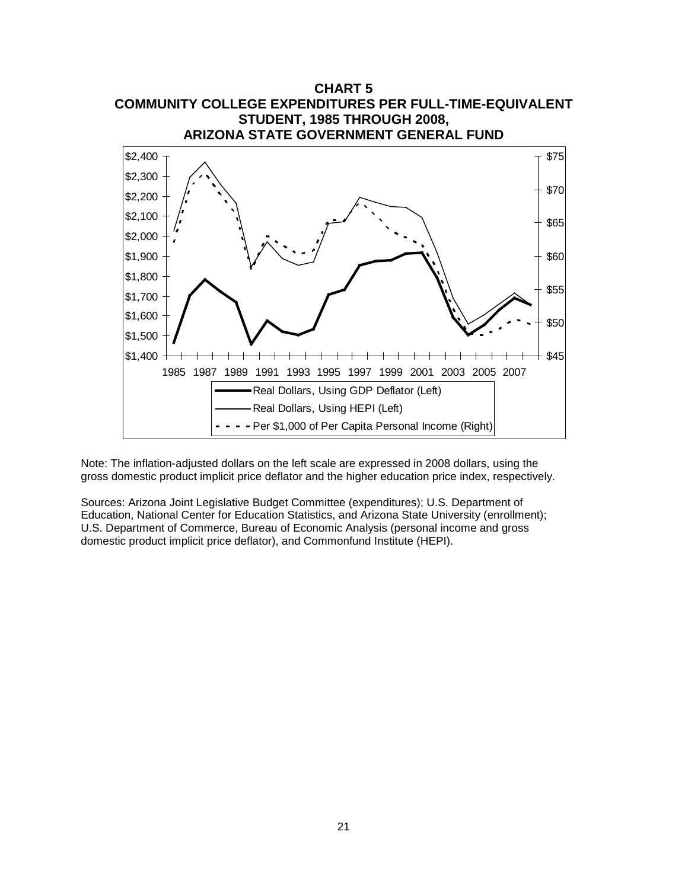

Note: The inflation-adjusted dollars on the left scale are expressed in 2008 dollars, using the gross domestic product implicit price deflator and the higher education price index, respectively.

Sources: Arizona Joint Legislative Budget Committee (expenditures); U.S. Department of Education, National Center for Education Statistics, and Arizona State University (enrollment); U.S. Department of Commerce, Bureau of Economic Analysis (personal income and gross domestic product implicit price deflator), and Commonfund Institute (HEPI).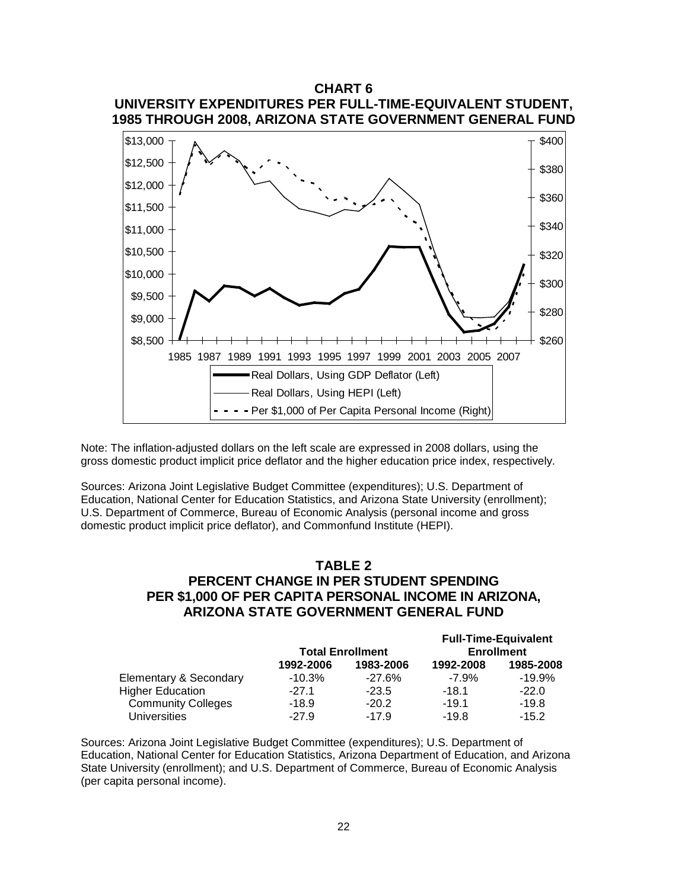

Note: The inflation-adjusted dollars on the left scale are expressed in 2008 dollars, using the gross domestic product implicit price deflator and the higher education price index, respectively.

Sources: Arizona Joint Legislative Budget Committee (expenditures); U.S. Department of Education, National Center for Education Statistics, and Arizona State University (enrollment); U.S. Department of Commerce, Bureau of Economic Analysis (personal income and gross domestic product implicit price deflator), and Commonfund Institute (HEPI).

## **TABLE 2 PERCENT CHANGE IN PER STUDENT SPENDING PER \$1,000 OF PER CAPITA PERSONAL INCOME IN ARIZONA, ARIZONA STATE GOVERNMENT GENERAL FUND**

|                           |           |                         |                   | <b>Full-Time-Equivalent</b> |  |
|---------------------------|-----------|-------------------------|-------------------|-----------------------------|--|
|                           |           | <b>Total Enrollment</b> | <b>Enrollment</b> |                             |  |
|                           | 1992-2006 | 1983-2006               | 1992-2008         | 1985-2008                   |  |
| Elementary & Secondary    | $-10.3%$  | $-27.6%$                | $-7.9%$           | $-19.9%$                    |  |
| <b>Higher Education</b>   | $-27.1$   | $-23.5$                 | $-18.1$           | $-22.0$                     |  |
| <b>Community Colleges</b> | $-18.9$   | $-20.2$                 | $-19.1$           | $-19.8$                     |  |
| <b>Universities</b>       | $-27.9$   | $-17.9$                 | $-19.8$           | $-15.2$                     |  |

Sources: Arizona Joint Legislative Budget Committee (expenditures); U.S. Department of Education, National Center for Education Statistics, Arizona Department of Education, and Arizona State University (enrollment); and U.S. Department of Commerce, Bureau of Economic Analysis (per capita personal income).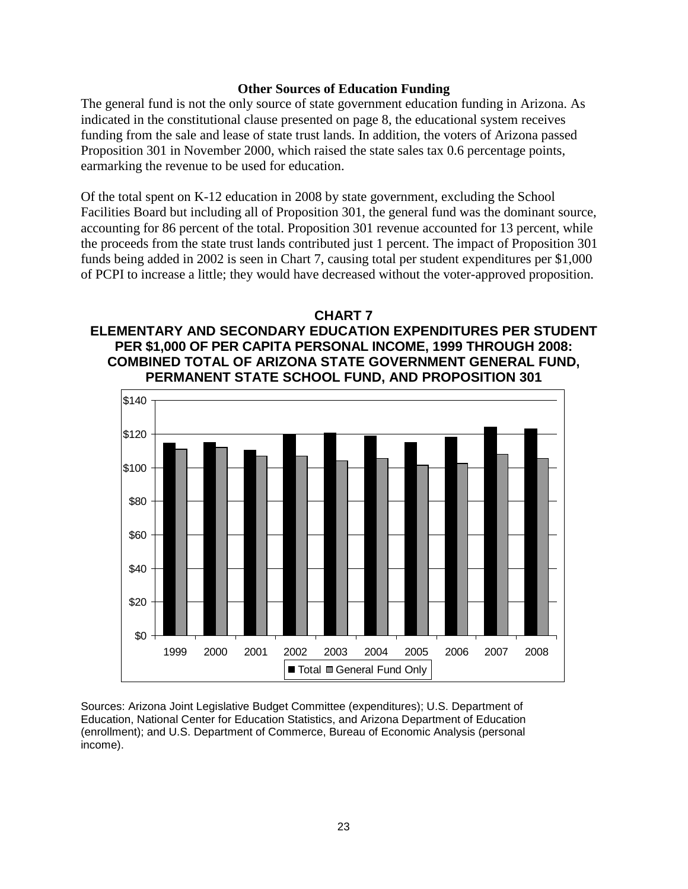#### **Other Sources of Education Funding**

The general fund is not the only source of state government education funding in Arizona. As indicated in the constitutional clause presented on page 8, the educational system receives funding from the sale and lease of state trust lands. In addition, the voters of Arizona passed Proposition 301 in November 2000, which raised the state sales tax 0.6 percentage points, earmarking the revenue to be used for education.

Of the total spent on K-12 education in 2008 by state government, excluding the School Facilities Board but including all of Proposition 301, the general fund was the dominant source, accounting for 86 percent of the total. Proposition 301 revenue accounted for 13 percent, while the proceeds from the state trust lands contributed just 1 percent. The impact of Proposition 301 funds being added in 2002 is seen in Chart 7, causing total per student expenditures per \$1,000 of PCPI to increase a little; they would have decreased without the voter-approved proposition.

## **CHART 7**

## **ELEMENTARY AND SECONDARY EDUCATION EXPENDITURES PER STUDENT PER \$1,000 OF PER CAPITA PERSONAL INCOME, 1999 THROUGH 2008: COMBINED TOTAL OF ARIZONA STATE GOVERNMENT GENERAL FUND, PERMANENT STATE SCHOOL FUND, AND PROPOSITION 301**



Sources: Arizona Joint Legislative Budget Committee (expenditures); U.S. Department of Education, National Center for Education Statistics, and Arizona Department of Education (enrollment); and U.S. Department of Commerce, Bureau of Economic Analysis (personal income).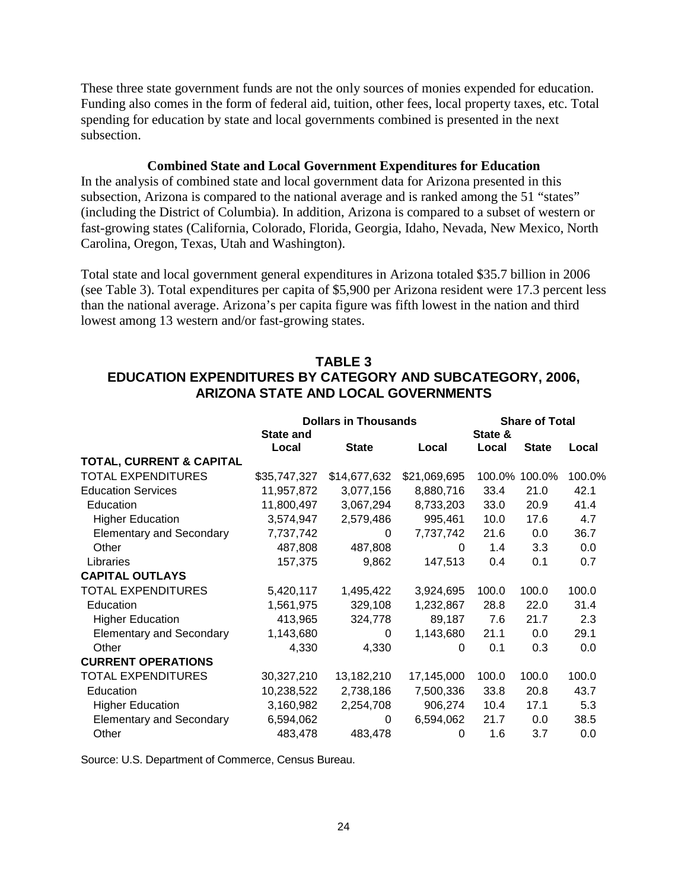These three state government funds are not the only sources of monies expended for education. Funding also comes in the form of federal aid, tuition, other fees, local property taxes, etc. Total spending for education by state and local governments combined is presented in the next subsection.

#### **Combined State and Local Government Expenditures for Education**

In the analysis of combined state and local government data for Arizona presented in this subsection, Arizona is compared to the national average and is ranked among the 51 "states" (including the District of Columbia). In addition, Arizona is compared to a subset of western or fast-growing states (California, Colorado, Florida, Georgia, Idaho, Nevada, New Mexico, North Carolina, Oregon, Texas, Utah and Washington).

Total state and local government general expenditures in Arizona totaled \$35.7 billion in 2006 (see Table 3). Total expenditures per capita of \$5,900 per Arizona resident were 17.3 percent less than the national average. Arizona's per capita figure was fifth lowest in the nation and third lowest among 13 western and/or fast-growing states.

## **TABLE 3 EDUCATION EXPENDITURES BY CATEGORY AND SUBCATEGORY, 2006, ARIZONA STATE AND LOCAL GOVERNMENTS**

|                                     | <b>Dollars in Thousands</b> |              |              | <b>Share of Total</b> |               |        |
|-------------------------------------|-----------------------------|--------------|--------------|-----------------------|---------------|--------|
|                                     | <b>State and</b>            |              |              | State &               |               |        |
|                                     | Local                       | <b>State</b> | Local        | Local                 | <b>State</b>  | Local  |
| <b>TOTAL, CURRENT &amp; CAPITAL</b> |                             |              |              |                       |               |        |
| <b>TOTAL EXPENDITURES</b>           | \$35,747,327                | \$14,677,632 | \$21,069,695 |                       | 100.0% 100.0% | 100.0% |
| <b>Education Services</b>           | 11,957,872                  | 3,077,156    | 8,880,716    | 33.4                  | 21.0          | 42.1   |
| Education                           | 11,800,497                  | 3,067,294    | 8,733,203    | 33.0                  | 20.9          | 41.4   |
| <b>Higher Education</b>             | 3,574,947                   | 2,579,486    | 995,461      | 10.0                  | 17.6          | 4.7    |
| <b>Elementary and Secondary</b>     | 7,737,742                   | $\Omega$     | 7,737,742    | 21.6                  | 0.0           | 36.7   |
| Other                               | 487,808                     | 487,808      | 0            | 1.4                   | 3.3           | 0.0    |
| Libraries                           | 157,375                     | 9,862        | 147,513      | 0.4                   | 0.1           | 0.7    |
| <b>CAPITAL OUTLAYS</b>              |                             |              |              |                       |               |        |
| <b>TOTAL EXPENDITURES</b>           | 5,420,117                   | 1,495,422    | 3,924,695    | 100.0                 | 100.0         | 100.0  |
| Education                           | 1,561,975                   | 329,108      | 1,232,867    | 28.8                  | 22.0          | 31.4   |
| <b>Higher Education</b>             | 413,965                     | 324,778      | 89,187       | 7.6                   | 21.7          | 2.3    |
| <b>Elementary and Secondary</b>     | 1,143,680                   | 0            | 1,143,680    | 21.1                  | 0.0           | 29.1   |
| Other                               | 4,330                       | 4,330        | 0            | 0.1                   | 0.3           | 0.0    |
| <b>CURRENT OPERATIONS</b>           |                             |              |              |                       |               |        |
| <b>TOTAL EXPENDITURES</b>           | 30,327,210                  | 13,182,210   | 17,145,000   | 100.0                 | 100.0         | 100.0  |
| Education                           | 10,238,522                  | 2,738,186    | 7,500,336    | 33.8                  | 20.8          | 43.7   |
| <b>Higher Education</b>             | 3,160,982                   | 2,254,708    | 906,274      | 10.4                  | 17.1          | 5.3    |
| <b>Elementary and Secondary</b>     | 6,594,062                   | 0            | 6,594,062    | 21.7                  | 0.0           | 38.5   |
| Other                               | 483,478                     | 483,478      | 0            | 1.6                   | 3.7           | 0.0    |

Source: U.S. Department of Commerce, Census Bureau.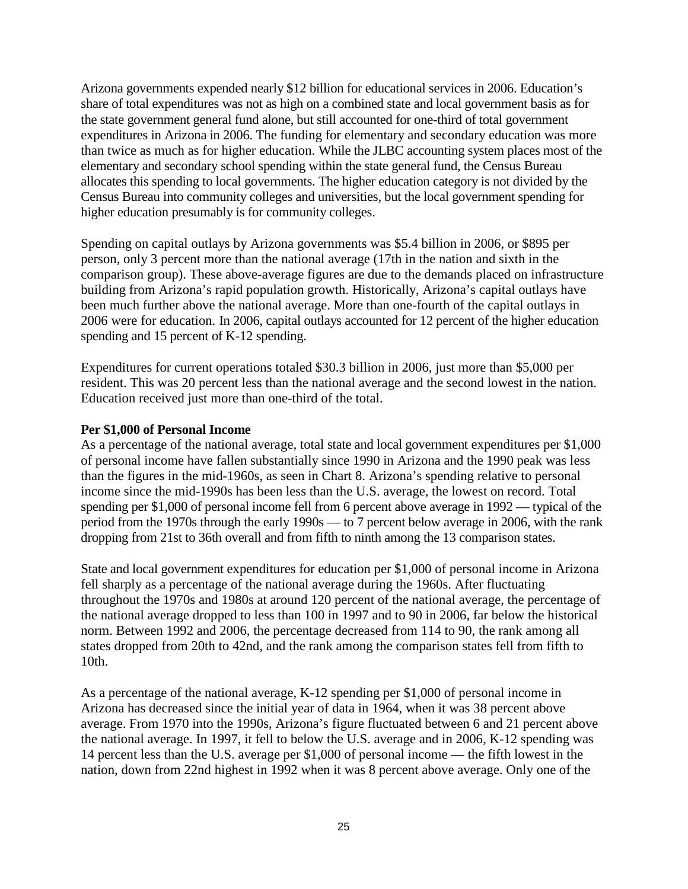Arizona governments expended nearly \$12 billion for educational services in 2006. Education's share of total expenditures was not as high on a combined state and local government basis as for the state government general fund alone, but still accounted for one-third of total government expenditures in Arizona in 2006. The funding for elementary and secondary education was more than twice as much as for higher education. While the JLBC accounting system places most of the elementary and secondary school spending within the state general fund, the Census Bureau allocates this spending to local governments. The higher education category is not divided by the Census Bureau into community colleges and universities, but the local government spending for higher education presumably is for community colleges.

Spending on capital outlays by Arizona governments was \$5.4 billion in 2006, or \$895 per person, only 3 percent more than the national average (17th in the nation and sixth in the comparison group). These above-average figures are due to the demands placed on infrastructure building from Arizona's rapid population growth. Historically, Arizona's capital outlays have been much further above the national average. More than one-fourth of the capital outlays in 2006 were for education. In 2006, capital outlays accounted for 12 percent of the higher education spending and 15 percent of K-12 spending.

Expenditures for current operations totaled \$30.3 billion in 2006, just more than \$5,000 per resident. This was 20 percent less than the national average and the second lowest in the nation. Education received just more than one-third of the total.

## **Per \$1,000 of Personal Income**

As a percentage of the national average, total state and local government expenditures per \$1,000 of personal income have fallen substantially since 1990 in Arizona and the 1990 peak was less than the figures in the mid-1960s, as seen in Chart 8. Arizona's spending relative to personal income since the mid-1990s has been less than the U.S. average, the lowest on record. Total spending per \$1,000 of personal income fell from 6 percent above average in 1992 — typical of the period from the 1970s through the early 1990s — to 7 percent below average in 2006, with the rank dropping from 21st to 36th overall and from fifth to ninth among the 13 comparison states.

State and local government expenditures for education per \$1,000 of personal income in Arizona fell sharply as a percentage of the national average during the 1960s. After fluctuating throughout the 1970s and 1980s at around 120 percent of the national average, the percentage of the national average dropped to less than 100 in 1997 and to 90 in 2006, far below the historical norm. Between 1992 and 2006, the percentage decreased from 114 to 90, the rank among all states dropped from 20th to 42nd, and the rank among the comparison states fell from fifth to 10th.

As a percentage of the national average, K-12 spending per \$1,000 of personal income in Arizona has decreased since the initial year of data in 1964, when it was 38 percent above average. From 1970 into the 1990s, Arizona's figure fluctuated between 6 and 21 percent above the national average. In 1997, it fell to below the U.S. average and in 2006, K-12 spending was 14 percent less than the U.S. average per \$1,000 of personal income — the fifth lowest in the nation, down from 22nd highest in 1992 when it was 8 percent above average. Only one of the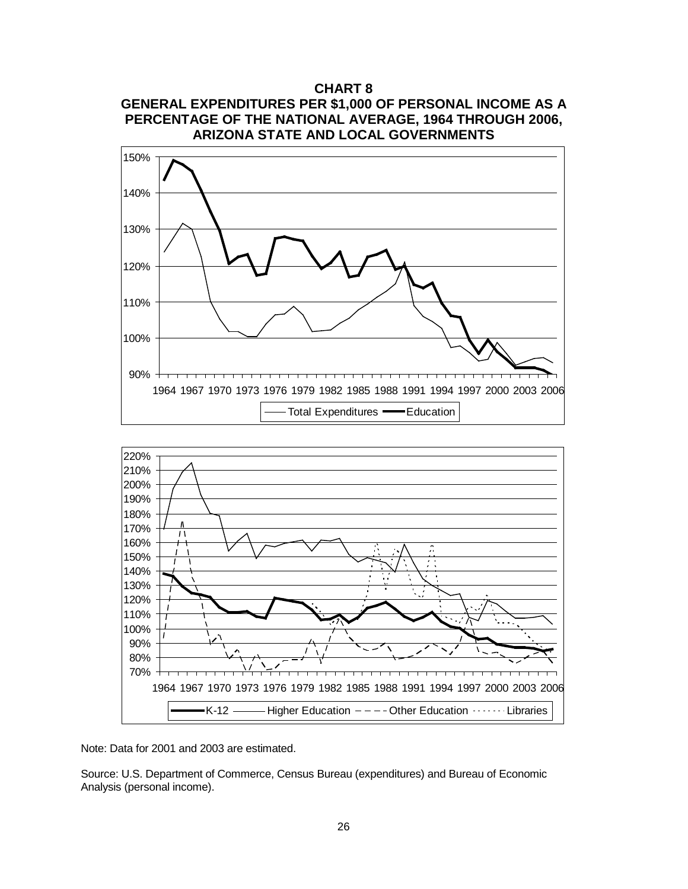## **CHART 8 GENERAL EXPENDITURES PER \$1,000 OF PERSONAL INCOME AS A PERCENTAGE OF THE NATIONAL AVERAGE, 1964 THROUGH 2006, ARIZONA STATE AND LOCAL GOVERNMENTS**





Note: Data for 2001 and 2003 are estimated.

Source: U.S. Department of Commerce, Census Bureau (expenditures) and Bureau of Economic Analysis (personal income).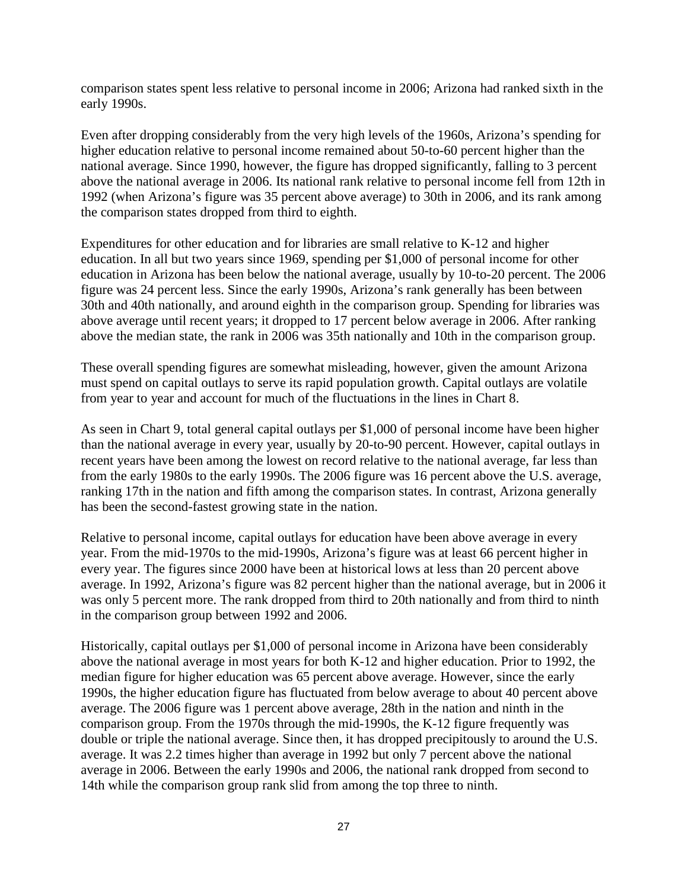comparison states spent less relative to personal income in 2006; Arizona had ranked sixth in the early 1990s.

Even after dropping considerably from the very high levels of the 1960s, Arizona's spending for higher education relative to personal income remained about 50-to-60 percent higher than the national average. Since 1990, however, the figure has dropped significantly, falling to 3 percent above the national average in 2006. Its national rank relative to personal income fell from 12th in 1992 (when Arizona's figure was 35 percent above average) to 30th in 2006, and its rank among the comparison states dropped from third to eighth.

Expenditures for other education and for libraries are small relative to K-12 and higher education. In all but two years since 1969, spending per \$1,000 of personal income for other education in Arizona has been below the national average, usually by 10-to-20 percent. The 2006 figure was 24 percent less. Since the early 1990s, Arizona's rank generally has been between 30th and 40th nationally, and around eighth in the comparison group. Spending for libraries was above average until recent years; it dropped to 17 percent below average in 2006. After ranking above the median state, the rank in 2006 was 35th nationally and 10th in the comparison group.

These overall spending figures are somewhat misleading, however, given the amount Arizona must spend on capital outlays to serve its rapid population growth. Capital outlays are volatile from year to year and account for much of the fluctuations in the lines in Chart 8.

As seen in Chart 9, total general capital outlays per \$1,000 of personal income have been higher than the national average in every year, usually by 20-to-90 percent. However, capital outlays in recent years have been among the lowest on record relative to the national average, far less than from the early 1980s to the early 1990s. The 2006 figure was 16 percent above the U.S. average, ranking 17th in the nation and fifth among the comparison states. In contrast, Arizona generally has been the second-fastest growing state in the nation.

Relative to personal income, capital outlays for education have been above average in every year. From the mid-1970s to the mid-1990s, Arizona's figure was at least 66 percent higher in every year. The figures since 2000 have been at historical lows at less than 20 percent above average. In 1992, Arizona's figure was 82 percent higher than the national average, but in 2006 it was only 5 percent more. The rank dropped from third to 20th nationally and from third to ninth in the comparison group between 1992 and 2006.

Historically, capital outlays per \$1,000 of personal income in Arizona have been considerably above the national average in most years for both K-12 and higher education. Prior to 1992, the median figure for higher education was 65 percent above average. However, since the early 1990s, the higher education figure has fluctuated from below average to about 40 percent above average. The 2006 figure was 1 percent above average, 28th in the nation and ninth in the comparison group. From the 1970s through the mid-1990s, the K-12 figure frequently was double or triple the national average. Since then, it has dropped precipitously to around the U.S. average. It was 2.2 times higher than average in 1992 but only 7 percent above the national average in 2006. Between the early 1990s and 2006, the national rank dropped from second to 14th while the comparison group rank slid from among the top three to ninth.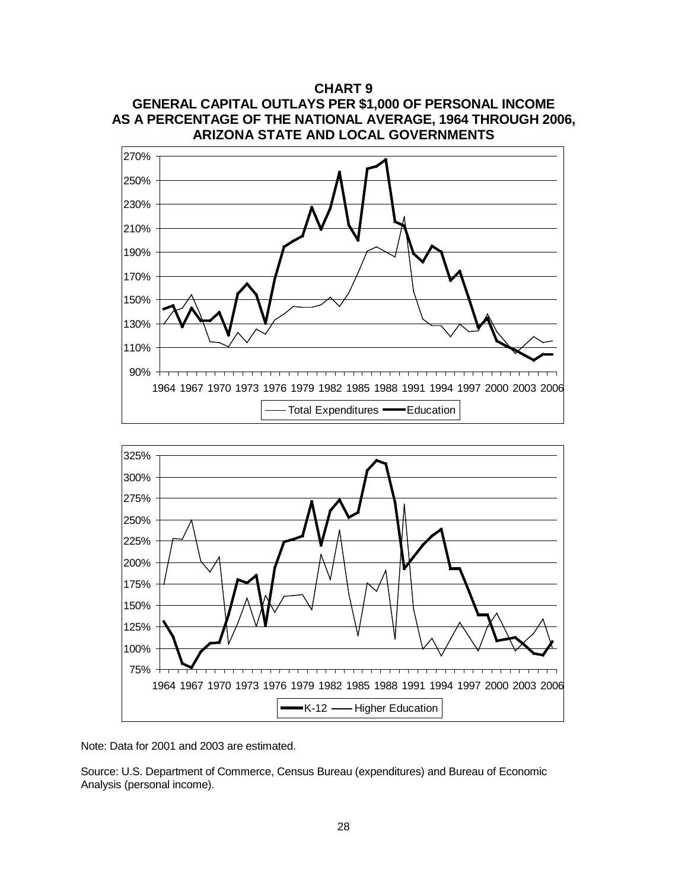





Note: Data for 2001 and 2003 are estimated.

Source: U.S. Department of Commerce, Census Bureau (expenditures) and Bureau of Economic Analysis (personal income).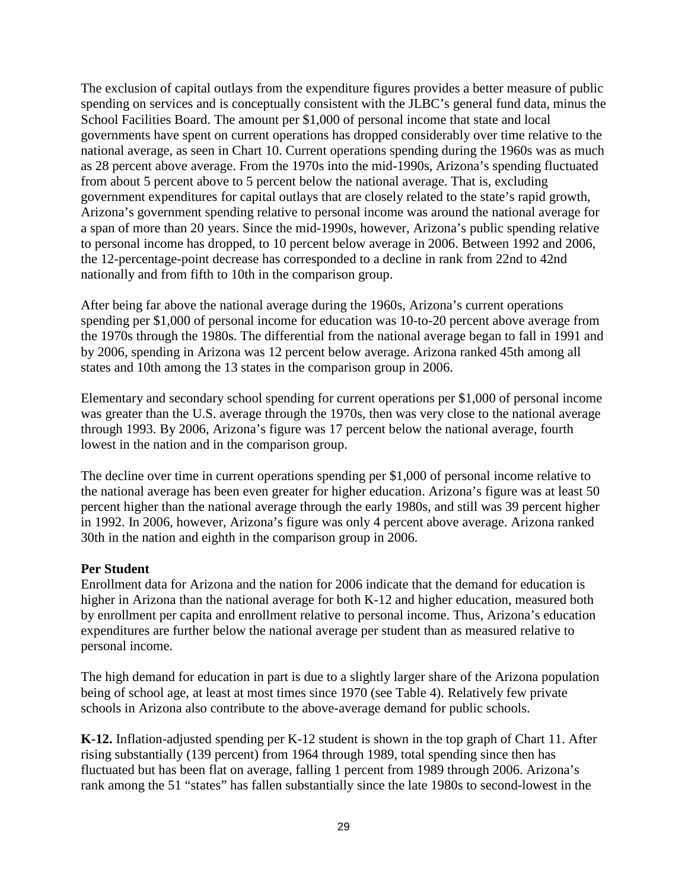The exclusion of capital outlays from the expenditure figures provides a better measure of public spending on services and is conceptually consistent with the JLBC's general fund data, minus the School Facilities Board. The amount per \$1,000 of personal income that state and local governments have spent on current operations has dropped considerably over time relative to the national average, as seen in Chart 10. Current operations spending during the 1960s was as much as 28 percent above average. From the 1970s into the mid-1990s, Arizona's spending fluctuated from about 5 percent above to 5 percent below the national average. That is, excluding government expenditures for capital outlays that are closely related to the state's rapid growth, Arizona's government spending relative to personal income was around the national average for a span of more than 20 years. Since the mid-1990s, however, Arizona's public spending relative to personal income has dropped, to 10 percent below average in 2006. Between 1992 and 2006, the 12-percentage-point decrease has corresponded to a decline in rank from 22nd to 42nd nationally and from fifth to 10th in the comparison group.

After being far above the national average during the 1960s, Arizona's current operations spending per \$1,000 of personal income for education was 10-to-20 percent above average from the 1970s through the 1980s. The differential from the national average began to fall in 1991 and by 2006, spending in Arizona was 12 percent below average. Arizona ranked 45th among all states and 10th among the 13 states in the comparison group in 2006.

Elementary and secondary school spending for current operations per \$1,000 of personal income was greater than the U.S. average through the 1970s, then was very close to the national average through 1993. By 2006, Arizona's figure was 17 percent below the national average, fourth lowest in the nation and in the comparison group.

The decline over time in current operations spending per \$1,000 of personal income relative to the national average has been even greater for higher education. Arizona's figure was at least 50 percent higher than the national average through the early 1980s, and still was 39 percent higher in 1992. In 2006, however, Arizona's figure was only 4 percent above average. Arizona ranked 30th in the nation and eighth in the comparison group in 2006.

## **Per Student**

Enrollment data for Arizona and the nation for 2006 indicate that the demand for education is higher in Arizona than the national average for both K-12 and higher education, measured both by enrollment per capita and enrollment relative to personal income. Thus, Arizona's education expenditures are further below the national average per student than as measured relative to personal income.

The high demand for education in part is due to a slightly larger share of the Arizona population being of school age, at least at most times since 1970 (see Table 4). Relatively few private schools in Arizona also contribute to the above-average demand for public schools.

**K-12.** Inflation-adjusted spending per K-12 student is shown in the top graph of Chart 11. After rising substantially (139 percent) from 1964 through 1989, total spending since then has fluctuated but has been flat on average, falling 1 percent from 1989 through 2006. Arizona's rank among the 51 "states" has fallen substantially since the late 1980s to second-lowest in the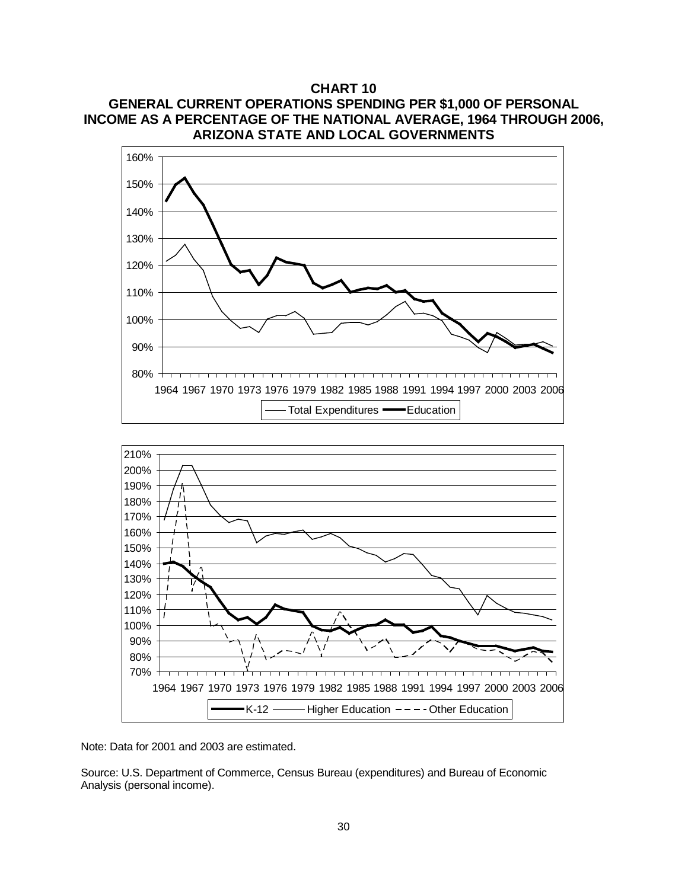**CHART 10 GENERAL CURRENT OPERATIONS SPENDING PER \$1,000 OF PERSONAL INCOME AS A PERCENTAGE OF THE NATIONAL AVERAGE, 1964 THROUGH 2006, ARIZONA STATE AND LOCAL GOVERNMENTS**





Note: Data for 2001 and 2003 are estimated.

Source: U.S. Department of Commerce, Census Bureau (expenditures) and Bureau of Economic Analysis (personal income).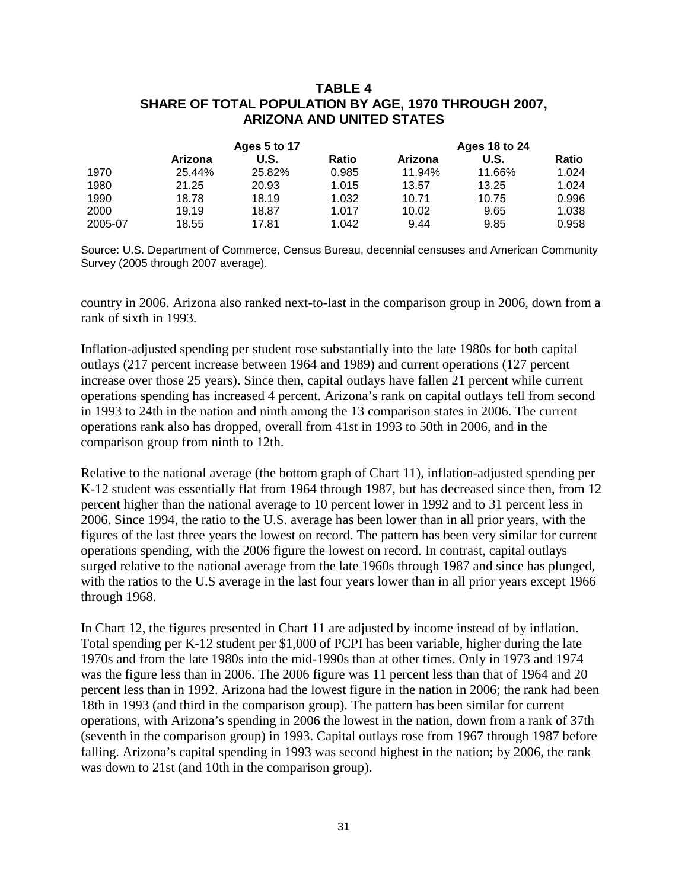## **TABLE 4 SHARE OF TOTAL POPULATION BY AGE, 1970 THROUGH 2007, ARIZONA AND UNITED STATES**

|         |         | Ages 5 to 17 |       |         | <b>Ages 18 to 24</b> |              |
|---------|---------|--------------|-------|---------|----------------------|--------------|
|         | Arizona | U.S.         | Ratio | Arizona | U.S.                 | <b>Ratio</b> |
| 1970    | 25.44%  | 25.82%       | 0.985 | 11.94%  | 11.66%               | 1.024        |
| 1980    | 21.25   | 20.93        | 1.015 | 13.57   | 13.25                | 1.024        |
| 1990    | 18.78   | 18.19        | 1.032 | 10.71   | 10.75                | 0.996        |
| 2000    | 19.19   | 18.87        | 1.017 | 10.02   | 9.65                 | 1.038        |
| 2005-07 | 18.55   | 17.81        | 1.042 | 9.44    | 9.85                 | 0.958        |

Source: U.S. Department of Commerce, Census Bureau, decennial censuses and American Community Survey (2005 through 2007 average).

country in 2006. Arizona also ranked next-to-last in the comparison group in 2006, down from a rank of sixth in 1993.

Inflation-adjusted spending per student rose substantially into the late 1980s for both capital outlays (217 percent increase between 1964 and 1989) and current operations (127 percent increase over those 25 years). Since then, capital outlays have fallen 21 percent while current operations spending has increased 4 percent. Arizona's rank on capital outlays fell from second in 1993 to 24th in the nation and ninth among the 13 comparison states in 2006. The current operations rank also has dropped, overall from 41st in 1993 to 50th in 2006, and in the comparison group from ninth to 12th.

Relative to the national average (the bottom graph of Chart 11), inflation-adjusted spending per K-12 student was essentially flat from 1964 through 1987, but has decreased since then, from 12 percent higher than the national average to 10 percent lower in 1992 and to 31 percent less in 2006. Since 1994, the ratio to the U.S. average has been lower than in all prior years, with the figures of the last three years the lowest on record. The pattern has been very similar for current operations spending, with the 2006 figure the lowest on record. In contrast, capital outlays surged relative to the national average from the late 1960s through 1987 and since has plunged, with the ratios to the U.S average in the last four years lower than in all prior years except 1966 through 1968.

In Chart 12, the figures presented in Chart 11 are adjusted by income instead of by inflation. Total spending per K-12 student per \$1,000 of PCPI has been variable, higher during the late 1970s and from the late 1980s into the mid-1990s than at other times. Only in 1973 and 1974 was the figure less than in 2006. The 2006 figure was 11 percent less than that of 1964 and 20 percent less than in 1992. Arizona had the lowest figure in the nation in 2006; the rank had been 18th in 1993 (and third in the comparison group). The pattern has been similar for current operations, with Arizona's spending in 2006 the lowest in the nation, down from a rank of 37th (seventh in the comparison group) in 1993. Capital outlays rose from 1967 through 1987 before falling. Arizona's capital spending in 1993 was second highest in the nation; by 2006, the rank was down to 21st (and 10th in the comparison group).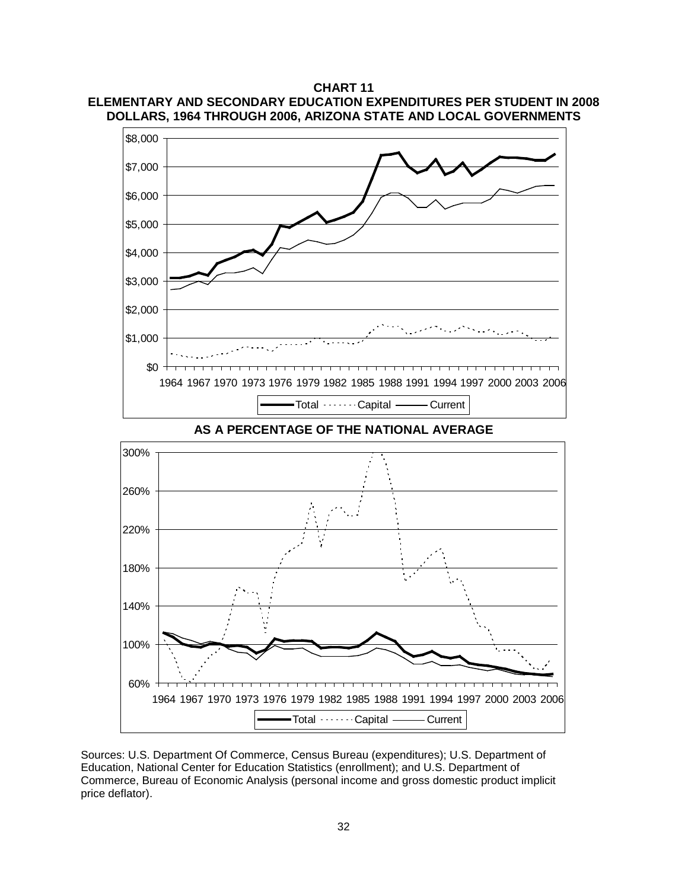



60% 100% 140% 180% 220% 260% 300% 1964 1967 1970 1973 1976 1979 1982 1985 1988 1991 1994 1997 2000 2003 2006 Total Capital ——Current

Sources: U.S. Department Of Commerce, Census Bureau (expenditures); U.S. Department of Education, National Center for Education Statistics (enrollment); and U.S. Department of Commerce, Bureau of Economic Analysis (personal income and gross domestic product implicit price deflator).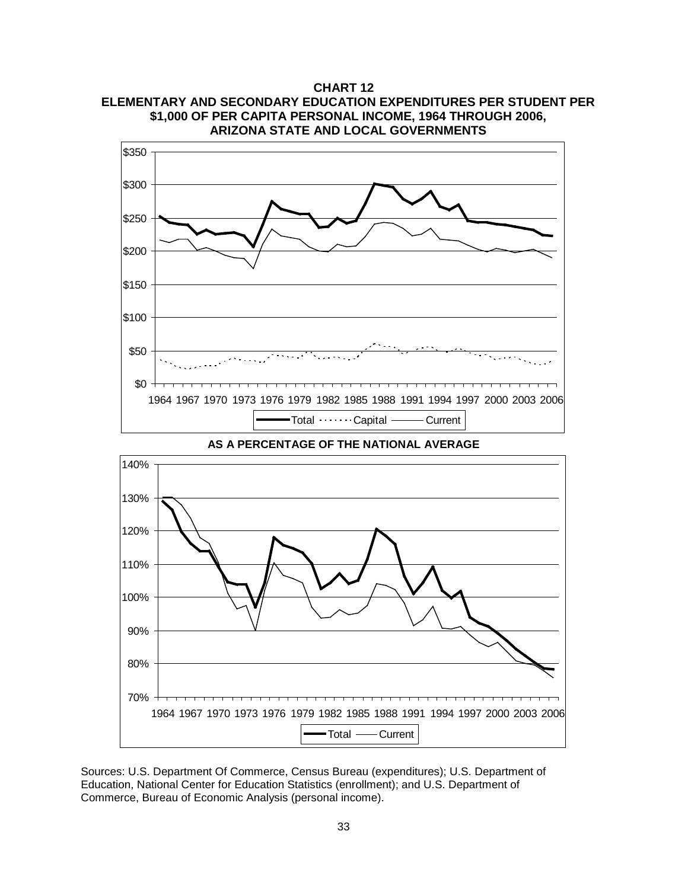**CHART 12 ELEMENTARY AND SECONDARY EDUCATION EXPENDITURES PER STUDENT PER \$1,000 OF PER CAPITA PERSONAL INCOME, 1964 THROUGH 2006, ARIZONA STATE AND LOCAL GOVERNMENTS**



**AS A PERCENTAGE OF THE NATIONAL AVERAGE**



Sources: U.S. Department Of Commerce, Census Bureau (expenditures); U.S. Department of Education, National Center for Education Statistics (enrollment); and U.S. Department of Commerce, Bureau of Economic Analysis (personal income).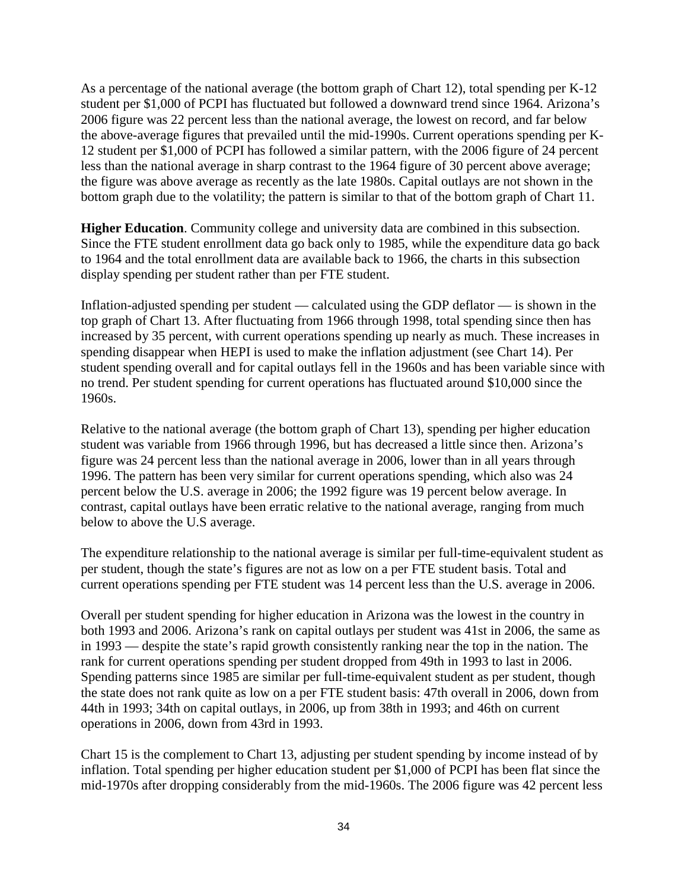As a percentage of the national average (the bottom graph of Chart 12), total spending per K-12 student per \$1,000 of PCPI has fluctuated but followed a downward trend since 1964. Arizona's 2006 figure was 22 percent less than the national average, the lowest on record, and far below the above-average figures that prevailed until the mid-1990s. Current operations spending per K-12 student per \$1,000 of PCPI has followed a similar pattern, with the 2006 figure of 24 percent less than the national average in sharp contrast to the 1964 figure of 30 percent above average; the figure was above average as recently as the late 1980s. Capital outlays are not shown in the bottom graph due to the volatility; the pattern is similar to that of the bottom graph of Chart 11.

**Higher Education**. Community college and university data are combined in this subsection. Since the FTE student enrollment data go back only to 1985, while the expenditure data go back to 1964 and the total enrollment data are available back to 1966, the charts in this subsection display spending per student rather than per FTE student.

Inflation-adjusted spending per student — calculated using the GDP deflator — is shown in the top graph of Chart 13. After fluctuating from 1966 through 1998, total spending since then has increased by 35 percent, with current operations spending up nearly as much. These increases in spending disappear when HEPI is used to make the inflation adjustment (see Chart 14). Per student spending overall and for capital outlays fell in the 1960s and has been variable since with no trend. Per student spending for current operations has fluctuated around \$10,000 since the 1960s.

Relative to the national average (the bottom graph of Chart 13), spending per higher education student was variable from 1966 through 1996, but has decreased a little since then. Arizona's figure was 24 percent less than the national average in 2006, lower than in all years through 1996. The pattern has been very similar for current operations spending, which also was 24 percent below the U.S. average in 2006; the 1992 figure was 19 percent below average. In contrast, capital outlays have been erratic relative to the national average, ranging from much below to above the U.S average.

The expenditure relationship to the national average is similar per full-time-equivalent student as per student, though the state's figures are not as low on a per FTE student basis. Total and current operations spending per FTE student was 14 percent less than the U.S. average in 2006.

Overall per student spending for higher education in Arizona was the lowest in the country in both 1993 and 2006. Arizona's rank on capital outlays per student was 41st in 2006, the same as in 1993 — despite the state's rapid growth consistently ranking near the top in the nation. The rank for current operations spending per student dropped from 49th in 1993 to last in 2006. Spending patterns since 1985 are similar per full-time-equivalent student as per student, though the state does not rank quite as low on a per FTE student basis: 47th overall in 2006, down from 44th in 1993; 34th on capital outlays, in 2006, up from 38th in 1993; and 46th on current operations in 2006, down from 43rd in 1993.

Chart 15 is the complement to Chart 13, adjusting per student spending by income instead of by inflation. Total spending per higher education student per \$1,000 of PCPI has been flat since the mid-1970s after dropping considerably from the mid-1960s. The 2006 figure was 42 percent less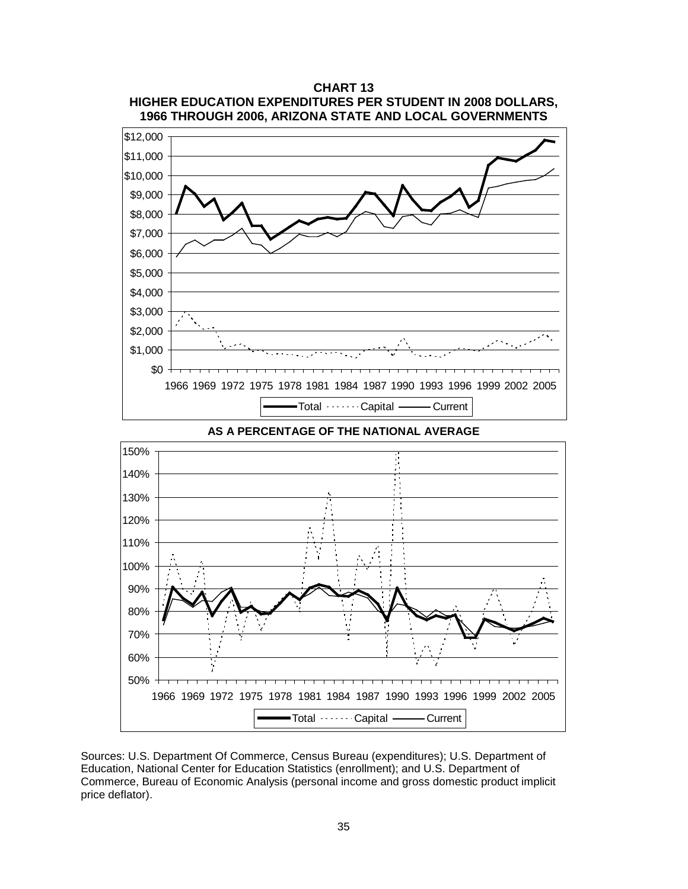

**CHART 13**

**AS A PERCENTAGE OF THE NATIONAL AVERAGE**



Sources: U.S. Department Of Commerce, Census Bureau (expenditures); U.S. Department of Education, National Center for Education Statistics (enrollment); and U.S. Department of Commerce, Bureau of Economic Analysis (personal income and gross domestic product implicit price deflator).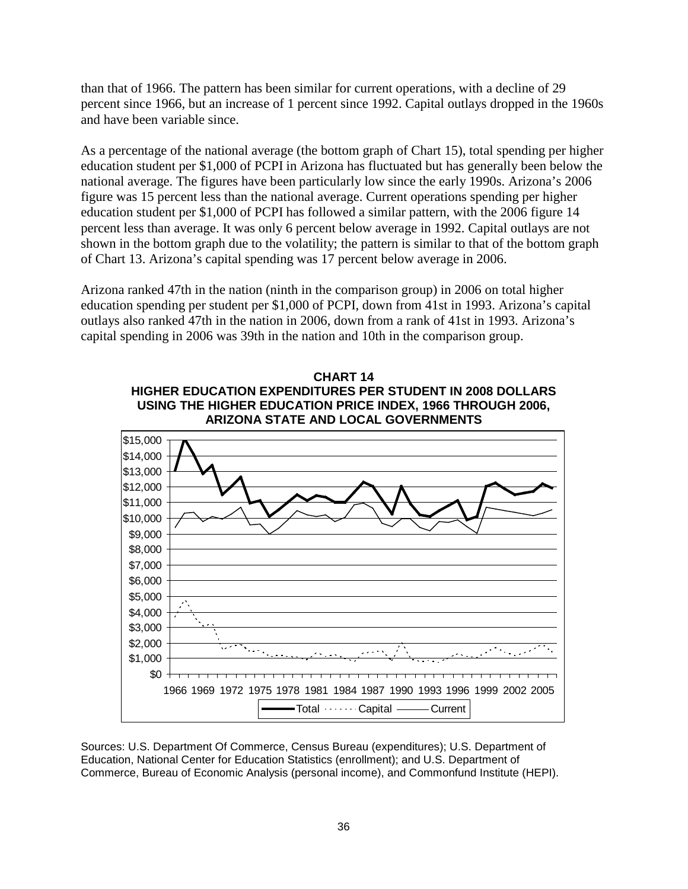than that of 1966. The pattern has been similar for current operations, with a decline of 29 percent since 1966, but an increase of 1 percent since 1992. Capital outlays dropped in the 1960s and have been variable since.

As a percentage of the national average (the bottom graph of Chart 15), total spending per higher education student per \$1,000 of PCPI in Arizona has fluctuated but has generally been below the national average. The figures have been particularly low since the early 1990s. Arizona's 2006 figure was 15 percent less than the national average. Current operations spending per higher education student per \$1,000 of PCPI has followed a similar pattern, with the 2006 figure 14 percent less than average. It was only 6 percent below average in 1992. Capital outlays are not shown in the bottom graph due to the volatility; the pattern is similar to that of the bottom graph of Chart 13. Arizona's capital spending was 17 percent below average in 2006.

Arizona ranked 47th in the nation (ninth in the comparison group) in 2006 on total higher education spending per student per \$1,000 of PCPI, down from 41st in 1993. Arizona's capital outlays also ranked 47th in the nation in 2006, down from a rank of 41st in 1993. Arizona's capital spending in 2006 was 39th in the nation and 10th in the comparison group.

![](_page_38_Figure_3.jpeg)

Sources: U.S. Department Of Commerce, Census Bureau (expenditures); U.S. Department of Education, National Center for Education Statistics (enrollment); and U.S. Department of Commerce, Bureau of Economic Analysis (personal income), and Commonfund Institute (HEPI).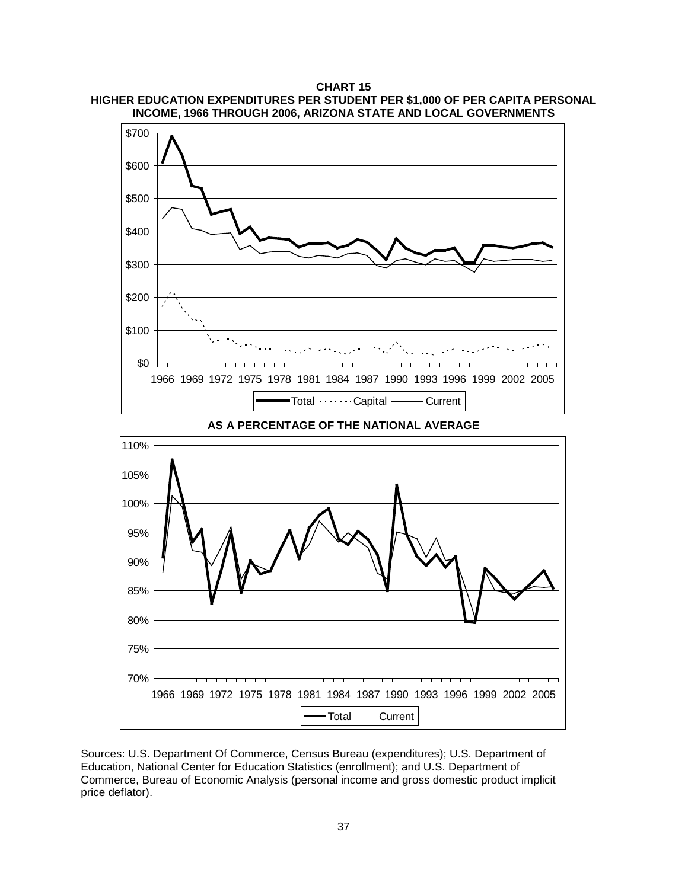**CHART 15 HIGHER EDUCATION EXPENDITURES PER STUDENT PER \$1,000 OF PER CAPITA PERSONAL INCOME, 1966 THROUGH 2006, ARIZONA STATE AND LOCAL GOVERNMENTS**

![](_page_39_Figure_1.jpeg)

![](_page_39_Figure_2.jpeg)

Sources: U.S. Department Of Commerce, Census Bureau (expenditures); U.S. Department of Education, National Center for Education Statistics (enrollment); and U.S. Department of Commerce, Bureau of Economic Analysis (personal income and gross domestic product implicit price deflator).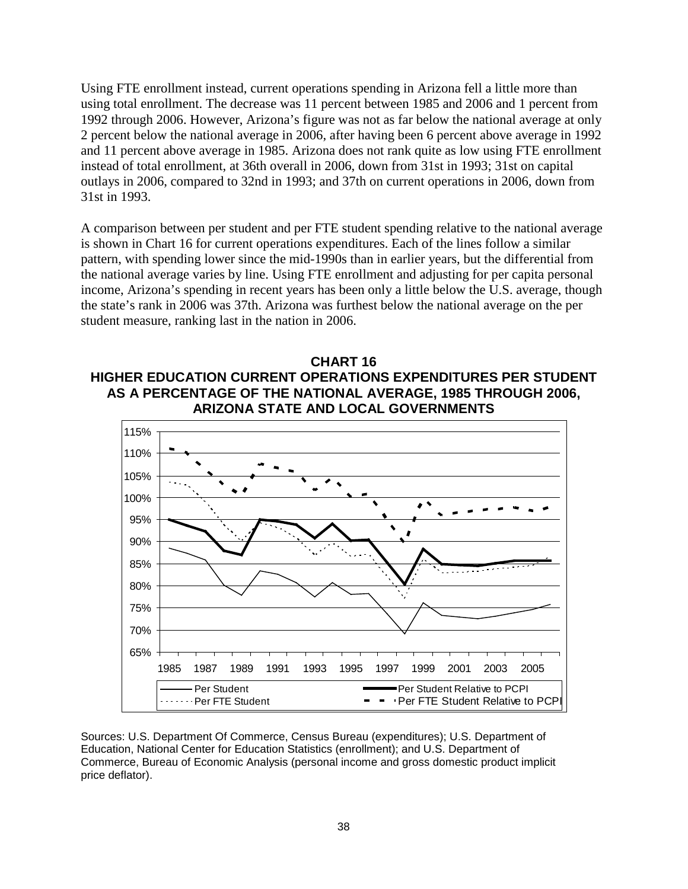Using FTE enrollment instead, current operations spending in Arizona fell a little more than using total enrollment. The decrease was 11 percent between 1985 and 2006 and 1 percent from 1992 through 2006. However, Arizona's figure was not as far below the national average at only 2 percent below the national average in 2006, after having been 6 percent above average in 1992 and 11 percent above average in 1985. Arizona does not rank quite as low using FTE enrollment instead of total enrollment, at 36th overall in 2006, down from 31st in 1993; 31st on capital outlays in 2006, compared to 32nd in 1993; and 37th on current operations in 2006, down from 31st in 1993.

A comparison between per student and per FTE student spending relative to the national average is shown in Chart 16 for current operations expenditures. Each of the lines follow a similar pattern, with spending lower since the mid-1990s than in earlier years, but the differential from the national average varies by line. Using FTE enrollment and adjusting for per capita personal income, Arizona's spending in recent years has been only a little below the U.S. average, though the state's rank in 2006 was 37th. Arizona was furthest below the national average on the per student measure, ranking last in the nation in 2006.

![](_page_40_Figure_2.jpeg)

![](_page_40_Figure_3.jpeg)

Sources: U.S. Department Of Commerce, Census Bureau (expenditures); U.S. Department of Education, National Center for Education Statistics (enrollment); and U.S. Department of Commerce, Bureau of Economic Analysis (personal income and gross domestic product implicit price deflator).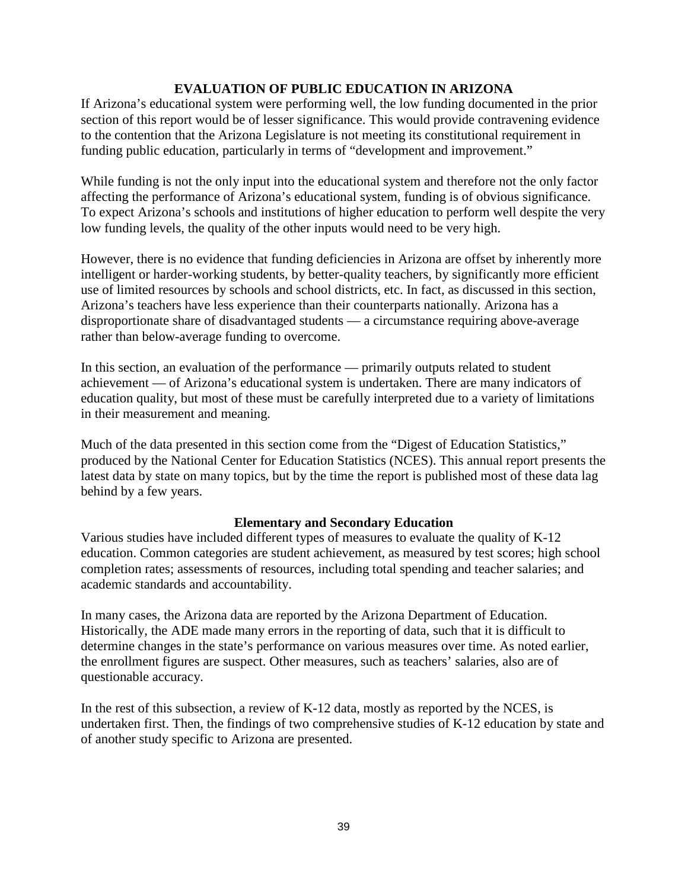## **EVALUATION OF PUBLIC EDUCATION IN ARIZONA**

If Arizona's educational system were performing well, the low funding documented in the prior section of this report would be of lesser significance. This would provide contravening evidence to the contention that the Arizona Legislature is not meeting its constitutional requirement in funding public education, particularly in terms of "development and improvement."

While funding is not the only input into the educational system and therefore not the only factor affecting the performance of Arizona's educational system, funding is of obvious significance. To expect Arizona's schools and institutions of higher education to perform well despite the very low funding levels, the quality of the other inputs would need to be very high.

However, there is no evidence that funding deficiencies in Arizona are offset by inherently more intelligent or harder-working students, by better-quality teachers, by significantly more efficient use of limited resources by schools and school districts, etc. In fact, as discussed in this section, Arizona's teachers have less experience than their counterparts nationally. Arizona has a disproportionate share of disadvantaged students — a circumstance requiring above-average rather than below-average funding to overcome.

In this section, an evaluation of the performance — primarily outputs related to student achievement — of Arizona's educational system is undertaken. There are many indicators of education quality, but most of these must be carefully interpreted due to a variety of limitations in their measurement and meaning.

Much of the data presented in this section come from the "Digest of Education Statistics," produced by the National Center for Education Statistics (NCES). This annual report presents the latest data by state on many topics, but by the time the report is published most of these data lag behind by a few years.

## **Elementary and Secondary Education**

Various studies have included different types of measures to evaluate the quality of K-12 education. Common categories are student achievement, as measured by test scores; high school completion rates; assessments of resources, including total spending and teacher salaries; and academic standards and accountability.

In many cases, the Arizona data are reported by the Arizona Department of Education. Historically, the ADE made many errors in the reporting of data, such that it is difficult to determine changes in the state's performance on various measures over time. As noted earlier, the enrollment figures are suspect. Other measures, such as teachers' salaries, also are of questionable accuracy.

In the rest of this subsection, a review of K-12 data, mostly as reported by the NCES, is undertaken first. Then, the findings of two comprehensive studies of K-12 education by state and of another study specific to Arizona are presented.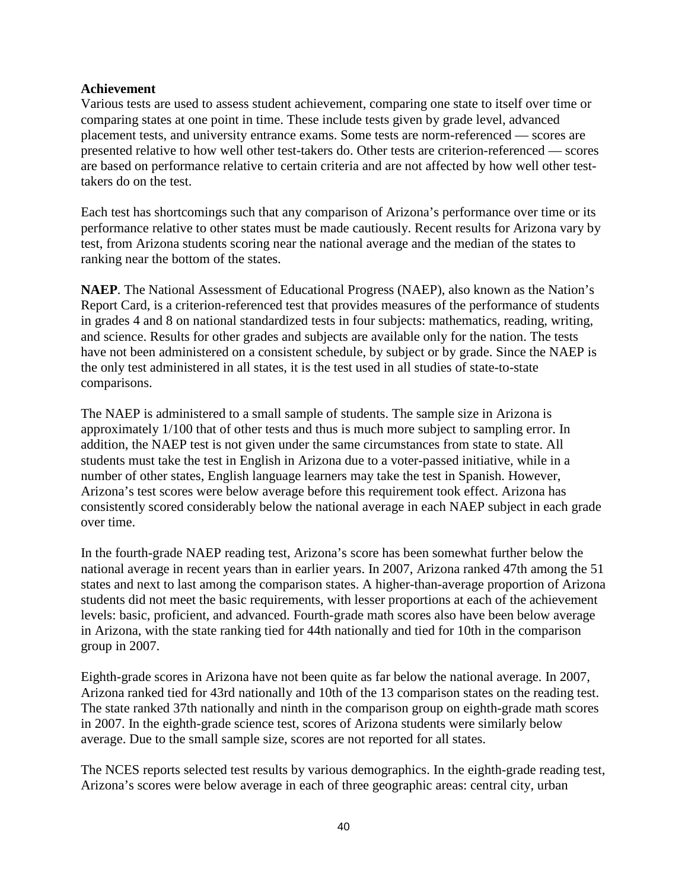## **Achievement**

Various tests are used to assess student achievement, comparing one state to itself over time or comparing states at one point in time. These include tests given by grade level, advanced placement tests, and university entrance exams. Some tests are norm-referenced — scores are presented relative to how well other test-takers do. Other tests are criterion-referenced — scores are based on performance relative to certain criteria and are not affected by how well other testtakers do on the test.

Each test has shortcomings such that any comparison of Arizona's performance over time or its performance relative to other states must be made cautiously. Recent results for Arizona vary by test, from Arizona students scoring near the national average and the median of the states to ranking near the bottom of the states.

**NAEP**. The National Assessment of Educational Progress (NAEP), also known as the Nation's Report Card, is a criterion-referenced test that provides measures of the performance of students in grades 4 and 8 on national standardized tests in four subjects: mathematics, reading, writing, and science. Results for other grades and subjects are available only for the nation. The tests have not been administered on a consistent schedule, by subject or by grade. Since the NAEP is the only test administered in all states, it is the test used in all studies of state-to-state comparisons.

The NAEP is administered to a small sample of students. The sample size in Arizona is approximately 1/100 that of other tests and thus is much more subject to sampling error. In addition, the NAEP test is not given under the same circumstances from state to state. All students must take the test in English in Arizona due to a voter-passed initiative, while in a number of other states, English language learners may take the test in Spanish. However, Arizona's test scores were below average before this requirement took effect. Arizona has consistently scored considerably below the national average in each NAEP subject in each grade over time.

In the fourth-grade NAEP reading test, Arizona's score has been somewhat further below the national average in recent years than in earlier years. In 2007, Arizona ranked 47th among the 51 states and next to last among the comparison states. A higher-than-average proportion of Arizona students did not meet the basic requirements, with lesser proportions at each of the achievement levels: basic, proficient, and advanced. Fourth-grade math scores also have been below average in Arizona, with the state ranking tied for 44th nationally and tied for 10th in the comparison group in 2007.

Eighth-grade scores in Arizona have not been quite as far below the national average. In 2007, Arizona ranked tied for 43rd nationally and 10th of the 13 comparison states on the reading test. The state ranked 37th nationally and ninth in the comparison group on eighth-grade math scores in 2007. In the eighth-grade science test, scores of Arizona students were similarly below average. Due to the small sample size, scores are not reported for all states.

The NCES reports selected test results by various demographics. In the eighth-grade reading test, Arizona's scores were below average in each of three geographic areas: central city, urban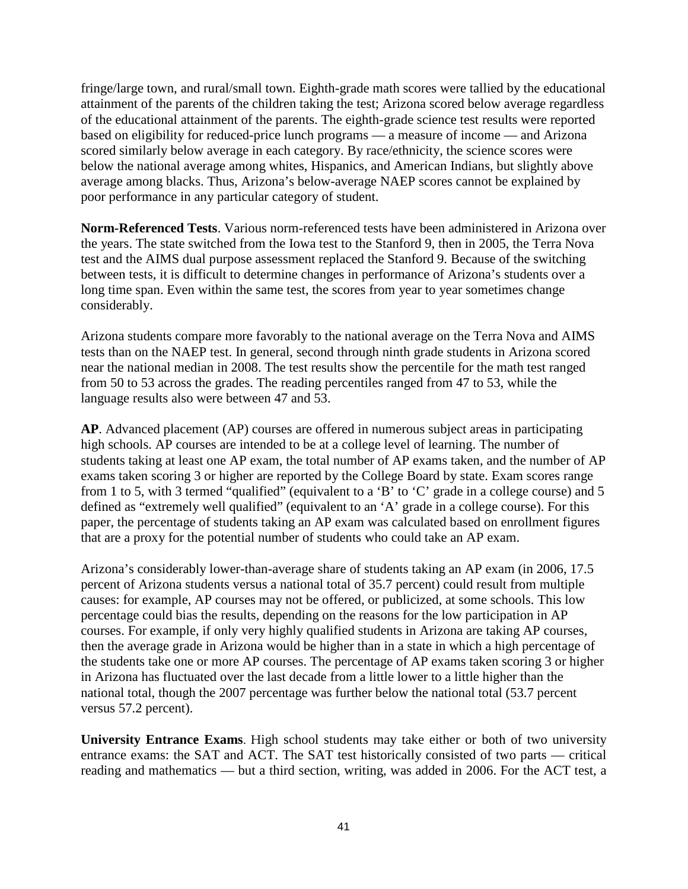fringe/large town, and rural/small town. Eighth-grade math scores were tallied by the educational attainment of the parents of the children taking the test; Arizona scored below average regardless of the educational attainment of the parents. The eighth-grade science test results were reported based on eligibility for reduced-price lunch programs — a measure of income — and Arizona scored similarly below average in each category. By race/ethnicity, the science scores were below the national average among whites, Hispanics, and American Indians, but slightly above average among blacks. Thus, Arizona's below-average NAEP scores cannot be explained by poor performance in any particular category of student.

**Norm-Referenced Tests**. Various norm-referenced tests have been administered in Arizona over the years. The state switched from the Iowa test to the Stanford 9, then in 2005, the Terra Nova test and the AIMS dual purpose assessment replaced the Stanford 9. Because of the switching between tests, it is difficult to determine changes in performance of Arizona's students over a long time span. Even within the same test, the scores from year to year sometimes change considerably.

Arizona students compare more favorably to the national average on the Terra Nova and AIMS tests than on the NAEP test. In general, second through ninth grade students in Arizona scored near the national median in 2008. The test results show the percentile for the math test ranged from 50 to 53 across the grades. The reading percentiles ranged from 47 to 53, while the language results also were between 47 and 53.

**AP**. Advanced placement (AP) courses are offered in numerous subject areas in participating high schools. AP courses are intended to be at a college level of learning. The number of students taking at least one AP exam, the total number of AP exams taken, and the number of AP exams taken scoring 3 or higher are reported by the College Board by state. Exam scores range from 1 to 5, with 3 termed "qualified" (equivalent to a 'B' to 'C' grade in a college course) and 5 defined as "extremely well qualified" (equivalent to an 'A' grade in a college course). For this paper, the percentage of students taking an AP exam was calculated based on enrollment figures that are a proxy for the potential number of students who could take an AP exam.

Arizona's considerably lower-than-average share of students taking an AP exam (in 2006, 17.5 percent of Arizona students versus a national total of 35.7 percent) could result from multiple causes: for example, AP courses may not be offered, or publicized, at some schools. This low percentage could bias the results, depending on the reasons for the low participation in AP courses. For example, if only very highly qualified students in Arizona are taking AP courses, then the average grade in Arizona would be higher than in a state in which a high percentage of the students take one or more AP courses. The percentage of AP exams taken scoring 3 or higher in Arizona has fluctuated over the last decade from a little lower to a little higher than the national total, though the 2007 percentage was further below the national total (53.7 percent versus 57.2 percent).

**University Entrance Exams**. High school students may take either or both of two university entrance exams: the SAT and ACT. The SAT test historically consisted of two parts — critical reading and mathematics — but a third section, writing, was added in 2006. For the ACT test, a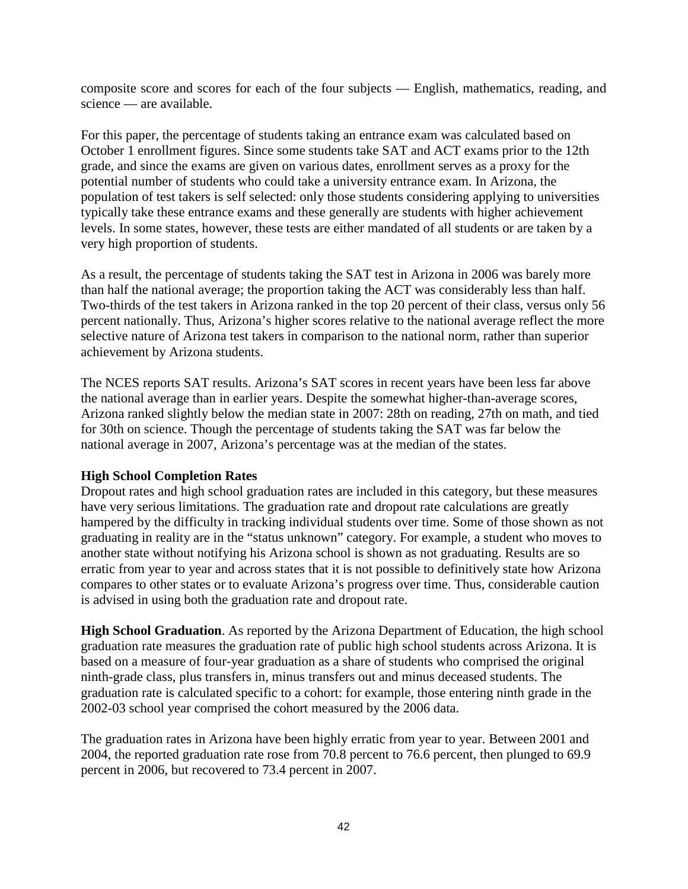composite score and scores for each of the four subjects — English, mathematics, reading, and science — are available.

For this paper, the percentage of students taking an entrance exam was calculated based on October 1 enrollment figures. Since some students take SAT and ACT exams prior to the 12th grade, and since the exams are given on various dates, enrollment serves as a proxy for the potential number of students who could take a university entrance exam. In Arizona, the population of test takers is self selected: only those students considering applying to universities typically take these entrance exams and these generally are students with higher achievement levels. In some states, however, these tests are either mandated of all students or are taken by a very high proportion of students.

As a result, the percentage of students taking the SAT test in Arizona in 2006 was barely more than half the national average; the proportion taking the ACT was considerably less than half. Two-thirds of the test takers in Arizona ranked in the top 20 percent of their class, versus only 56 percent nationally. Thus, Arizona's higher scores relative to the national average reflect the more selective nature of Arizona test takers in comparison to the national norm, rather than superior achievement by Arizona students.

The NCES reports SAT results. Arizona's SAT scores in recent years have been less far above the national average than in earlier years. Despite the somewhat higher-than-average scores, Arizona ranked slightly below the median state in 2007: 28th on reading, 27th on math, and tied for 30th on science. Though the percentage of students taking the SAT was far below the national average in 2007, Arizona's percentage was at the median of the states.

## **High School Completion Rates**

Dropout rates and high school graduation rates are included in this category, but these measures have very serious limitations. The graduation rate and dropout rate calculations are greatly hampered by the difficulty in tracking individual students over time. Some of those shown as not graduating in reality are in the "status unknown" category. For example, a student who moves to another state without notifying his Arizona school is shown as not graduating. Results are so erratic from year to year and across states that it is not possible to definitively state how Arizona compares to other states or to evaluate Arizona's progress over time. Thus, considerable caution is advised in using both the graduation rate and dropout rate.

**High School Graduation**. As reported by the Arizona Department of Education, the high school graduation rate measures the graduation rate of public high school students across Arizona. It is based on a measure of four-year graduation as a share of students who comprised the original ninth-grade class, plus transfers in, minus transfers out and minus deceased students. The graduation rate is calculated specific to a cohort: for example, those entering ninth grade in the 2002-03 school year comprised the cohort measured by the 2006 data.

The graduation rates in Arizona have been highly erratic from year to year. Between 2001 and 2004, the reported graduation rate rose from 70.8 percent to 76.6 percent, then plunged to 69.9 percent in 2006, but recovered to 73.4 percent in 2007.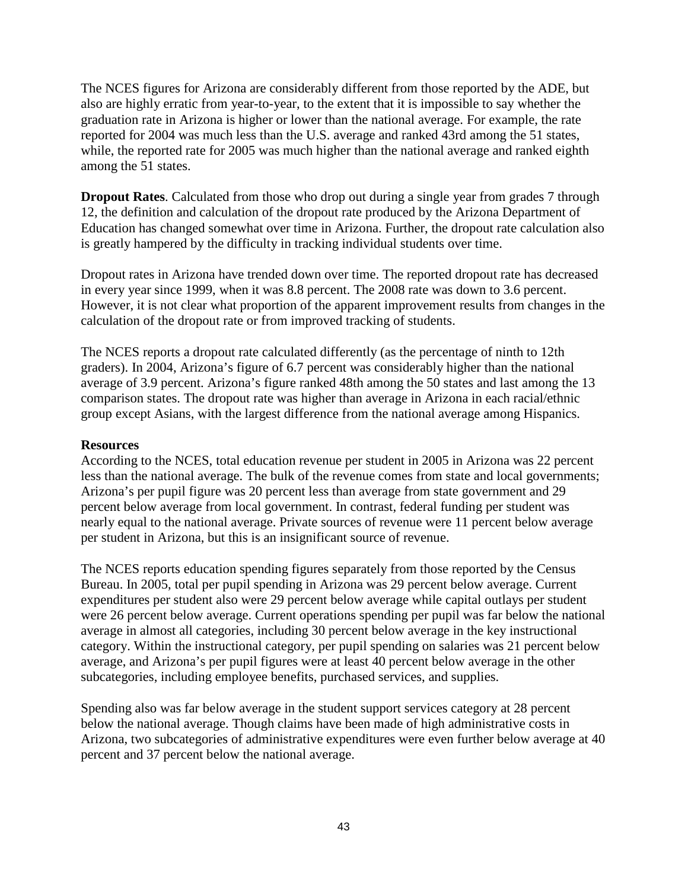The NCES figures for Arizona are considerably different from those reported by the ADE, but also are highly erratic from year-to-year, to the extent that it is impossible to say whether the graduation rate in Arizona is higher or lower than the national average. For example, the rate reported for 2004 was much less than the U.S. average and ranked 43rd among the 51 states, while, the reported rate for 2005 was much higher than the national average and ranked eighth among the 51 states.

**Dropout Rates**. Calculated from those who drop out during a single year from grades 7 through 12, the definition and calculation of the dropout rate produced by the Arizona Department of Education has changed somewhat over time in Arizona. Further, the dropout rate calculation also is greatly hampered by the difficulty in tracking individual students over time.

Dropout rates in Arizona have trended down over time. The reported dropout rate has decreased in every year since 1999, when it was 8.8 percent. The 2008 rate was down to 3.6 percent. However, it is not clear what proportion of the apparent improvement results from changes in the calculation of the dropout rate or from improved tracking of students.

The NCES reports a dropout rate calculated differently (as the percentage of ninth to 12th graders). In 2004, Arizona's figure of 6.7 percent was considerably higher than the national average of 3.9 percent. Arizona's figure ranked 48th among the 50 states and last among the 13 comparison states. The dropout rate was higher than average in Arizona in each racial/ethnic group except Asians, with the largest difference from the national average among Hispanics.

#### **Resources**

According to the NCES, total education revenue per student in 2005 in Arizona was 22 percent less than the national average. The bulk of the revenue comes from state and local governments; Arizona's per pupil figure was 20 percent less than average from state government and 29 percent below average from local government. In contrast, federal funding per student was nearly equal to the national average. Private sources of revenue were 11 percent below average per student in Arizona, but this is an insignificant source of revenue.

The NCES reports education spending figures separately from those reported by the Census Bureau. In 2005, total per pupil spending in Arizona was 29 percent below average. Current expenditures per student also were 29 percent below average while capital outlays per student were 26 percent below average. Current operations spending per pupil was far below the national average in almost all categories, including 30 percent below average in the key instructional category. Within the instructional category, per pupil spending on salaries was 21 percent below average, and Arizona's per pupil figures were at least 40 percent below average in the other subcategories, including employee benefits, purchased services, and supplies.

Spending also was far below average in the student support services category at 28 percent below the national average. Though claims have been made of high administrative costs in Arizona, two subcategories of administrative expenditures were even further below average at 40 percent and 37 percent below the national average.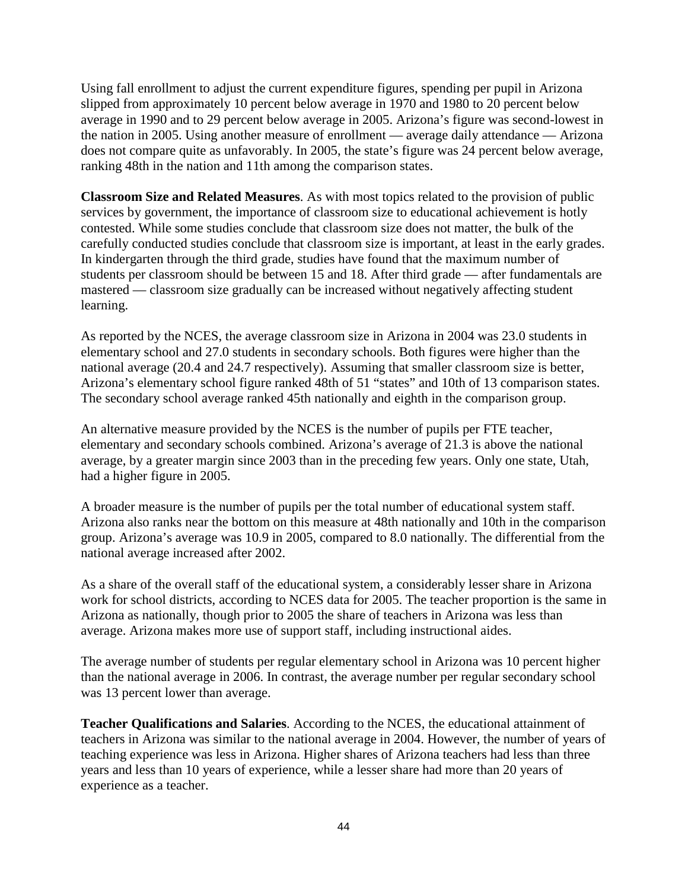Using fall enrollment to adjust the current expenditure figures, spending per pupil in Arizona slipped from approximately 10 percent below average in 1970 and 1980 to 20 percent below average in 1990 and to 29 percent below average in 2005. Arizona's figure was second-lowest in the nation in 2005. Using another measure of enrollment — average daily attendance — Arizona does not compare quite as unfavorably. In 2005, the state's figure was 24 percent below average, ranking 48th in the nation and 11th among the comparison states.

**Classroom Size and Related Measures**. As with most topics related to the provision of public services by government, the importance of classroom size to educational achievement is hotly contested. While some studies conclude that classroom size does not matter, the bulk of the carefully conducted studies conclude that classroom size is important, at least in the early grades. In kindergarten through the third grade, studies have found that the maximum number of students per classroom should be between 15 and 18. After third grade — after fundamentals are mastered — classroom size gradually can be increased without negatively affecting student learning.

As reported by the NCES, the average classroom size in Arizona in 2004 was 23.0 students in elementary school and 27.0 students in secondary schools. Both figures were higher than the national average (20.4 and 24.7 respectively). Assuming that smaller classroom size is better, Arizona's elementary school figure ranked 48th of 51 "states" and 10th of 13 comparison states. The secondary school average ranked 45th nationally and eighth in the comparison group.

An alternative measure provided by the NCES is the number of pupils per FTE teacher, elementary and secondary schools combined. Arizona's average of 21.3 is above the national average, by a greater margin since 2003 than in the preceding few years. Only one state, Utah, had a higher figure in 2005.

A broader measure is the number of pupils per the total number of educational system staff. Arizona also ranks near the bottom on this measure at 48th nationally and 10th in the comparison group. Arizona's average was 10.9 in 2005, compared to 8.0 nationally. The differential from the national average increased after 2002.

As a share of the overall staff of the educational system, a considerably lesser share in Arizona work for school districts, according to NCES data for 2005. The teacher proportion is the same in Arizona as nationally, though prior to 2005 the share of teachers in Arizona was less than average. Arizona makes more use of support staff, including instructional aides.

The average number of students per regular elementary school in Arizona was 10 percent higher than the national average in 2006. In contrast, the average number per regular secondary school was 13 percent lower than average.

**Teacher Qualifications and Salaries**. According to the NCES, the educational attainment of teachers in Arizona was similar to the national average in 2004. However, the number of years of teaching experience was less in Arizona. Higher shares of Arizona teachers had less than three years and less than 10 years of experience, while a lesser share had more than 20 years of experience as a teacher.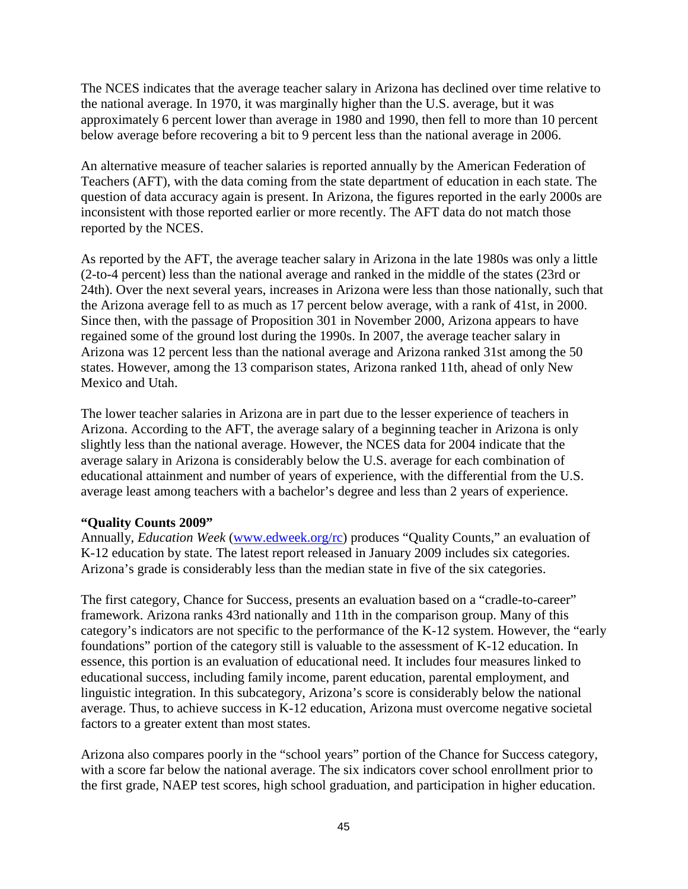The NCES indicates that the average teacher salary in Arizona has declined over time relative to the national average. In 1970, it was marginally higher than the U.S. average, but it was approximately 6 percent lower than average in 1980 and 1990, then fell to more than 10 percent below average before recovering a bit to 9 percent less than the national average in 2006.

An alternative measure of teacher salaries is reported annually by the American Federation of Teachers (AFT), with the data coming from the state department of education in each state. The question of data accuracy again is present. In Arizona, the figures reported in the early 2000s are inconsistent with those reported earlier or more recently. The AFT data do not match those reported by the NCES.

As reported by the AFT, the average teacher salary in Arizona in the late 1980s was only a little (2-to-4 percent) less than the national average and ranked in the middle of the states (23rd or 24th). Over the next several years, increases in Arizona were less than those nationally, such that the Arizona average fell to as much as 17 percent below average, with a rank of 41st, in 2000. Since then, with the passage of Proposition 301 in November 2000, Arizona appears to have regained some of the ground lost during the 1990s. In 2007, the average teacher salary in Arizona was 12 percent less than the national average and Arizona ranked 31st among the 50 states. However, among the 13 comparison states, Arizona ranked 11th, ahead of only New Mexico and Utah.

The lower teacher salaries in Arizona are in part due to the lesser experience of teachers in Arizona. According to the AFT, the average salary of a beginning teacher in Arizona is only slightly less than the national average. However, the NCES data for 2004 indicate that the average salary in Arizona is considerably below the U.S. average for each combination of educational attainment and number of years of experience, with the differential from the U.S. average least among teachers with a bachelor's degree and less than 2 years of experience.

## **"Quality Counts 2009"**

Annually, *Education Week* [\(www.edweek.org/rc\)](http://www.edweek.org/rc) produces "Quality Counts," an evaluation of K-12 education by state. The latest report released in January 2009 includes six categories. Arizona's grade is considerably less than the median state in five of the six categories.

The first category, Chance for Success, presents an evaluation based on a "cradle-to-career" framework. Arizona ranks 43rd nationally and 11th in the comparison group. Many of this category's indicators are not specific to the performance of the K-12 system. However, the "early foundations" portion of the category still is valuable to the assessment of K-12 education. In essence, this portion is an evaluation of educational need. It includes four measures linked to educational success, including family income, parent education, parental employment, and linguistic integration. In this subcategory, Arizona's score is considerably below the national average. Thus, to achieve success in K-12 education, Arizona must overcome negative societal factors to a greater extent than most states.

Arizona also compares poorly in the "school years" portion of the Chance for Success category, with a score far below the national average. The six indicators cover school enrollment prior to the first grade, NAEP test scores, high school graduation, and participation in higher education.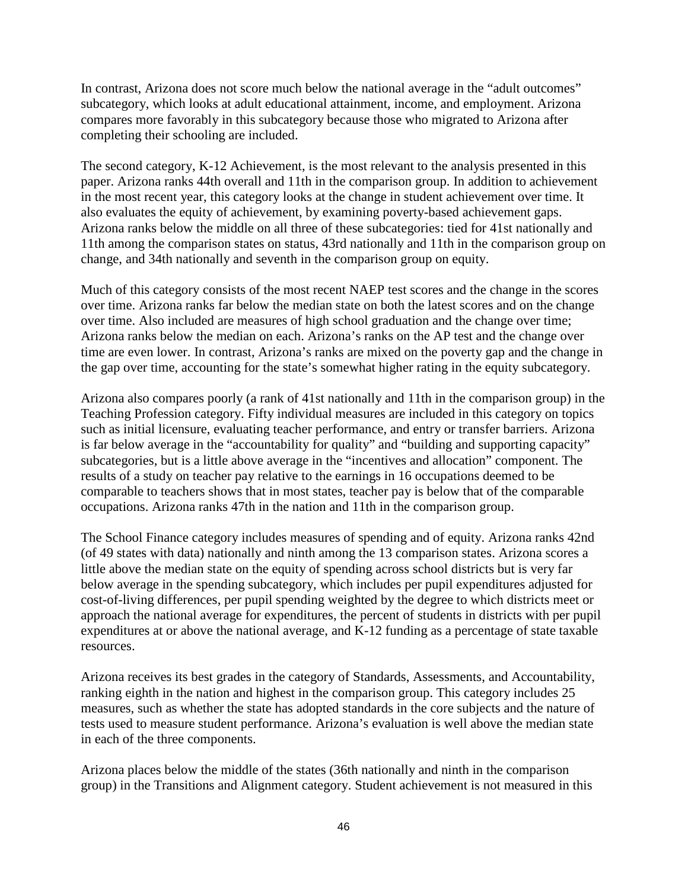In contrast, Arizona does not score much below the national average in the "adult outcomes" subcategory, which looks at adult educational attainment, income, and employment. Arizona compares more favorably in this subcategory because those who migrated to Arizona after completing their schooling are included.

The second category, K-12 Achievement, is the most relevant to the analysis presented in this paper. Arizona ranks 44th overall and 11th in the comparison group. In addition to achievement in the most recent year, this category looks at the change in student achievement over time. It also evaluates the equity of achievement, by examining poverty-based achievement gaps. Arizona ranks below the middle on all three of these subcategories: tied for 41st nationally and 11th among the comparison states on status, 43rd nationally and 11th in the comparison group on change, and 34th nationally and seventh in the comparison group on equity.

Much of this category consists of the most recent NAEP test scores and the change in the scores over time. Arizona ranks far below the median state on both the latest scores and on the change over time. Also included are measures of high school graduation and the change over time; Arizona ranks below the median on each. Arizona's ranks on the AP test and the change over time are even lower. In contrast, Arizona's ranks are mixed on the poverty gap and the change in the gap over time, accounting for the state's somewhat higher rating in the equity subcategory.

Arizona also compares poorly (a rank of 41st nationally and 11th in the comparison group) in the Teaching Profession category. Fifty individual measures are included in this category on topics such as initial licensure, evaluating teacher performance, and entry or transfer barriers. Arizona is far below average in the "accountability for quality" and "building and supporting capacity" subcategories, but is a little above average in the "incentives and allocation" component. The results of a study on teacher pay relative to the earnings in 16 occupations deemed to be comparable to teachers shows that in most states, teacher pay is below that of the comparable occupations. Arizona ranks 47th in the nation and 11th in the comparison group.

The School Finance category includes measures of spending and of equity. Arizona ranks 42nd (of 49 states with data) nationally and ninth among the 13 comparison states. Arizona scores a little above the median state on the equity of spending across school districts but is very far below average in the spending subcategory, which includes per pupil expenditures adjusted for cost-of-living differences, per pupil spending weighted by the degree to which districts meet or approach the national average for expenditures, the percent of students in districts with per pupil expenditures at or above the national average, and K-12 funding as a percentage of state taxable resources.

Arizona receives its best grades in the category of Standards, Assessments, and Accountability, ranking eighth in the nation and highest in the comparison group. This category includes 25 measures, such as whether the state has adopted standards in the core subjects and the nature of tests used to measure student performance. Arizona's evaluation is well above the median state in each of the three components.

Arizona places below the middle of the states (36th nationally and ninth in the comparison group) in the Transitions and Alignment category. Student achievement is not measured in this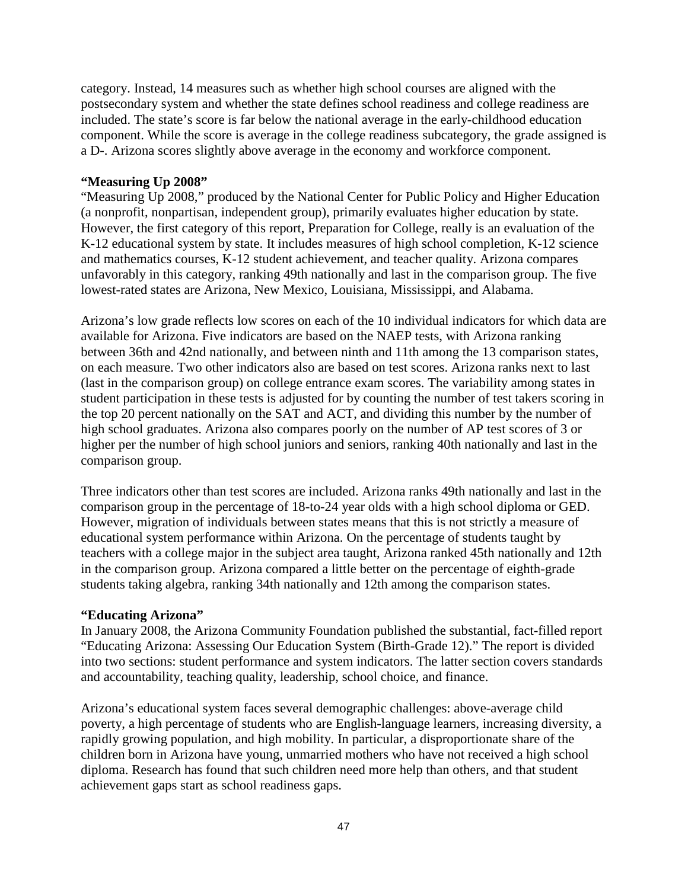category. Instead, 14 measures such as whether high school courses are aligned with the postsecondary system and whether the state defines school readiness and college readiness are included. The state's score is far below the national average in the early-childhood education component. While the score is average in the college readiness subcategory, the grade assigned is a D-. Arizona scores slightly above average in the economy and workforce component.

#### **"Measuring Up 2008"**

"Measuring Up 2008," produced by the National Center for Public Policy and Higher Education (a nonprofit, nonpartisan, independent group), primarily evaluates higher education by state. However, the first category of this report, Preparation for College, really is an evaluation of the K-12 educational system by state. It includes measures of high school completion, K-12 science and mathematics courses, K-12 student achievement, and teacher quality. Arizona compares unfavorably in this category, ranking 49th nationally and last in the comparison group. The five lowest-rated states are Arizona, New Mexico, Louisiana, Mississippi, and Alabama.

Arizona's low grade reflects low scores on each of the 10 individual indicators for which data are available for Arizona. Five indicators are based on the NAEP tests, with Arizona ranking between 36th and 42nd nationally, and between ninth and 11th among the 13 comparison states, on each measure. Two other indicators also are based on test scores. Arizona ranks next to last (last in the comparison group) on college entrance exam scores. The variability among states in student participation in these tests is adjusted for by counting the number of test takers scoring in the top 20 percent nationally on the SAT and ACT, and dividing this number by the number of high school graduates. Arizona also compares poorly on the number of AP test scores of 3 or higher per the number of high school juniors and seniors, ranking 40th nationally and last in the comparison group.

Three indicators other than test scores are included. Arizona ranks 49th nationally and last in the comparison group in the percentage of 18-to-24 year olds with a high school diploma or GED. However, migration of individuals between states means that this is not strictly a measure of educational system performance within Arizona. On the percentage of students taught by teachers with a college major in the subject area taught, Arizona ranked 45th nationally and 12th in the comparison group. Arizona compared a little better on the percentage of eighth-grade students taking algebra, ranking 34th nationally and 12th among the comparison states.

## **"Educating Arizona"**

In January 2008, the Arizona Community Foundation published the substantial, fact-filled report "Educating Arizona: Assessing Our Education System (Birth-Grade 12)." The report is divided into two sections: student performance and system indicators. The latter section covers standards and accountability, teaching quality, leadership, school choice, and finance.

Arizona's educational system faces several demographic challenges: above-average child poverty, a high percentage of students who are English-language learners, increasing diversity, a rapidly growing population, and high mobility. In particular, a disproportionate share of the children born in Arizona have young, unmarried mothers who have not received a high school diploma. Research has found that such children need more help than others, and that student achievement gaps start as school readiness gaps.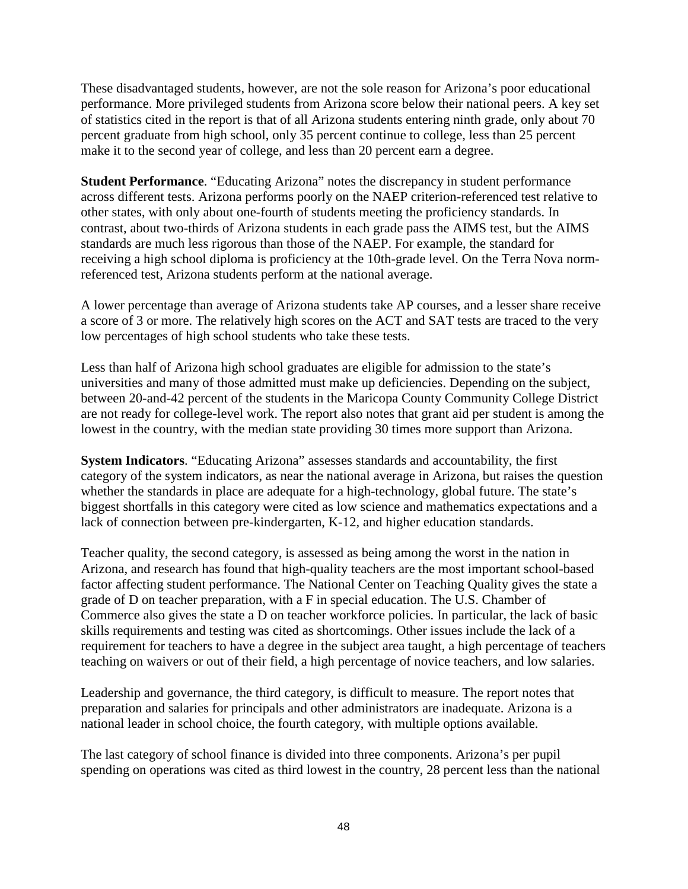These disadvantaged students, however, are not the sole reason for Arizona's poor educational performance. More privileged students from Arizona score below their national peers. A key set of statistics cited in the report is that of all Arizona students entering ninth grade, only about 70 percent graduate from high school, only 35 percent continue to college, less than 25 percent make it to the second year of college, and less than 20 percent earn a degree.

**Student Performance**. "Educating Arizona" notes the discrepancy in student performance across different tests. Arizona performs poorly on the NAEP criterion-referenced test relative to other states, with only about one-fourth of students meeting the proficiency standards. In contrast, about two-thirds of Arizona students in each grade pass the AIMS test, but the AIMS standards are much less rigorous than those of the NAEP. For example, the standard for receiving a high school diploma is proficiency at the 10th-grade level. On the Terra Nova normreferenced test, Arizona students perform at the national average.

A lower percentage than average of Arizona students take AP courses, and a lesser share receive a score of 3 or more. The relatively high scores on the ACT and SAT tests are traced to the very low percentages of high school students who take these tests.

Less than half of Arizona high school graduates are eligible for admission to the state's universities and many of those admitted must make up deficiencies. Depending on the subject, between 20-and-42 percent of the students in the Maricopa County Community College District are not ready for college-level work. The report also notes that grant aid per student is among the lowest in the country, with the median state providing 30 times more support than Arizona.

**System Indicators**. "Educating Arizona" assesses standards and accountability, the first category of the system indicators, as near the national average in Arizona, but raises the question whether the standards in place are adequate for a high-technology, global future. The state's biggest shortfalls in this category were cited as low science and mathematics expectations and a lack of connection between pre-kindergarten, K-12, and higher education standards.

Teacher quality, the second category, is assessed as being among the worst in the nation in Arizona, and research has found that high-quality teachers are the most important school-based factor affecting student performance. The National Center on Teaching Quality gives the state a grade of D on teacher preparation, with a F in special education. The U.S. Chamber of Commerce also gives the state a D on teacher workforce policies. In particular, the lack of basic skills requirements and testing was cited as shortcomings. Other issues include the lack of a requirement for teachers to have a degree in the subject area taught, a high percentage of teachers teaching on waivers or out of their field, a high percentage of novice teachers, and low salaries.

Leadership and governance, the third category, is difficult to measure. The report notes that preparation and salaries for principals and other administrators are inadequate. Arizona is a national leader in school choice, the fourth category, with multiple options available.

The last category of school finance is divided into three components. Arizona's per pupil spending on operations was cited as third lowest in the country, 28 percent less than the national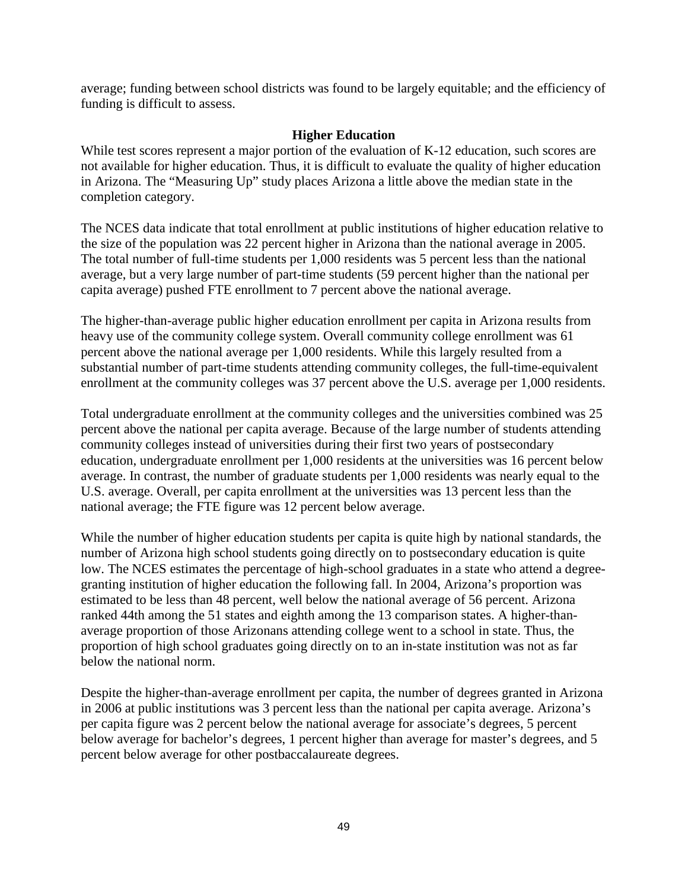average; funding between school districts was found to be largely equitable; and the efficiency of funding is difficult to assess.

## **Higher Education**

While test scores represent a major portion of the evaluation of K-12 education, such scores are not available for higher education. Thus, it is difficult to evaluate the quality of higher education in Arizona. The "Measuring Up" study places Arizona a little above the median state in the completion category.

The NCES data indicate that total enrollment at public institutions of higher education relative to the size of the population was 22 percent higher in Arizona than the national average in 2005. The total number of full-time students per 1,000 residents was 5 percent less than the national average, but a very large number of part-time students (59 percent higher than the national per capita average) pushed FTE enrollment to 7 percent above the national average.

The higher-than-average public higher education enrollment per capita in Arizona results from heavy use of the community college system. Overall community college enrollment was 61 percent above the national average per 1,000 residents. While this largely resulted from a substantial number of part-time students attending community colleges, the full-time-equivalent enrollment at the community colleges was 37 percent above the U.S. average per 1,000 residents.

Total undergraduate enrollment at the community colleges and the universities combined was 25 percent above the national per capita average. Because of the large number of students attending community colleges instead of universities during their first two years of postsecondary education, undergraduate enrollment per 1,000 residents at the universities was 16 percent below average. In contrast, the number of graduate students per 1,000 residents was nearly equal to the U.S. average. Overall, per capita enrollment at the universities was 13 percent less than the national average; the FTE figure was 12 percent below average.

While the number of higher education students per capita is quite high by national standards, the number of Arizona high school students going directly on to postsecondary education is quite low. The NCES estimates the percentage of high-school graduates in a state who attend a degreegranting institution of higher education the following fall. In 2004, Arizona's proportion was estimated to be less than 48 percent, well below the national average of 56 percent. Arizona ranked 44th among the 51 states and eighth among the 13 comparison states. A higher-thanaverage proportion of those Arizonans attending college went to a school in state. Thus, the proportion of high school graduates going directly on to an in-state institution was not as far below the national norm.

Despite the higher-than-average enrollment per capita, the number of degrees granted in Arizona in 2006 at public institutions was 3 percent less than the national per capita average. Arizona's per capita figure was 2 percent below the national average for associate's degrees, 5 percent below average for bachelor's degrees, 1 percent higher than average for master's degrees, and 5 percent below average for other postbaccalaureate degrees.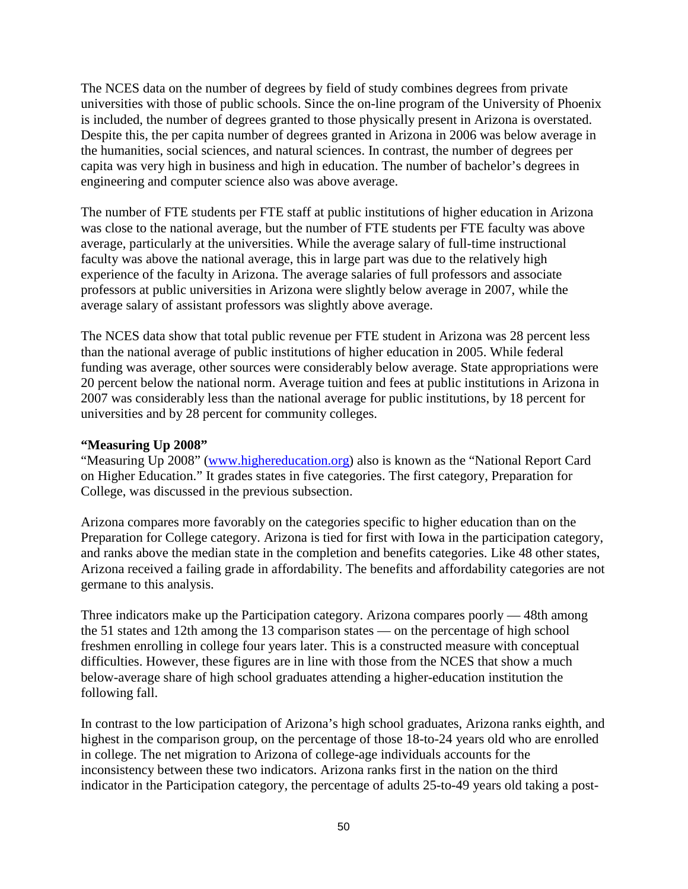The NCES data on the number of degrees by field of study combines degrees from private universities with those of public schools. Since the on-line program of the University of Phoenix is included, the number of degrees granted to those physically present in Arizona is overstated. Despite this, the per capita number of degrees granted in Arizona in 2006 was below average in the humanities, social sciences, and natural sciences. In contrast, the number of degrees per capita was very high in business and high in education. The number of bachelor's degrees in engineering and computer science also was above average.

The number of FTE students per FTE staff at public institutions of higher education in Arizona was close to the national average, but the number of FTE students per FTE faculty was above average, particularly at the universities. While the average salary of full-time instructional faculty was above the national average, this in large part was due to the relatively high experience of the faculty in Arizona. The average salaries of full professors and associate professors at public universities in Arizona were slightly below average in 2007, while the average salary of assistant professors was slightly above average.

The NCES data show that total public revenue per FTE student in Arizona was 28 percent less than the national average of public institutions of higher education in 2005. While federal funding was average, other sources were considerably below average. State appropriations were 20 percent below the national norm. Average tuition and fees at public institutions in Arizona in 2007 was considerably less than the national average for public institutions, by 18 percent for universities and by 28 percent for community colleges.

#### **"Measuring Up 2008"**

"Measuring Up 2008" [\(www.highereducation.org\)](http://www.highereducation.org/) also is known as the "National Report Card on Higher Education." It grades states in five categories. The first category, Preparation for College, was discussed in the previous subsection.

Arizona compares more favorably on the categories specific to higher education than on the Preparation for College category. Arizona is tied for first with Iowa in the participation category, and ranks above the median state in the completion and benefits categories. Like 48 other states, Arizona received a failing grade in affordability. The benefits and affordability categories are not germane to this analysis.

Three indicators make up the Participation category. Arizona compares poorly — 48th among the 51 states and 12th among the 13 comparison states — on the percentage of high school freshmen enrolling in college four years later. This is a constructed measure with conceptual difficulties. However, these figures are in line with those from the NCES that show a much below-average share of high school graduates attending a higher-education institution the following fall.

In contrast to the low participation of Arizona's high school graduates, Arizona ranks eighth, and highest in the comparison group, on the percentage of those 18-to-24 years old who are enrolled in college. The net migration to Arizona of college-age individuals accounts for the inconsistency between these two indicators. Arizona ranks first in the nation on the third indicator in the Participation category, the percentage of adults 25-to-49 years old taking a post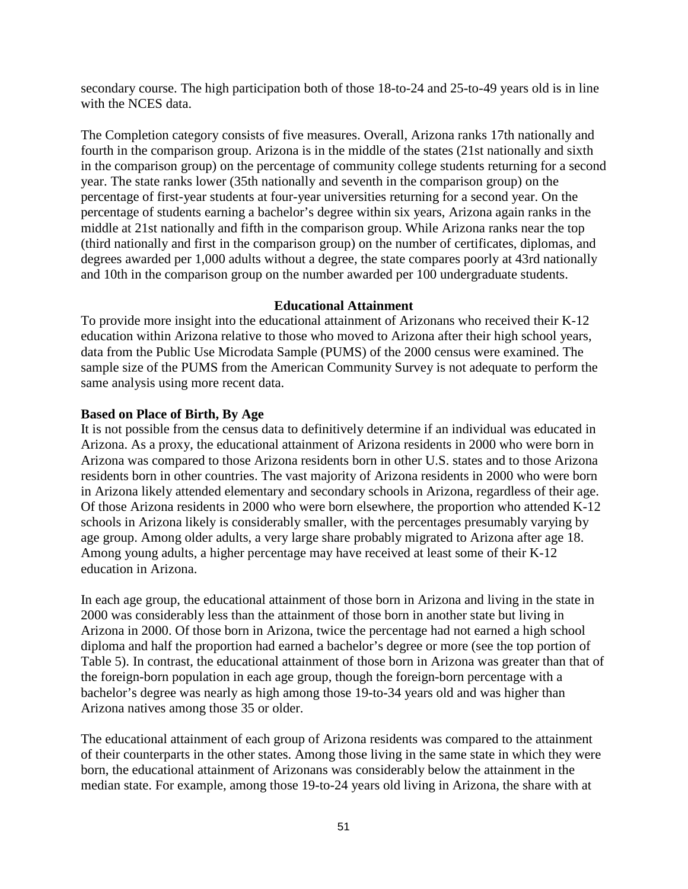secondary course. The high participation both of those 18-to-24 and 25-to-49 years old is in line with the NCES data.

The Completion category consists of five measures. Overall, Arizona ranks 17th nationally and fourth in the comparison group. Arizona is in the middle of the states (21st nationally and sixth in the comparison group) on the percentage of community college students returning for a second year. The state ranks lower (35th nationally and seventh in the comparison group) on the percentage of first-year students at four-year universities returning for a second year. On the percentage of students earning a bachelor's degree within six years, Arizona again ranks in the middle at 21st nationally and fifth in the comparison group. While Arizona ranks near the top (third nationally and first in the comparison group) on the number of certificates, diplomas, and degrees awarded per 1,000 adults without a degree, the state compares poorly at 43rd nationally and 10th in the comparison group on the number awarded per 100 undergraduate students.

## **Educational Attainment**

To provide more insight into the educational attainment of Arizonans who received their K-12 education within Arizona relative to those who moved to Arizona after their high school years, data from the Public Use Microdata Sample (PUMS) of the 2000 census were examined. The sample size of the PUMS from the American Community Survey is not adequate to perform the same analysis using more recent data.

## **Based on Place of Birth, By Age**

It is not possible from the census data to definitively determine if an individual was educated in Arizona. As a proxy, the educational attainment of Arizona residents in 2000 who were born in Arizona was compared to those Arizona residents born in other U.S. states and to those Arizona residents born in other countries. The vast majority of Arizona residents in 2000 who were born in Arizona likely attended elementary and secondary schools in Arizona, regardless of their age. Of those Arizona residents in 2000 who were born elsewhere, the proportion who attended K-12 schools in Arizona likely is considerably smaller, with the percentages presumably varying by age group. Among older adults, a very large share probably migrated to Arizona after age 18. Among young adults, a higher percentage may have received at least some of their K-12 education in Arizona.

In each age group, the educational attainment of those born in Arizona and living in the state in 2000 was considerably less than the attainment of those born in another state but living in Arizona in 2000. Of those born in Arizona, twice the percentage had not earned a high school diploma and half the proportion had earned a bachelor's degree or more (see the top portion of Table 5). In contrast, the educational attainment of those born in Arizona was greater than that of the foreign-born population in each age group, though the foreign-born percentage with a bachelor's degree was nearly as high among those 19-to-34 years old and was higher than Arizona natives among those 35 or older.

The educational attainment of each group of Arizona residents was compared to the attainment of their counterparts in the other states. Among those living in the same state in which they were born, the educational attainment of Arizonans was considerably below the attainment in the median state. For example, among those 19-to-24 years old living in Arizona, the share with at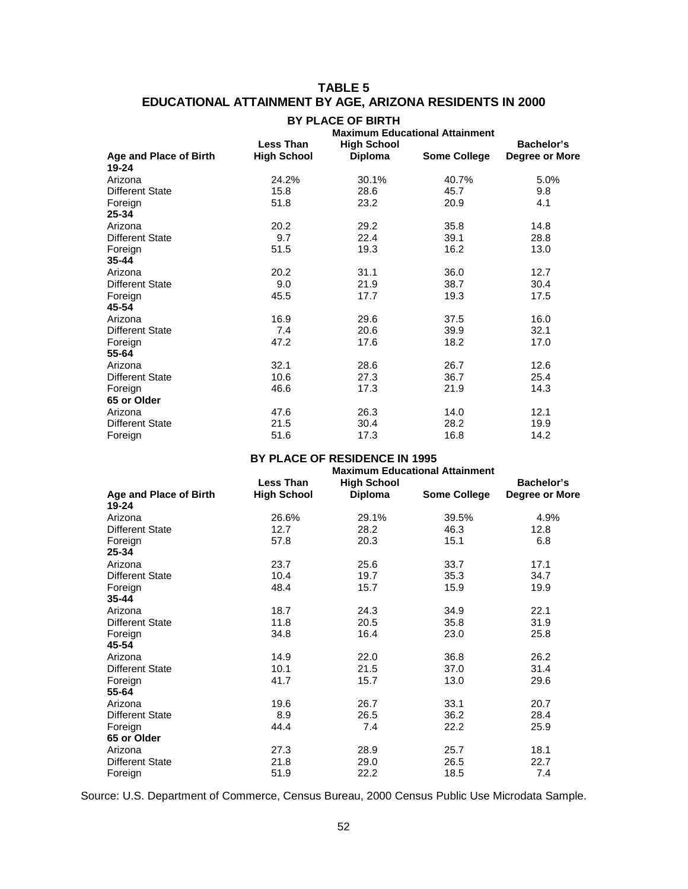## **TABLE 5 EDUCATIONAL ATTAINMENT BY AGE, ARIZONA RESIDENTS IN 2000**

|                               | <b>BY PLACE OF BIRTH</b><br><b>Maximum Educational Attainment</b> |                    |                     |                |  |
|-------------------------------|-------------------------------------------------------------------|--------------------|---------------------|----------------|--|
|                               | <b>Less Than</b>                                                  | <b>High School</b> |                     | Bachelor's     |  |
| <b>Age and Place of Birth</b> | <b>High School</b>                                                | <b>Diploma</b>     | <b>Some College</b> | Degree or More |  |
| 19-24                         |                                                                   |                    |                     |                |  |
| Arizona                       | 24.2%                                                             | 30.1%              | 40.7%               | 5.0%           |  |
| Different State               | 15.8                                                              | 28.6               | 45.7                | 9.8            |  |
| Foreign                       | 51.8                                                              | 23.2               | 20.9                | 4.1            |  |
| 25-34                         |                                                                   |                    |                     |                |  |
| Arizona                       | 20.2                                                              | 29.2               | 35.8                | 14.8           |  |
| Different State               | 9.7                                                               | 22.4               | 39.1                | 28.8           |  |
| Foreign                       | 51.5                                                              | 19.3               | 16.2                | 13.0           |  |
| $35 - 44$                     |                                                                   |                    |                     |                |  |
| Arizona                       | 20.2                                                              | 31.1               | 36.0                | 12.7           |  |
| <b>Different State</b>        | 9.0                                                               | 21.9               | 38.7                | 30.4           |  |
| Foreign                       | 45.5                                                              | 17.7               | 19.3                | 17.5           |  |
| 45-54                         |                                                                   |                    |                     |                |  |
| Arizona                       | 16.9                                                              | 29.6               | 37.5                | 16.0           |  |
| Different State               | 7.4                                                               | 20.6               | 39.9                | 32.1           |  |
| Foreign                       | 47.2                                                              | 17.6               | 18.2                | 17.0           |  |
| 55-64                         |                                                                   |                    |                     |                |  |
| Arizona                       | 32.1                                                              | 28.6               | 26.7                | 12.6           |  |
| <b>Different State</b>        | 10.6                                                              | 27.3               | 36.7                | 25.4           |  |
| Foreign                       | 46.6                                                              | 17.3               | 21.9                | 14.3           |  |
| 65 or Older                   |                                                                   |                    |                     |                |  |
| Arizona                       | 47.6                                                              | 26.3               | 14.0                | 12.1           |  |
| <b>Different State</b>        | 21.5                                                              | 30.4               | 28.2                | 19.9           |  |
| Foreign                       | 51.6                                                              | 17.3               | 16.8                | 14.2           |  |

#### **BY PLACE OF RESIDENCE IN 1995**

|                                 | <b>Less Than</b>   | <b>High School</b> |                     | Bachelor's     |
|---------------------------------|--------------------|--------------------|---------------------|----------------|
| Age and Place of Birth<br>19-24 | <b>High School</b> | Diploma            | <b>Some College</b> | Degree or More |
| Arizona                         | 26.6%              | 29.1%              | 39.5%               | 4.9%           |
| <b>Different State</b>          | 12.7               | 28.2               | 46.3                | 12.8           |
| Foreign<br>25-34                | 57.8               | 20.3               | 15.1                | 6.8            |
| Arizona                         | 23.7               | 25.6               | 33.7                | 17.1           |
| <b>Different State</b>          | 10.4               | 19.7               | 35.3                | 34.7           |
| Foreign<br>35-44                | 48.4               | 15.7               | 15.9                | 19.9           |
| Arizona                         | 18.7               | 24.3               | 34.9                | 22.1           |
| Different State                 | 11.8               | 20.5               | 35.8                | 31.9           |
| Foreign<br>45-54                | 34.8               | 16.4               | 23.0                | 25.8           |
| Arizona                         | 14.9               | 22.0               | 36.8                | 26.2           |
| Different State                 | 10.1               | 21.5               | 37.0                | 31.4           |
| Foreign                         | 41.7               | 15.7               | 13.0                | 29.6           |
| 55-64                           |                    |                    |                     |                |
| Arizona                         | 19.6               | 26.7               | 33.1                | 20.7           |
| <b>Different State</b>          | 8.9                | 26.5               | 36.2                | 28.4           |
| Foreign                         | 44.4               | 7.4                | 22.2                | 25.9           |
| 65 or Older                     |                    |                    |                     |                |
| Arizona                         | 27.3               | 28.9               | 25.7                | 18.1           |
| <b>Different State</b>          | 21.8               | 29.0               | 26.5                | 22.7           |
| Foreign                         | 51.9               | 22.2               | 18.5                | 7.4            |

Source: U.S. Department of Commerce, Census Bureau, 2000 Census Public Use Microdata Sample.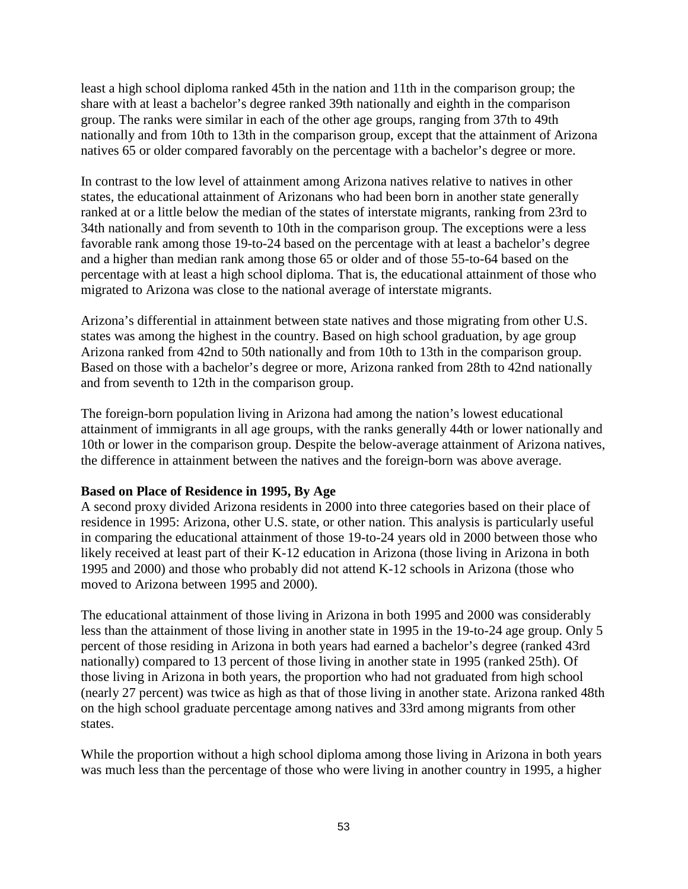least a high school diploma ranked 45th in the nation and 11th in the comparison group; the share with at least a bachelor's degree ranked 39th nationally and eighth in the comparison group. The ranks were similar in each of the other age groups, ranging from 37th to 49th nationally and from 10th to 13th in the comparison group, except that the attainment of Arizona natives 65 or older compared favorably on the percentage with a bachelor's degree or more.

In contrast to the low level of attainment among Arizona natives relative to natives in other states, the educational attainment of Arizonans who had been born in another state generally ranked at or a little below the median of the states of interstate migrants, ranking from 23rd to 34th nationally and from seventh to 10th in the comparison group. The exceptions were a less favorable rank among those 19-to-24 based on the percentage with at least a bachelor's degree and a higher than median rank among those 65 or older and of those 55-to-64 based on the percentage with at least a high school diploma. That is, the educational attainment of those who migrated to Arizona was close to the national average of interstate migrants.

Arizona's differential in attainment between state natives and those migrating from other U.S. states was among the highest in the country. Based on high school graduation, by age group Arizona ranked from 42nd to 50th nationally and from 10th to 13th in the comparison group. Based on those with a bachelor's degree or more, Arizona ranked from 28th to 42nd nationally and from seventh to 12th in the comparison group.

The foreign-born population living in Arizona had among the nation's lowest educational attainment of immigrants in all age groups, with the ranks generally 44th or lower nationally and 10th or lower in the comparison group. Despite the below-average attainment of Arizona natives, the difference in attainment between the natives and the foreign-born was above average.

## **Based on Place of Residence in 1995, By Age**

A second proxy divided Arizona residents in 2000 into three categories based on their place of residence in 1995: Arizona, other U.S. state, or other nation. This analysis is particularly useful in comparing the educational attainment of those 19-to-24 years old in 2000 between those who likely received at least part of their K-12 education in Arizona (those living in Arizona in both 1995 and 2000) and those who probably did not attend K-12 schools in Arizona (those who moved to Arizona between 1995 and 2000).

The educational attainment of those living in Arizona in both 1995 and 2000 was considerably less than the attainment of those living in another state in 1995 in the 19-to-24 age group. Only 5 percent of those residing in Arizona in both years had earned a bachelor's degree (ranked 43rd nationally) compared to 13 percent of those living in another state in 1995 (ranked 25th). Of those living in Arizona in both years, the proportion who had not graduated from high school (nearly 27 percent) was twice as high as that of those living in another state. Arizona ranked 48th on the high school graduate percentage among natives and 33rd among migrants from other states.

While the proportion without a high school diploma among those living in Arizona in both years was much less than the percentage of those who were living in another country in 1995, a higher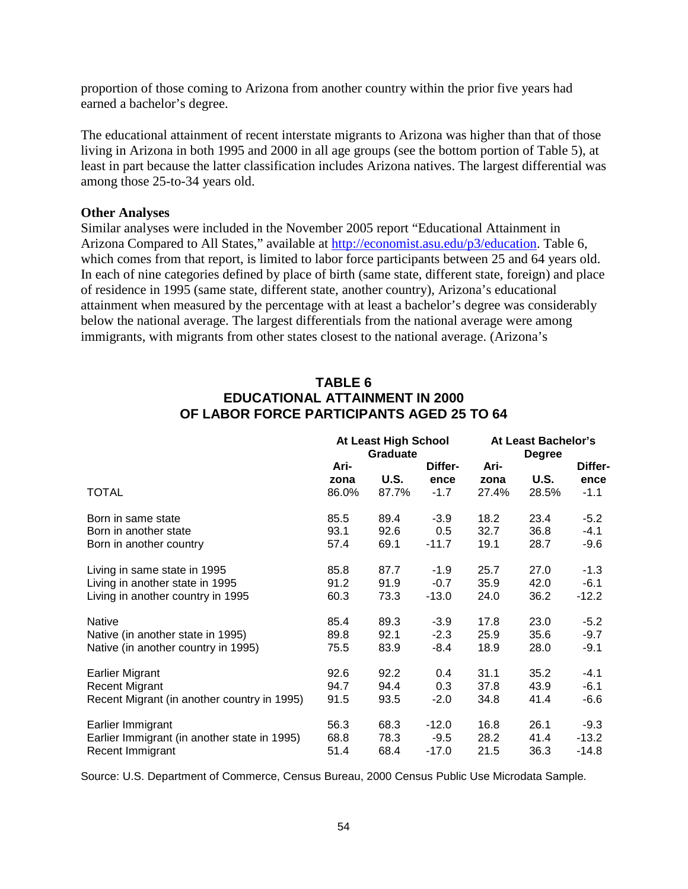proportion of those coming to Arizona from another country within the prior five years had earned a bachelor's degree.

The educational attainment of recent interstate migrants to Arizona was higher than that of those living in Arizona in both 1995 and 2000 in all age groups (see the bottom portion of Table 5), at least in part because the latter classification includes Arizona natives. The largest differential was among those 25-to-34 years old.

#### **Other Analyses**

Similar analyses were included in the November 2005 report "Educational Attainment in Arizona Compared to All States," available at [http://economist.asu.edu/p3/education.](http://economist.asu.edu/p3/education) Table 6, which comes from that report, is limited to labor force participants between 25 and 64 years old. In each of nine categories defined by place of birth (same state, different state, foreign) and place of residence in 1995 (same state, different state, another country), Arizona's educational attainment when measured by the percentage with at least a bachelor's degree was considerably below the national average. The largest differentials from the national average were among immigrants, with migrants from other states closest to the national average. (Arizona's

## **TABLE 6 EDUCATIONAL ATTAINMENT IN 2000 OF LABOR FORCE PARTICIPANTS AGED 25 TO 64**

|                                              | At Least High School<br><b>Graduate</b> |             | At Least Bachelor's<br><b>Degree</b> |              |             |                 |
|----------------------------------------------|-----------------------------------------|-------------|--------------------------------------|--------------|-------------|-----------------|
|                                              | Ari-<br>zona                            | <b>U.S.</b> | Differ-<br>ence                      | Ari-<br>zona | <b>U.S.</b> | Differ-<br>ence |
| <b>TOTAL</b>                                 | 86.0%                                   | 87.7%       | $-1.7$                               | 27.4%        | 28.5%       | $-1.1$          |
| Born in same state                           | 85.5                                    | 89.4        | $-3.9$                               | 18.2         | 23.4        | $-5.2$          |
| Born in another state                        | 93.1                                    | 92.6        | 0.5                                  | 32.7         | 36.8        | $-4.1$          |
| Born in another country                      | 57.4                                    | 69.1        | $-11.7$                              | 19.1         | 28.7        | $-9.6$          |
| Living in same state in 1995                 | 85.8                                    | 87.7        | $-1.9$                               | 25.7         | 27.0        | $-1.3$          |
| Living in another state in 1995              | 91.2                                    | 91.9        | $-0.7$                               | 35.9         | 42.0        | $-6.1$          |
| Living in another country in 1995            | 60.3                                    | 73.3        | $-13.0$                              | 24.0         | 36.2        | $-12.2$         |
| <b>Native</b>                                | 85.4                                    | 89.3        | $-3.9$                               | 17.8         | 23.0        | $-5.2$          |
| Native (in another state in 1995)            | 89.8                                    | 92.1        | $-2.3$                               | 25.9         | 35.6        | $-9.7$          |
| Native (in another country in 1995)          | 75.5                                    | 83.9        | -8.4                                 | 18.9         | 28.0        | $-9.1$          |
| <b>Earlier Migrant</b>                       | 92.6                                    | 92.2        | 0.4                                  | 31.1         | 35.2        | $-4.1$          |
| <b>Recent Migrant</b>                        | 94.7                                    | 94.4        | 0.3                                  | 37.8         | 43.9        | $-6.1$          |
| Recent Migrant (in another country in 1995)  | 91.5                                    | 93.5        | $-2.0$                               | 34.8         | 41.4        | $-6.6$          |
| Earlier Immigrant                            | 56.3                                    | 68.3        | $-12.0$                              | 16.8         | 26.1        | $-9.3$          |
| Earlier Immigrant (in another state in 1995) | 68.8                                    | 78.3        | $-9.5$                               | 28.2         | 41.4        | $-13.2$         |
| Recent Immigrant                             | 51.4                                    | 68.4        | $-17.0$                              | 21.5         | 36.3        | -14.8           |

Source: U.S. Department of Commerce, Census Bureau, 2000 Census Public Use Microdata Sample.